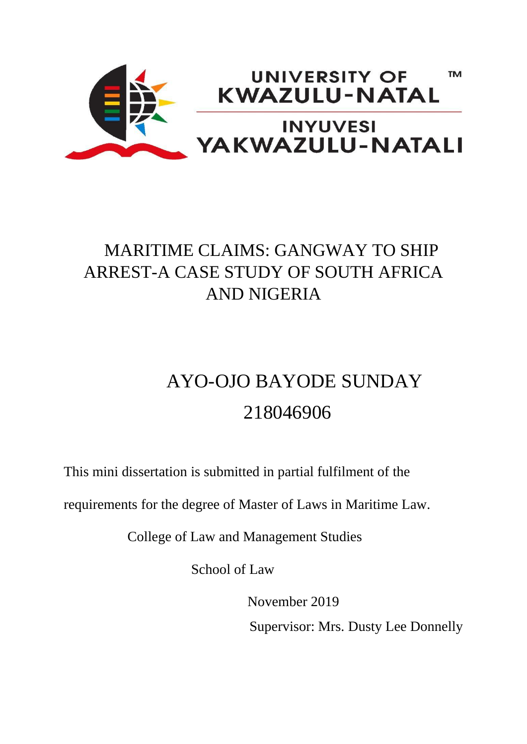

# MARITIME CLAIMS: GANGWAY TO SHIP ARREST-A CASE STUDY OF SOUTH AFRICA AND NIGERIA

# AYO-OJO BAYODE SUNDAY 218046906

This mini dissertation is submitted in partial fulfilment of the

requirements for the degree of Master of Laws in Maritime Law.

College of Law and Management Studies

School of Law

 November 2019 Supervisor: Mrs. Dusty Lee Donnelly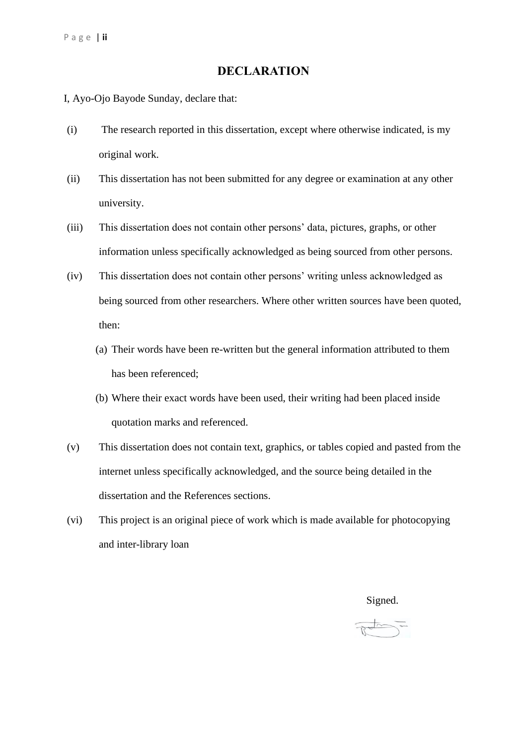P a g e | **ii**

# **DECLARATION**

I, Ayo-Ojo Bayode Sunday, declare that:

- (i) The research reported in this dissertation, except where otherwise indicated, is my original work.
- (ii) This dissertation has not been submitted for any degree or examination at any other university.
- (iii) This dissertation does not contain other persons' data, pictures, graphs, or other information unless specifically acknowledged as being sourced from other persons.
- (iv) This dissertation does not contain other persons' writing unless acknowledged as being sourced from other researchers. Where other written sources have been quoted, then:
	- (a) Their words have been re-written but the general information attributed to them has been referenced;
	- (b) Where their exact words have been used, their writing had been placed inside quotation marks and referenced.
- (v) This dissertation does not contain text, graphics, or tables copied and pasted from the internet unless specifically acknowledged, and the source being detailed in the dissertation and the References sections.
- (vi) This project is an original piece of work which is made available for photocopying and inter-library loan

Signed.

 $\frac{1}{\sqrt{1-\frac{1}{2}}\sqrt{1-\frac{1}{2}}\sqrt{1-\frac{1}{2}}\sqrt{1-\frac{1}{2}}\sqrt{1-\frac{1}{2}}\sqrt{1-\frac{1}{2}}\sqrt{1-\frac{1}{2}}\sqrt{1-\frac{1}{2}}\sqrt{1-\frac{1}{2}}\sqrt{1-\frac{1}{2}}\sqrt{1-\frac{1}{2}}\sqrt{1-\frac{1}{2}}\sqrt{1-\frac{1}{2}}\sqrt{1-\frac{1}{2}}\sqrt{1-\frac{1}{2}}\sqrt{1-\frac{1}{2}}\sqrt{1-\frac{1}{2}}\sqrt{1-\frac{1}{2}}\sqrt{1-\frac{1}{2}}\sqrt{1-\frac$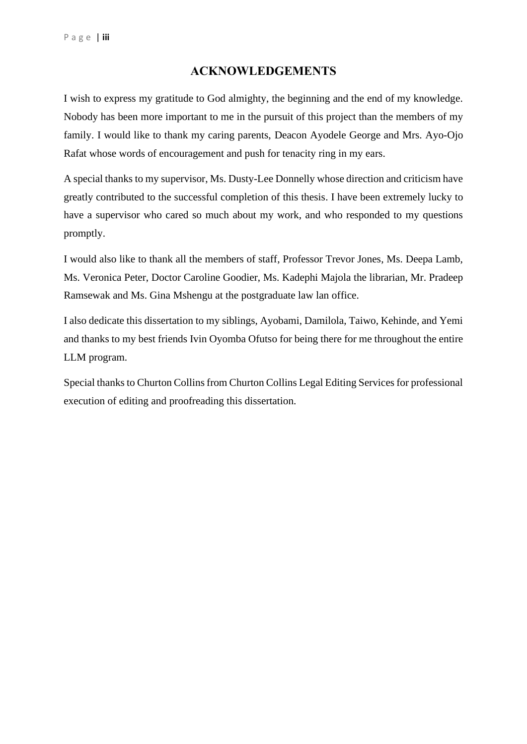# **ACKNOWLEDGEMENTS**

I wish to express my gratitude to God almighty, the beginning and the end of my knowledge. Nobody has been more important to me in the pursuit of this project than the members of my family. I would like to thank my caring parents, Deacon Ayodele George and Mrs. Ayo-Ojo Rafat whose words of encouragement and push for tenacity ring in my ears.

A special thanks to my supervisor, Ms. Dusty-Lee Donnelly whose direction and criticism have greatly contributed to the successful completion of this thesis. I have been extremely lucky to have a supervisor who cared so much about my work, and who responded to my questions promptly.

I would also like to thank all the members of staff, Professor Trevor Jones, Ms. Deepa Lamb, Ms. Veronica Peter, Doctor Caroline Goodier, Ms. Kadephi Majola the librarian, Mr. Pradeep Ramsewak and Ms. Gina Mshengu at the postgraduate law lan office.

I also dedicate this dissertation to my siblings, Ayobami, Damilola, Taiwo, Kehinde, and Yemi and thanks to my best friends Ivin Oyomba Ofutso for being there for me throughout the entire LLM program.

Special thanks to Churton Collins from Churton Collins Legal Editing Services for professional execution of editing and proofreading this dissertation.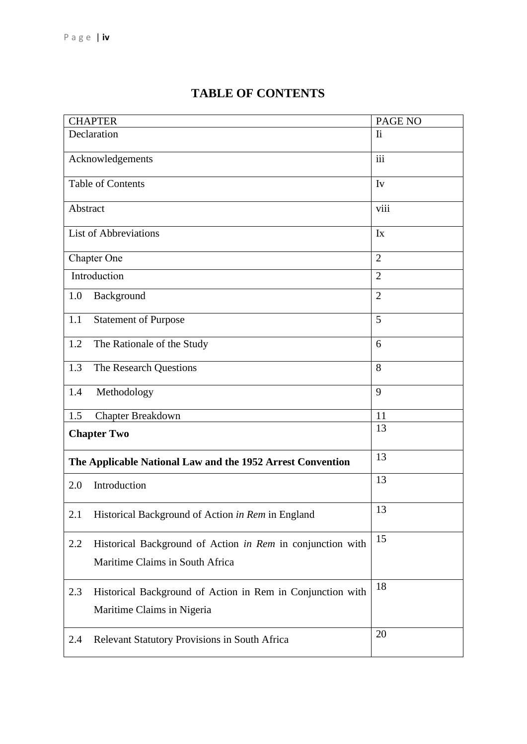# **TABLE OF CONTENTS**

| <b>CHAPTER</b>                                                    | PAGE NO        |
|-------------------------------------------------------------------|----------------|
| Declaration                                                       | <b>Ii</b>      |
| Acknowledgements                                                  | iii            |
| Table of Contents                                                 | $I_{V}$        |
| Abstract                                                          | viii           |
| <b>List of Abbreviations</b>                                      | $I_{X}$        |
| Chapter One                                                       | $\overline{2}$ |
| Introduction                                                      | $\overline{2}$ |
| 1.0<br>Background                                                 | $\overline{2}$ |
| 1.1<br><b>Statement of Purpose</b>                                | 5              |
| 1.2<br>The Rationale of the Study                                 | 6              |
| 1.3<br>The Research Questions                                     | 8              |
| 1.4<br>Methodology                                                | 9              |
| 1.5<br><b>Chapter Breakdown</b>                                   | 11             |
| <b>Chapter Two</b>                                                | 13             |
| The Applicable National Law and the 1952 Arrest Convention        | 13             |
| Introduction<br>2.0                                               | 13             |
| 2.1<br>Historical Background of Action in Rem in England          | 13             |
| Historical Background of Action in Rem in conjunction with<br>2.2 | 15             |
| Maritime Claims in South Africa                                   |                |
| Historical Background of Action in Rem in Conjunction with<br>2.3 | 18             |
| Maritime Claims in Nigeria                                        |                |
| Relevant Statutory Provisions in South Africa<br>2.4              | 20             |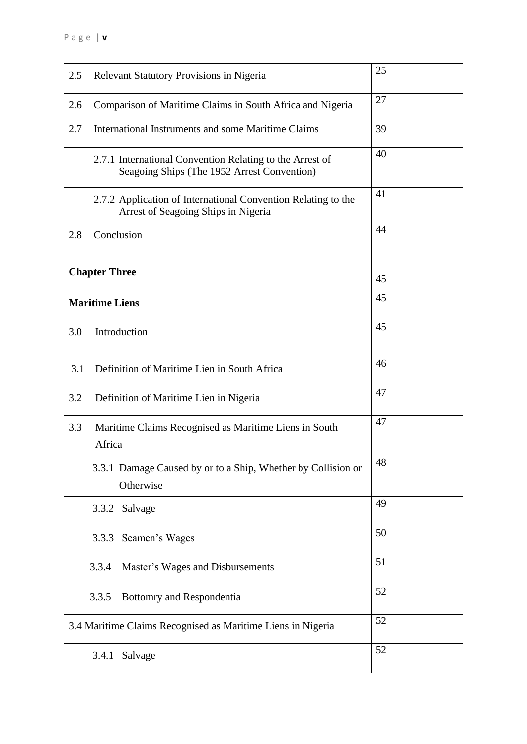| 2.5                   | Relevant Statutory Provisions in Nigeria                                                                | 25 |
|-----------------------|---------------------------------------------------------------------------------------------------------|----|
| 2.6                   | Comparison of Maritime Claims in South Africa and Nigeria                                               | 27 |
| 2.7                   | International Instruments and some Maritime Claims                                                      | 39 |
|                       | 2.7.1 International Convention Relating to the Arrest of<br>Seagoing Ships (The 1952 Arrest Convention) | 40 |
|                       | 2.7.2 Application of International Convention Relating to the<br>Arrest of Seagoing Ships in Nigeria    | 41 |
| 2.8                   | Conclusion                                                                                              | 44 |
| <b>Chapter Three</b>  |                                                                                                         | 45 |
| <b>Maritime Liens</b> |                                                                                                         | 45 |
| 3.0                   | Introduction                                                                                            | 45 |
| 3.1                   | Definition of Maritime Lien in South Africa                                                             | 46 |
| 3.2                   | Definition of Maritime Lien in Nigeria                                                                  | 47 |
| 3.3                   | Maritime Claims Recognised as Maritime Liens in South<br>Africa                                         | 47 |
|                       | 3.3.1 Damage Caused by or to a Ship, Whether by Collision or<br>Otherwise                               | 48 |
| 3.3.2                 | Salvage                                                                                                 | 49 |
| 3.3.3                 | Seamen's Wages                                                                                          | 50 |
| 3.3.4                 | Master's Wages and Disbursements                                                                        | 51 |
| 3.3.5                 | Bottomry and Respondentia                                                                               | 52 |
|                       | 3.4 Maritime Claims Recognised as Maritime Liens in Nigeria                                             | 52 |
| 3.4.1                 | Salvage                                                                                                 | 52 |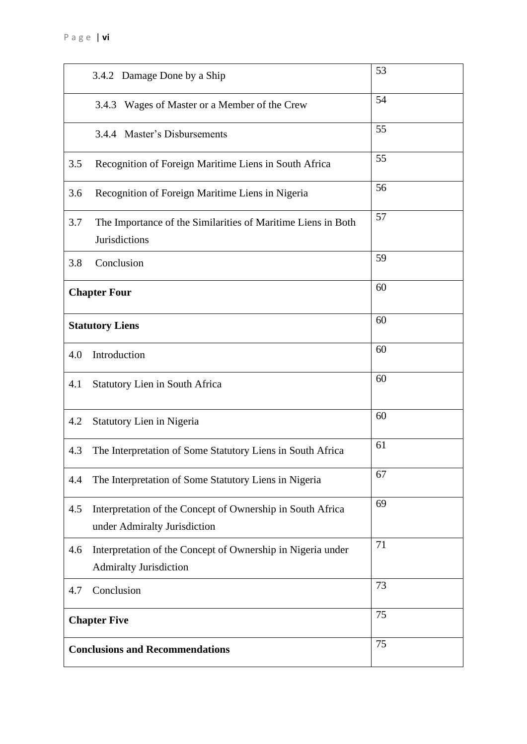|                                        | 3.4.2 Damage Done by a Ship                                                                  | 53 |
|----------------------------------------|----------------------------------------------------------------------------------------------|----|
|                                        | 3.4.3 Wages of Master or a Member of the Crew                                                | 54 |
|                                        | 3.4.4 Master's Disbursements                                                                 | 55 |
| 3.5                                    | Recognition of Foreign Maritime Liens in South Africa                                        | 55 |
| 3.6                                    | Recognition of Foreign Maritime Liens in Nigeria                                             | 56 |
| 3.7                                    | The Importance of the Similarities of Maritime Liens in Both<br><b>Jurisdictions</b>         | 57 |
| 3.8                                    | Conclusion                                                                                   | 59 |
| <b>Chapter Four</b>                    |                                                                                              | 60 |
| <b>Statutory Liens</b>                 |                                                                                              | 60 |
| 4.0                                    | Introduction                                                                                 | 60 |
| 4.1                                    | <b>Statutory Lien in South Africa</b>                                                        | 60 |
| 4.2                                    | <b>Statutory Lien in Nigeria</b>                                                             | 60 |
| 4.3                                    | The Interpretation of Some Statutory Liens in South Africa                                   | 61 |
| 4.4                                    | The Interpretation of Some Statutory Liens in Nigeria                                        | 67 |
| 4.5                                    | Interpretation of the Concept of Ownership in South Africa<br>under Admiralty Jurisdiction   | 69 |
| 4.6                                    | Interpretation of the Concept of Ownership in Nigeria under<br><b>Admiralty Jurisdiction</b> | 71 |
| 4.7                                    | Conclusion                                                                                   | 73 |
| <b>Chapter Five</b>                    |                                                                                              | 75 |
| <b>Conclusions and Recommendations</b> |                                                                                              | 75 |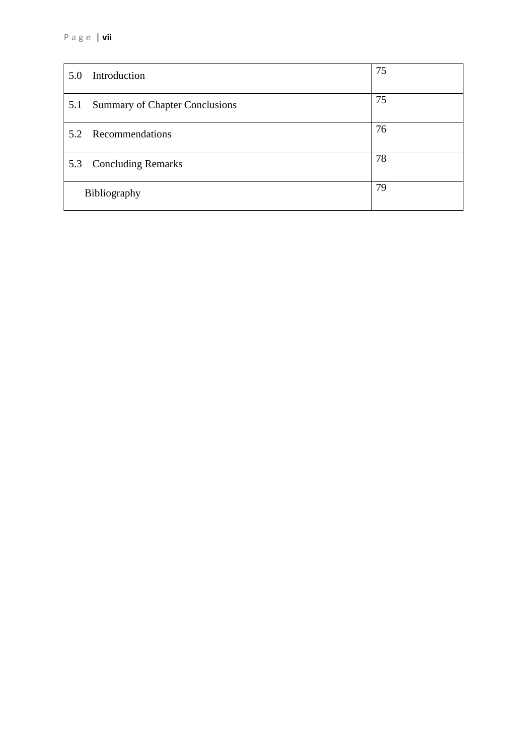| 5.0 | Introduction                          | 75 |
|-----|---------------------------------------|----|
| 5.1 | <b>Summary of Chapter Conclusions</b> | 75 |
|     | 5.2 Recommendations                   | 76 |
| 5.3 | <b>Concluding Remarks</b>             | 78 |
|     | Bibliography                          | 79 |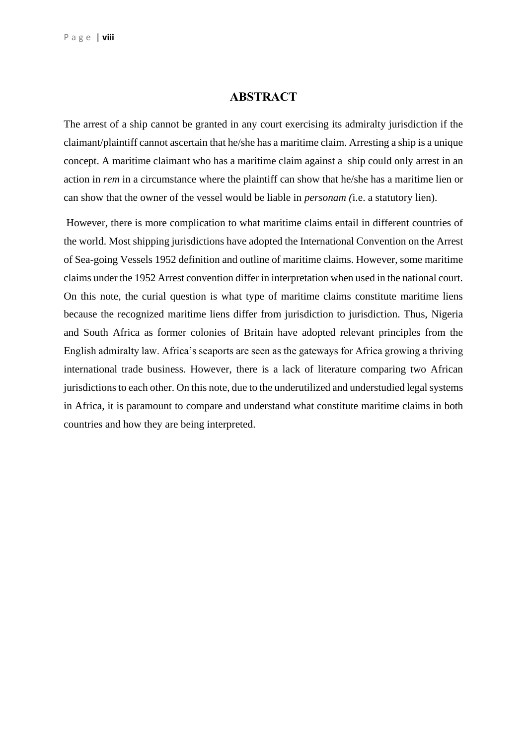# **ABSTRACT**

The arrest of a ship cannot be granted in any court exercising its admiralty jurisdiction if the claimant/plaintiff cannot ascertain that he/she has a maritime claim. Arresting a ship is a unique concept. A maritime claimant who has a maritime claim against a ship could only arrest in an action in *rem* in a circumstance where the plaintiff can show that he/she has a maritime lien or can show that the owner of the vessel would be liable in *personam (*i.e. a statutory lien).

However, there is more complication to what maritime claims entail in different countries of the world. Most shipping jurisdictions have adopted the International Convention on the Arrest of Sea-going Vessels 1952 definition and outline of maritime claims. However, some maritime claims under the 1952 Arrest convention differ in interpretation when used in the national court. On this note, the curial question is what type of maritime claims constitute maritime liens because the recognized maritime liens differ from jurisdiction to jurisdiction. Thus, Nigeria and South Africa as former colonies of Britain have adopted relevant principles from the English admiralty law. Africa's seaports are seen as the gateways for Africa growing a thriving international trade business. However, there is a lack of literature comparing two African jurisdictions to each other. On this note, due to the underutilized and understudied legal systems in Africa, it is paramount to compare and understand what constitute maritime claims in both countries and how they are being interpreted.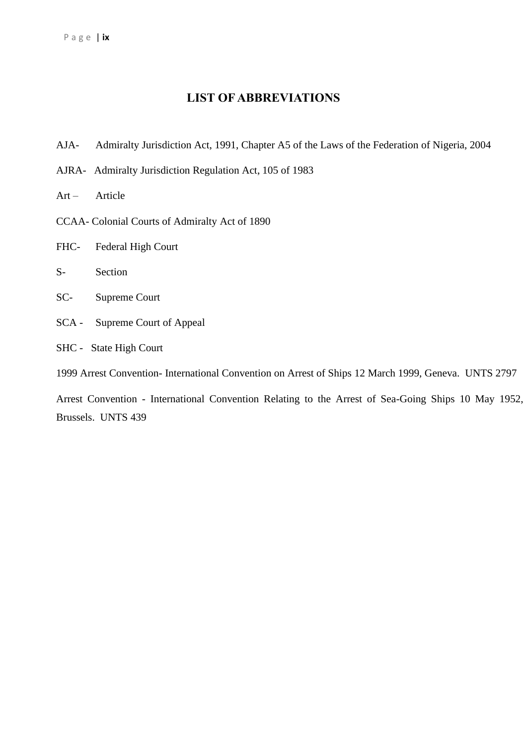# **LIST OF ABBREVIATIONS**

- AJA- Admiralty Jurisdiction Act, 1991, Chapter A5 of the Laws of the Federation of Nigeria, 2004
- AJRA- Admiralty Jurisdiction Regulation Act, 105 of 1983
- Art Article
- CCAA- Colonial Courts of Admiralty Act of 1890
- FHC- Federal High Court
- S- Section
- SC- Supreme Court
- SCA Supreme Court of Appeal
- SHC State High Court

1999 Arrest Convention- International Convention on Arrest of Ships 12 March 1999, Geneva. UNTS 2797

Arrest Convention - International Convention Relating to the Arrest of Sea-Going Ships 10 May 1952, Brussels. UNTS 439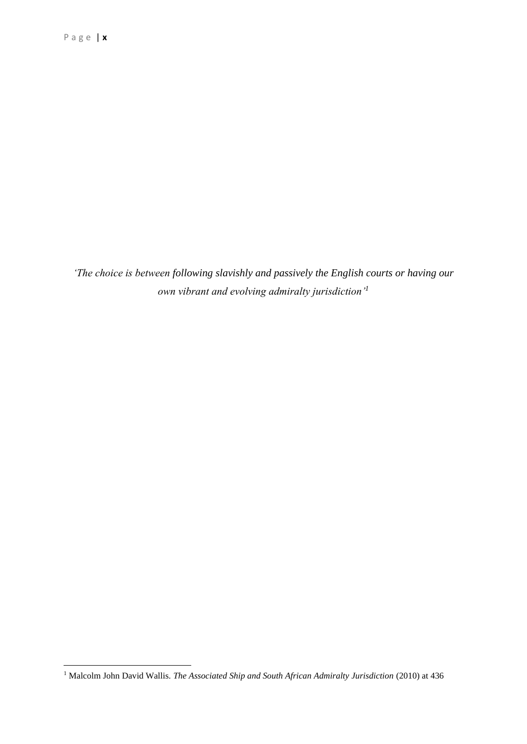*'The choice is between following slavishly and passively the English courts or having our own vibrant and evolving admiralty jurisdiction'<sup>1</sup>*

<sup>1</sup> Malcolm John David Wallis. *The Associated Ship and South African Admiralty Jurisdiction* (2010) at 436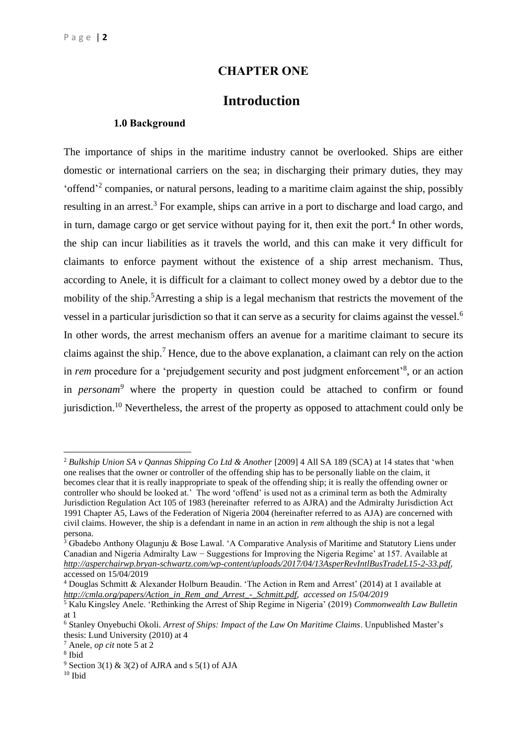# **CHAPTER ONE**

# **Introduction**

#### **1.0 Background**

The importance of ships in the maritime industry cannot be overlooked. Ships are either domestic or international carriers on the sea; in discharging their primary duties, they may 'offend' 2 companies, or natural persons, leading to a maritime claim against the ship, possibly resulting in an arrest.<sup>3</sup> For example, ships can arrive in a port to discharge and load cargo, and in turn, damage cargo or get service without paying for it, then exit the port. $4$  In other words, the ship can incur liabilities as it travels the world, and this can make it very difficult for claimants to enforce payment without the existence of a ship arrest mechanism. Thus, according to Anele, it is difficult for a claimant to collect money owed by a debtor due to the mobility of the ship.<sup>5</sup>Arresting a ship is a legal mechanism that restricts the movement of the vessel in a particular jurisdiction so that it can serve as a security for claims against the vessel.<sup>6</sup> In other words, the arrest mechanism offers an avenue for a maritime claimant to secure its claims against the ship.<sup>7</sup> Hence, due to the above explanation, a claimant can rely on the action in *rem* procedure for a 'prejudgement security and post judgment enforcement'<sup>8</sup>, or an action in *personam<sup>9</sup>* where the property in question could be attached to confirm or found jurisdiction.<sup>10</sup> Nevertheless, the arrest of the property as opposed to attachment could only be

<sup>&</sup>lt;sup>2</sup> Bulkship Union SA v Oannas Shipping Co Ltd & Another [2009] 4 All SA 189 (SCA) at 14 states that 'when one realises that the owner or controller of the offending ship has to be personally liable on the claim, it becomes clear that it is really inappropriate to speak of the offending ship; it is really the offending owner or controller who should be looked at.' The word 'offend' is used not as a criminal term as both the Admiralty Jurisdiction Regulation Act 105 of 1983 (hereinafter referred to as AJRA) and the Admiralty Jurisdiction Act 1991 Chapter A5, Laws of the Federation of Nigeria 2004 (hereinafter referred to as AJA) are concerned with civil claims. However, the ship is a defendant in name in an action in *rem* although the ship is not a legal persona.

<sup>3</sup> Gbadebo Anthony Olagunju & Bose Lawal. 'A Comparative Analysis of Maritime and Statutory Liens under Canadian and Nigeria Admiralty Law − Suggestions for Improving the Nigeria Regime' at 157. Available at *<http://asperchairwp.bryan-schwartz.com/wp-content/uploads/2017/04/13AsperRevIntlBusTradeL15-2-33.pdf>*, accessed on 15/04/2019

<sup>4</sup> Douglas Schmitt & Alexander Holburn Beaudin. 'The Action in Rem and Arrest' (2014) at 1 available at *[http://cmla.org/papers/Action\\_in\\_Rem\\_and\\_Arrest\\_-\\_Schmitt.pdf,](http://cmla.org/papers/Action_in_Rem_and_Arrest_-_Schmitt.pdf) accessed on 15/04/2019*

<sup>5</sup> Kalu Kingsley Anele. 'Rethinking the Arrest of Ship Regime in Nigeria' (2019) *Commonwealth Law Bulletin*  at 1

<sup>6</sup> Stanley Onyebuchi Okoli. *Arrest of Ships: Impact of the Law On Maritime Claims*. Unpublished Master's thesis: Lund University (2010) at 4

<sup>7</sup> Anele, *op cit* note 5 at 2

<sup>8</sup> Ibid

<sup>&</sup>lt;sup>9</sup> Section 3(1) & 3(2) of AJRA and s 5(1) of AJA

 $10$  Ibid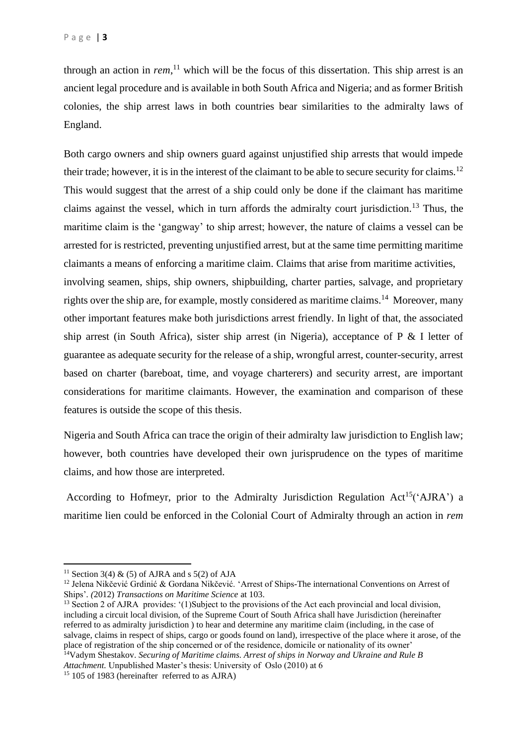through an action in *rem*, <sup>11</sup> which will be the focus of this dissertation. This ship arrest is an ancient legal procedure and is available in both South Africa and Nigeria; and as former British colonies, the ship arrest laws in both countries bear similarities to the admiralty laws of England.

Both cargo owners and ship owners guard against unjustified ship arrests that would impede their trade; however, it is in the interest of the claimant to be able to secure security for claims.<sup>12</sup> This would suggest that the arrest of a ship could only be done if the claimant has maritime claims against the vessel, which in turn affords the admiralty court jurisdiction.<sup>13</sup> Thus, the maritime claim is the 'gangway' to ship arrest; however, the nature of claims a vessel can be arrested for is restricted, preventing unjustified arrest, but at the same time permitting maritime claimants a means of enforcing a maritime claim. Claims that arise from maritime activities, involving seamen, ships, ship owners, shipbuilding, charter parties, salvage, and proprietary rights over the ship are, for example, mostly considered as maritime claims.<sup>14</sup> Moreover, many other important features make both jurisdictions arrest friendly. In light of that, the associated ship arrest (in South Africa), sister ship arrest (in Nigeria), acceptance of P  $\&$  I letter of guarantee as adequate security for the release of a ship, wrongful arrest, counter-security, arrest based on charter (bareboat, time, and voyage charterers) and security arrest, are important considerations for maritime claimants. However, the examination and comparison of these features is outside the scope of this thesis.

Nigeria and South Africa can trace the origin of their admiralty law jurisdiction to English law; however, both countries have developed their own jurisprudence on the types of maritime claims, and how those are interpreted.

According to Hofmeyr, prior to the Admiralty Jurisdiction Regulation Act<sup>15</sup>('AJRA') a maritime lien could be enforced in the Colonial Court of Admiralty through an action in *rem* 

<sup>14</sup>Vadym Shestakov. *Securing of Maritime claims. Arrest of ships in Norway and Ukraine and Rule B Attachment.* Unpublished Master's thesis: University of Oslo (2010) at 6

<sup>&</sup>lt;sup>11</sup> Section 3(4) & (5) of AJRA and s 5(2) of AJA

<sup>&</sup>lt;sup>12</sup> Jelena Nikčević Grdinić & Gordana Nikčević. 'Arrest of Ships-The international Conventions on Arrest of Ships'*. (*2012) *Transactions on Maritime Science* at 103.

 $13$  Section 2 of AJRA provides: '(1)Subject to the provisions of the Act each provincial and local division, including a circuit local division, of the Supreme Court of South Africa shall have Jurisdiction (hereinafter referred to as admiralty jurisdiction ) to hear and determine any maritime claim (including, in the case of salvage, claims in respect of ships, cargo or goods found on land), irrespective of the place where it arose, of the place of registration of the ship concerned or of the residence, domicile or nationality of its owner'

 $15$  105 of 1983 (hereinafter referred to as AJRA)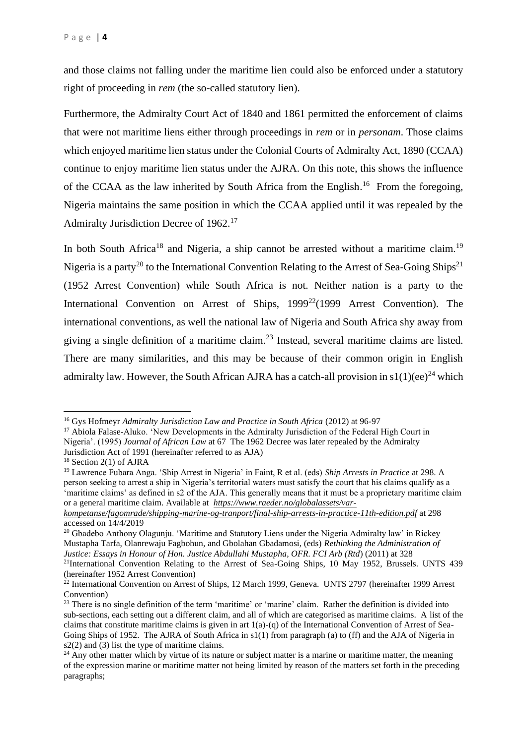and those claims not falling under the maritime lien could also be enforced under a statutory right of proceeding in *rem* (the so-called statutory lien).

Furthermore, the Admiralty Court Act of 1840 and 1861 permitted the enforcement of claims that were not maritime liens either through proceedings in *rem* or in *personam*. Those claims which enjoyed maritime lien status under the Colonial Courts of Admiralty Act, 1890 (CCAA) continue to enjoy maritime lien status under the AJRA. On this note, this shows the influence of the CCAA as the law inherited by South Africa from the English.<sup>16</sup> From the foregoing, Nigeria maintains the same position in which the CCAA applied until it was repealed by the Admiralty Jurisdiction Decree of 1962.<sup>17</sup>

In both South Africa<sup>18</sup> and Nigeria, a ship cannot be arrested without a maritime claim.<sup>19</sup> Nigeria is a party<sup>20</sup> to the International Convention Relating to the Arrest of Sea-Going Ships<sup>21</sup> (1952 Arrest Convention) while South Africa is not. Neither nation is a party to the International Convention on Arrest of Ships,  $1999^{22}(1999)$  Arrest Convention). The international conventions, as well the national law of Nigeria and South Africa shy away from giving a single definition of a maritime claim.<sup>23</sup> Instead, several maritime claims are listed. There are many similarities, and this may be because of their common origin in English admiralty law. However, the South African AJRA has a catch-all provision in  $s1(1)(ee)^{24}$  which

<sup>16</sup> Gys Hofmeyr *Admiralty Jurisdiction Law and Practice in South Africa* (2012) at 96-97

<sup>&</sup>lt;sup>17</sup> Abiola Falase-Aluko. 'New Developments in the Admiralty Jurisdiction of the Federal High Court in Nigeria'. (1995) *Journal of African Law* at 67 The 1962 Decree was later repealed by the Admiralty Jurisdiction Act of 1991 (hereinafter referred to as AJA)

<sup>18</sup> Section 2(1) of AJRA

<sup>19</sup> Lawrence Fubara Anga. 'Ship Arrest in Nigeria' in Faint, R et al. (eds) *Ship Arrests in Practice* at 298. A person seeking to arrest a ship in Nigeria's territorial waters must satisfy the court that his claims qualify as a 'maritime claims' as defined in s2 of the AJA. This generally means that it must be a proprietary maritime claim or a general maritime claim. Available at *[https://www.raeder.no/globalassets/var-](https://www.raeder.no/globalassets/var-kompetanse/fagomrade/shipping-marine-og-tranport/final-ship-arrests-in-practice-11th-edition.pdf)*

*[kompetanse/fagomrade/shipping-marine-og-tranport/final-ship-arrests-in-practice-11th-edition.pdf](https://www.raeder.no/globalassets/var-kompetanse/fagomrade/shipping-marine-og-tranport/final-ship-arrests-in-practice-11th-edition.pdf)* at 298 accessed on 14/4/2019

<sup>&</sup>lt;sup>20</sup> Gbadebo Anthony Olagunju. 'Maritime and Statutory Liens under the Nigeria Admiralty law' in Rickey Mustapha Tarfa, Olanrewaju Fagbohun, and Gbolahan Gbadamosi, (eds) *Rethinking the Administration of Justice: Essays in Honour of Hon. Justice Abdullahi Mustapha, OFR. FCI Arb (Rtd*) (2011) at 328 <sup>21</sup>International Convention Relating to the Arrest of Sea-Going Ships, 10 May 1952, Brussels. UNTS 439

<sup>(</sup>hereinafter 1952 Arrest Convention)

<sup>22</sup> International Convention on Arrest of Ships, 12 March 1999, Geneva. UNTS 2797 (hereinafter 1999 Arrest Convention)

<sup>&</sup>lt;sup>23</sup> There is no single definition of the term 'maritime' or 'marine' claim. Rather the definition is divided into sub-sections, each setting out a different claim, and all of which are categorised as maritime claims. A list of the claims that constitute maritime claims is given in art  $1(a)$ - $(a)$  of the International Convention of Arrest of Sea-Going Ships of 1952. The AJRA of South Africa in s1(1) from paragraph (a) to (ff) and the AJA of Nigeria in  $s2(2)$  and (3) list the type of maritime claims.

 $^{24}$  Any other matter which by virtue of its nature or subject matter is a marine or maritime matter, the meaning of the expression marine or maritime matter not being limited by reason of the matters set forth in the preceding paragraphs;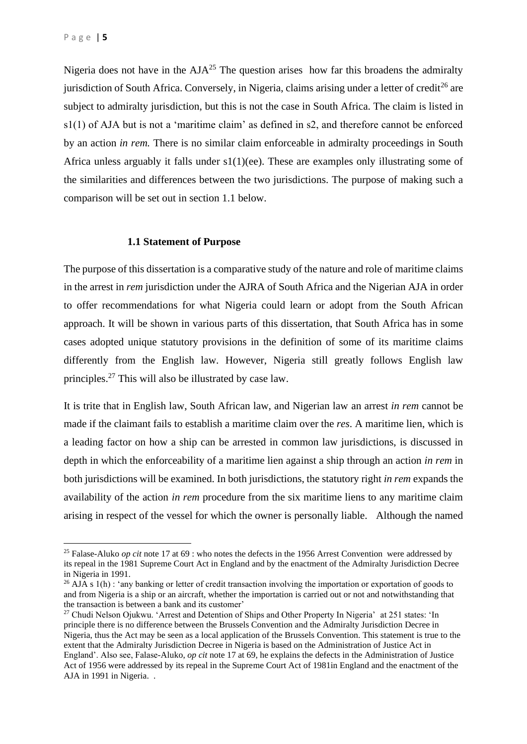Nigeria does not have in the  $AJA^{25}$  The question arises how far this broadens the admiralty jurisdiction of South Africa. Conversely, in Nigeria, claims arising under a letter of credit<sup>26</sup> are subject to admiralty jurisdiction, but this is not the case in South Africa. The claim is listed in s1(1) of AJA but is not a 'maritime claim' as defined in s2, and therefore cannot be enforced by an action *in rem.* There is no similar claim enforceable in admiralty proceedings in South Africa unless arguably it falls under  $s1(1)(ee)$ . These are examples only illustrating some of the similarities and differences between the two jurisdictions. The purpose of making such a comparison will be set out in section 1.1 below.

#### **1.1 Statement of Purpose**

The purpose of this dissertation is a comparative study of the nature and role of maritime claims in the arrest in *rem* jurisdiction under the AJRA of South Africa and the Nigerian AJA in order to offer recommendations for what Nigeria could learn or adopt from the South African approach. It will be shown in various parts of this dissertation, that South Africa has in some cases adopted unique statutory provisions in the definition of some of its maritime claims differently from the English law. However, Nigeria still greatly follows English law principles.<sup>27</sup> This will also be illustrated by case law.

It is trite that in English law, South African law, and Nigerian law an arrest *in rem* cannot be made if the claimant fails to establish a maritime claim over the *res*. A maritime lien, which is a leading factor on how a ship can be arrested in common law jurisdictions, is discussed in depth in which the enforceability of a maritime lien against a ship through an action *in rem* in both jurisdictions will be examined. In both jurisdictions, the statutory right *in rem* expands the availability of the action *in rem* procedure from the six maritime liens to any maritime claim arising in respect of the vessel for which the owner is personally liable. Although the named

<sup>&</sup>lt;sup>25</sup> Falase-Aluko *op cit* note 17 at 69 : who notes the defects in the 1956 Arrest Convention were addressed by its repeal in the 1981 Supreme Court Act in England and by the enactment of the Admiralty Jurisdiction Decree in Nigeria in 1991.

<sup>&</sup>lt;sup>26</sup> AJA s 1(h) : 'any banking or letter of credit transaction involving the importation or exportation of goods to and from Nigeria is a ship or an aircraft, whether the importation is carried out or not and notwithstanding that the transaction is between a bank and its customer'

<sup>&</sup>lt;sup>27</sup> Chudi Nelson Ojukwu. 'Arrest and Detention of Ships and Other Property In Nigeria' at 251 states: 'In principle there is no difference between the Brussels Convention and the Admiralty Jurisdiction Decree in Nigeria, thus the Act may be seen as a local application of the Brussels Convention. This statement is true to the extent that the Admiralty Jurisdiction Decree in Nigeria is based on the Administration of Justice Act in England'. Also see, Falase-Aluko, *op cit* note 17 at 69, he explains the defects in the Administration of Justice Act of 1956 were addressed by its repeal in the Supreme Court Act of 1981in England and the enactment of the AJA in 1991 in Nigeria. .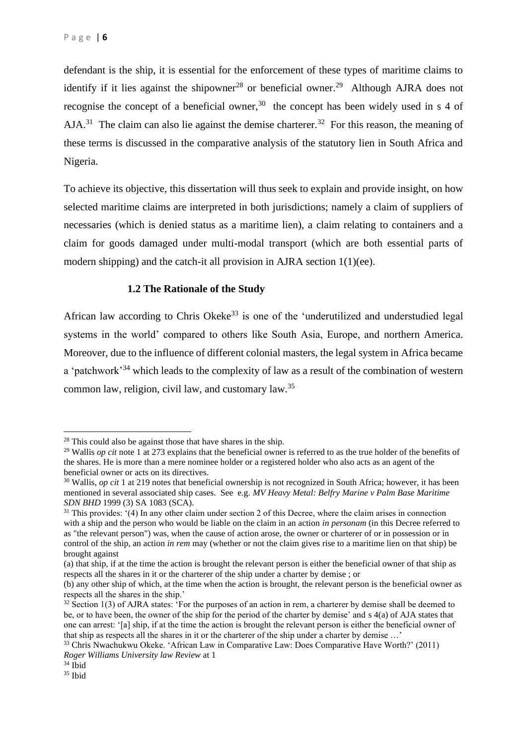defendant is the ship, it is essential for the enforcement of these types of maritime claims to identify if it lies against the shipowner<sup>28</sup> or beneficial owner.<sup>29</sup> Although AJRA does not recognise the concept of a beneficial owner,  $30$  the concept has been widely used in s 4 of AJA.<sup>31</sup> The claim can also lie against the demise charterer.<sup>32</sup> For this reason, the meaning of these terms is discussed in the comparative analysis of the statutory lien in South Africa and Nigeria.

To achieve its objective, this dissertation will thus seek to explain and provide insight, on how selected maritime claims are interpreted in both jurisdictions; namely a claim of suppliers of necessaries (which is denied status as a maritime lien), a claim relating to containers and a claim for goods damaged under multi-modal transport (which are both essential parts of modern shipping) and the catch-it all provision in AJRA section 1(1)(ee).

# **1.2 The Rationale of the Study**

African law according to Chris Okeke<sup>33</sup> is one of the 'underutilized and understudied legal systems in the world' compared to others like South Asia, Europe, and northern America. Moreover, due to the influence of different colonial masters, the legal system in Africa became a 'patchwork'<sup>34</sup> which leads to the complexity of law as a result of the combination of western common law, religion, civil law, and customary law.<sup>35</sup>

<sup>&</sup>lt;sup>28</sup> This could also be against those that have shares in the ship.

<sup>&</sup>lt;sup>29</sup> Wallis *op cit* note 1 at 273 explains that the beneficial owner is referred to as the true holder of the benefits of the shares. He is more than a mere nominee holder or a registered holder who also acts as an agent of the beneficial owner or acts on its directives.

<sup>&</sup>lt;sup>30</sup> Wallis, *op cit* 1 at 219 notes that beneficial ownership is not recognized in South Africa; however, it has been mentioned in several associated ship cases. See e.g. *MV Heavy Metal: Belfry Marine v Palm Base Maritime SDN BHD* 1999 (3) SA 1083 (SCA).

 $31$  This provides: '(4) In any other claim under section 2 of this Decree, where the claim arises in connection with a ship and the person who would be liable on the claim in an action *in personam* (in this Decree referred to as "the relevant person") was, when the cause of action arose, the owner or charterer of or in possession or in control of the ship, an action *in rem* may (whether or not the claim gives rise to a maritime lien on that ship) be brought against

<sup>(</sup>a) that ship, if at the time the action is brought the relevant person is either the beneficial owner of that ship as respects all the shares in it or the charterer of the ship under a charter by demise ; or

<sup>(</sup>b) any other ship of which, at the time when the action is brought, the relevant person is the beneficial owner as respects all the shares in the ship.'

 $32$  Section 1(3) of AJRA states: 'For the purposes of an action in rem, a charterer by demise shall be deemed to be, or to have been, the owner of the ship for the period of the charter by demise' and s 4(a) of AJA states that one can arrest: '[a] ship, if at the time the action is brought the relevant person is either the beneficial owner of that ship as respects all the shares in it or the charterer of the ship under a charter by demise …'

<sup>33</sup> Chris Nwachukwu Okeke. 'African Law in Comparative Law: Does Comparative Have Worth?' (2011) *Roger Williams University law Review* at 1

 $34$  Ibid

<sup>35</sup> Ibid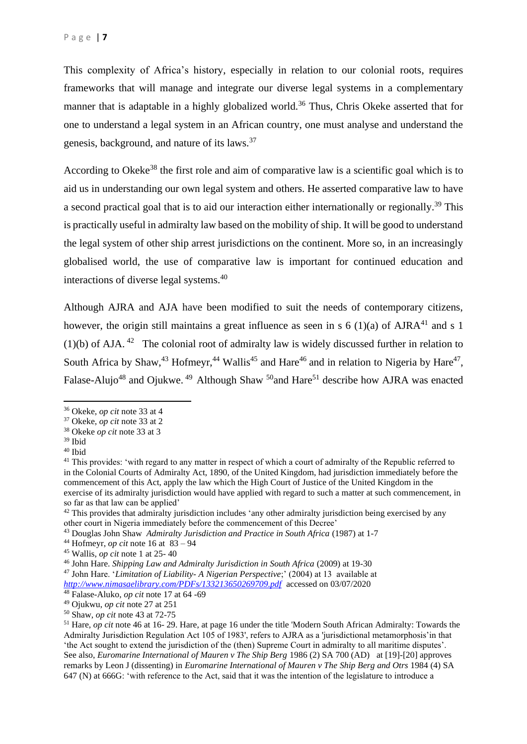This complexity of Africa's history, especially in relation to our colonial roots, requires frameworks that will manage and integrate our diverse legal systems in a complementary manner that is adaptable in a highly globalized world.<sup>36</sup> Thus, Chris Okeke asserted that for one to understand a legal system in an African country, one must analyse and understand the genesis, background, and nature of its laws.<sup>37</sup>

According to Okeke<sup>38</sup> the first role and aim of comparative law is a scientific goal which is to aid us in understanding our own legal system and others. He asserted comparative law to have a second practical goal that is to aid our interaction either internationally or regionally.<sup>39</sup> This is practically useful in admiralty law based on the mobility of ship. It will be good to understand the legal system of other ship arrest jurisdictions on the continent. More so, in an increasingly globalised world, the use of comparative law is important for continued education and interactions of diverse legal systems.<sup>40</sup>

Although AJRA and AJA have been modified to suit the needs of contemporary citizens, however, the origin still maintains a great influence as seen in s 6 (1)(a) of AJRA<sup>41</sup> and s 1  $(1)(b)$  of AJA.<sup>42</sup> The colonial root of admiralty law is widely discussed further in relation to South Africa by Shaw,<sup>43</sup> Hofmeyr,<sup>44</sup> Wallis<sup>45</sup> and Hare<sup>46</sup> and in relation to Nigeria by Hare<sup>47</sup>, Falase-Alujo<sup>48</sup> and Ojukwe.<sup>49</sup> Although Shaw <sup>50</sup>and Hare<sup>51</sup> describe how AJRA was enacted

*<http://www.nimasaelibrary.com/PDFs/133213650269709.pdf>* accessed on 03/07/2020

<sup>36</sup> Okeke, *op cit* note 33 at 4

<sup>37</sup> Okeke, *op cit* note 33 at 2

<sup>38</sup> Okeke *op cit* note 33 at 3

<sup>39</sup> Ibid

 $40$  Ibid

<sup>&</sup>lt;sup>41</sup> This provides: 'with regard to any matter in respect of which a court of admiralty of the Republic referred to in the Colonial Courts of Admiralty Act, 1890, of the United Kingdom, had jurisdiction immediately before the commencement of this Act, apply the law which the High Court of Justice of the United Kingdom in the exercise of its admiralty jurisdiction would have applied with regard to such a matter at such commencement, in so far as that law can be applied'

<sup>&</sup>lt;sup>42</sup> This provides that admiralty jurisdiction includes 'any other admiralty jurisdiction being exercised by any other court in Nigeria immediately before the commencement of this Decree'

<sup>43</sup> Douglas John Shaw *Admiralty Jurisdiction and Practice in South Africa* (1987) at 1-7

<sup>44</sup> Hofmeyr, *op cit* note 16 at 83 – 94

<sup>45</sup> Wallis, *op cit* note 1 at 25- 40

<sup>&</sup>lt;sup>46</sup> John Hare. *Shipping Law and Admiralty Jurisdiction in South Africa* (2009) at 19-30

<sup>47</sup> John Hare. '*Limitation of Liability- A Nigerian Perspective*;' (2004) at 13 available at

<sup>48</sup> Falase-Aluko, *op cit* note 17 at 64 -69

<sup>49</sup> Ojukwu, *op cit* note 27 at 251

<sup>50</sup> Shaw, *op cit* note 43 at 72-75

<sup>51</sup> Hare, *op cit* note 46 at 16- 29. Hare, at page 16 under the title 'Modern South African Admiralty: Towards the Admiralty Jurisdiction Regulation Act 105 of 1983', refers to AJRA as a 'jurisdictional metamorphosis'in that 'the Act sought to extend the jurisdiction of the (then) Supreme Court in admiralty to all maritime disputes'. See also, *Euromarine International of Mauren v The Ship Berg* 1986 (2) SA 700 (AD) at [19]-[20] approves remarks by Leon J (dissenting) in *Euromarine International of Mauren v The Ship Berg and Otrs* 1984 (4) SA 647 (N) at 666G: 'with reference to the Act, said that it was the intention of the legislature to introduce a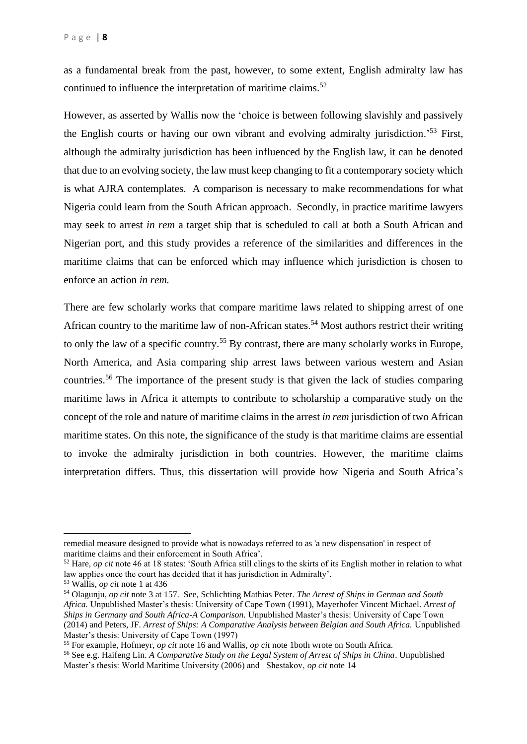as a fundamental break from the past, however, to some extent, English admiralty law has continued to influence the interpretation of maritime claims. $52$ 

However, as asserted by Wallis now the 'choice is between following slavishly and passively the English courts or having our own vibrant and evolving admiralty jurisdiction.'<sup>53</sup> First, although the admiralty jurisdiction has been influenced by the English law, it can be denoted that due to an evolving society, the law must keep changing to fit a contemporary society which is what AJRA contemplates. A comparison is necessary to make recommendations for what Nigeria could learn from the South African approach. Secondly, in practice maritime lawyers may seek to arrest *in rem* a target ship that is scheduled to call at both a South African and Nigerian port, and this study provides a reference of the similarities and differences in the maritime claims that can be enforced which may influence which jurisdiction is chosen to enforce an action *in rem.*

There are few scholarly works that compare maritime laws related to shipping arrest of one African country to the maritime law of non-African states. <sup>54</sup> Most authors restrict their writing to only the law of a specific country.<sup>55</sup> By contrast, there are many scholarly works in Europe, North America, and Asia comparing ship arrest laws between various western and Asian countries.<sup>56</sup> The importance of the present study is that given the lack of studies comparing maritime laws in Africa it attempts to contribute to scholarship a comparative study on the concept of the role and nature of maritime claims in the arrest *in rem* jurisdiction of two African maritime states. On this note, the significance of the study is that maritime claims are essential to invoke the admiralty jurisdiction in both countries. However, the maritime claims interpretation differs. Thus, this dissertation will provide how Nigeria and South Africa's

remedial measure designed to provide what is nowadays referred to as 'a new dispensation' in respect of maritime claims and their enforcement in South Africa'.

<sup>&</sup>lt;sup>52</sup> Hare, *op cit* note 46 at 18 states: 'South Africa still clings to the skirts of its English mother in relation to what law applies once the court has decided that it has jurisdiction in Admiralty'.

<sup>53</sup> Wallis, *op cit* note 1 at 436

<sup>54</sup> Olagunju, *op cit* note 3 at 157. See, Schlichting Mathias Peter. *The Arrest of Ships in German and South Africa.* Unpublished Master's thesis: University of Cape Town (1991), Mayerhofer Vincent Michael. *Arrest of Ships in Germany and South Africa-A Comparison.* Unpublished Master's thesis: University of Cape Town (2014) and Peters, JF. *Arrest of Ships: A Comparative Analysis between Belgian and South Africa.* Unpublished Master's thesis: University of Cape Town (1997)

<sup>55</sup> For example, Hofmeyr, *op cit* note 16 and Wallis, *op cit* note 1both wrote on South Africa.

<sup>56</sup> See e.g. Haifeng Lin. *A Comparative Study on the Legal System of Arrest of Ships in China*. Unpublished Master's thesis: World Maritime University (2006) and Shestakov, *op cit* note 14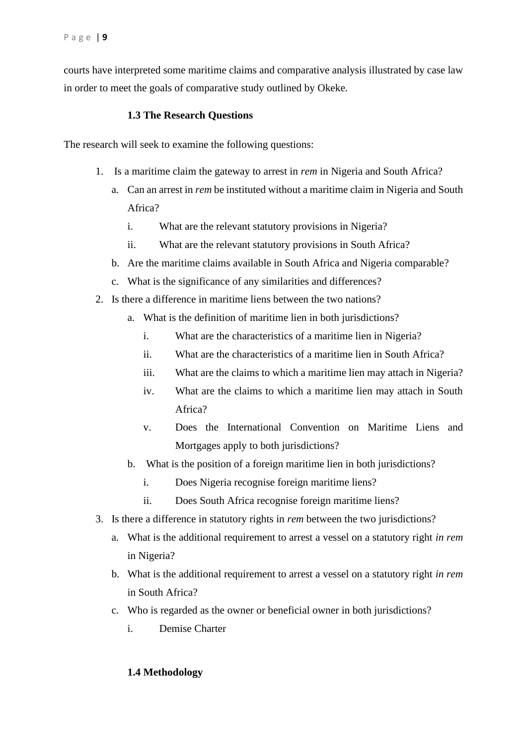courts have interpreted some maritime claims and comparative analysis illustrated by case law in order to meet the goals of comparative study outlined by Okeke.

# **1.3 The Research Questions**

The research will seek to examine the following questions:

- 1. Is a maritime claim the gateway to arrest in *rem* in Nigeria and South Africa?
	- a. Can an arrest in *rem* be instituted without a maritime claim in Nigeria and South Africa?
		- i. What are the relevant statutory provisions in Nigeria?
		- ii. What are the relevant statutory provisions in South Africa?
	- b. Are the maritime claims available in South Africa and Nigeria comparable?
	- c. What is the significance of any similarities and differences?
- 2. Is there a difference in maritime liens between the two nations?
	- a. What is the definition of maritime lien in both jurisdictions?
		- i. What are the characteristics of a maritime lien in Nigeria?
		- ii. What are the characteristics of a maritime lien in South Africa?
		- iii. What are the claims to which a maritime lien may attach in Nigeria?
		- iv. What are the claims to which a maritime lien may attach in South Africa?
		- v. Does the International Convention on Maritime Liens and Mortgages apply to both jurisdictions?
	- b. What is the position of a foreign maritime lien in both jurisdictions?
		- i. Does Nigeria recognise foreign maritime liens?
		- ii. Does South Africa recognise foreign maritime liens?
- 3. Is there a difference in statutory rights in *rem* between the two jurisdictions?
	- a. What is the additional requirement to arrest a vessel on a statutory right *in rem* in Nigeria?
	- b. What is the additional requirement to arrest a vessel on a statutory right *in rem*  in South Africa?
	- c. Who is regarded as the owner or beneficial owner in both jurisdictions?
		- i. Demise Charter

# **1.4 Methodology**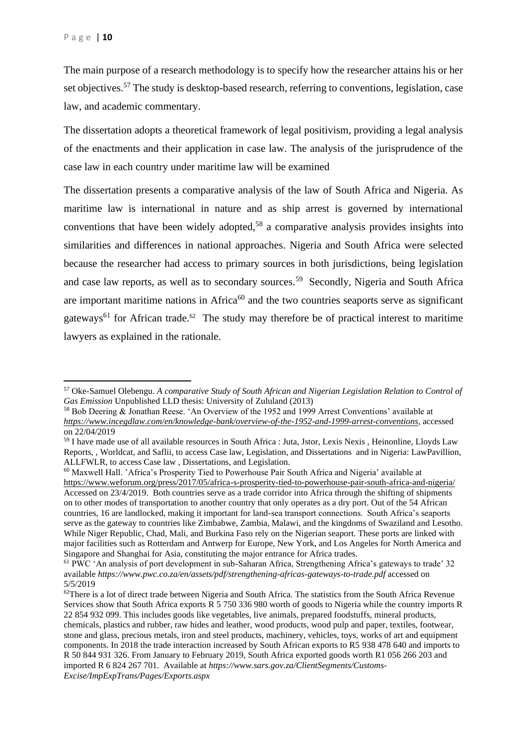The main purpose of a research methodology is to specify how the researcher attains his or her set objectives.<sup>57</sup> The study is desktop-based research, referring to conventions, legislation, case law, and academic commentary.

The dissertation adopts a theoretical framework of legal positivism, providing a legal analysis of the enactments and their application in case law. The analysis of the jurisprudence of the case law in each country under maritime law will be examined

The dissertation presents a comparative analysis of the law of South Africa and Nigeria. As maritime law is international in nature and as ship arrest is governed by international conventions that have been widely adopted,<sup>58</sup> a comparative analysis provides insights into similarities and differences in national approaches. Nigeria and South Africa were selected because the researcher had access to primary sources in both jurisdictions, being legislation and case law reports, as well as to secondary sources.<sup>59</sup> Secondly, Nigeria and South Africa are important maritime nations in Africa<sup>60</sup> and the two countries seaports serve as significant gateways<sup>61</sup> for African trade.<sup>62</sup> The study may therefore be of practical interest to maritime lawyers as explained in the rationale.

<sup>57</sup> Oke-Samuel Olebengu. *A comparative Study of South African and Nigerian Legislation Relation to Control of Gas Emission* Unpublished LLD thesis: University of Zululand (2013)

<sup>&</sup>lt;sup>58</sup> Bob Deering & Jonathan Reese. 'An Overview of the 1952 and 1999 Arrest Conventions' available at *<https://www.incegdlaw.com/en/knowledge-bank/overview-of-the-1952-and-1999-arrest-conventions>*, accessed on 22/04/2019

<sup>59</sup> I have made use of all available resources in South Africa : Juta, Jstor, Lexis Nexis , Heinonline, Lloyds Law Reports, , Worldcat, and Saflii, to access Case law, Legislation, and Dissertations and in Nigeria: LawPavillion, ALLFWLR, to access Case law , Dissertations, and Legislation.

<sup>60</sup> Maxwell Hall. 'Africa's Prosperity Tied to Powerhouse Pair South Africa and Nigeria' available at <https://www.weforum.org/press/2017/05/africa-s-prosperity-tied-to-powerhouse-pair-south-africa-and-nigeria/> Accessed on 23/4/2019. Both countries serve as a trade corridor into Africa through the shifting of shipments on to other modes of transportation to another country that only operates as a dry port. Out of the 54 African countries, 16 are landlocked, making it important for land-sea transport connections. South Africa's seaports serve as the gateway to countries like Zimbabwe, Zambia, Malawi, and the kingdoms of Swaziland and Lesotho. While Niger Republic, Chad, Mali, and Burkina Faso rely on the Nigerian seaport. These ports are linked with major facilities such as Rotterdam and Antwerp for Europe, New York, and Los Angeles for North America and Singapore and Shanghai for Asia, constituting the major entrance for Africa trades.

<sup>61</sup> PWC 'An analysis of port development in sub-Saharan Africa, Strengthening Africa's gateways to trade' 32 available *https://www.pwc.co.za/en/assets/pdf/strengthening-africas-gateways-to-trade.pdf* accessed on 5/5/2019

 $62$ There is a lot of direct trade between Nigeria and South Africa. The statistics from the South Africa Revenue Services show that South Africa exports R 5 750 336 980 worth of goods to Nigeria while the country imports R 22 854 932 099. This includes goods like vegetables, live animals, prepared foodstuffs, mineral products, chemicals, plastics and rubber, raw hides and leather, wood products, wood pulp and paper, textiles, footwear, stone and glass, precious metals, iron and steel products, machinery, vehicles, toys, works of art and equipment components. In 2018 the trade interaction increased by South African exports to R5 938 478 640 and imports to R 50 844 931 326. From January to February 2019, South Africa exported goods worth R1 056 266 203 and imported R 6 824 267 701. Available at *https://www.sars.gov.za/ClientSegments/Customs-Excise/ImpExpTrans/Pages/Exports.aspx*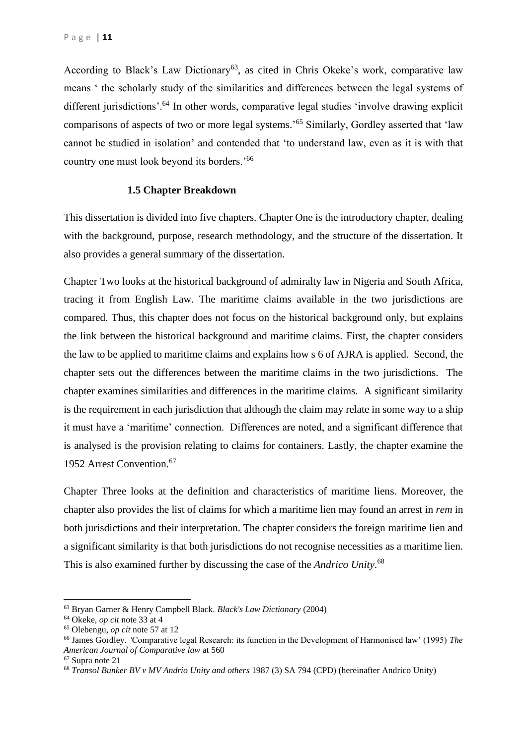According to Black's Law Dictionary<sup>63</sup>, as cited in Chris Okeke's work, comparative law means ' the scholarly study of the similarities and differences between the legal systems of different jurisdictions'.<sup>64</sup> In other words, comparative legal studies 'involve drawing explicit comparisons of aspects of two or more legal systems.' <sup>65</sup> Similarly, Gordley asserted that 'law cannot be studied in isolation' and contended that 'to understand law, even as it is with that country one must look beyond its borders.'<sup>66</sup>

# **1.5 Chapter Breakdown**

This dissertation is divided into five chapters. Chapter One is the introductory chapter, dealing with the background, purpose, research methodology, and the structure of the dissertation. It also provides a general summary of the dissertation.

Chapter Two looks at the historical background of admiralty law in Nigeria and South Africa, tracing it from English Law. The maritime claims available in the two jurisdictions are compared. Thus, this chapter does not focus on the historical background only, but explains the link between the historical background and maritime claims. First, the chapter considers the law to be applied to maritime claims and explains how s 6 of AJRA is applied. Second, the chapter sets out the differences between the maritime claims in the two jurisdictions. The chapter examines similarities and differences in the maritime claims. A significant similarity is the requirement in each jurisdiction that although the claim may relate in some way to a ship it must have a 'maritime' connection. Differences are noted, and a significant difference that is analysed is the provision relating to claims for containers. Lastly, the chapter examine the 1952 Arrest Convention.<sup>67</sup>

Chapter Three looks at the definition and characteristics of maritime liens. Moreover, the chapter also provides the list of claims for which a maritime lien may found an arrest in *rem* in both jurisdictions and their interpretation. The chapter considers the foreign maritime lien and a significant similarity is that both jurisdictions do not recognise necessities as a maritime lien. This is also examined further by discussing the case of the *Andrico Unity*. 68

<sup>63</sup> Bryan Garner & Henry Campbell Black*. Black's Law Dictionary* (2004)

<sup>64</sup> Okeke, *op cit* note 33 at 4

<sup>65</sup> Olebengu, *op cit* note 57 at 12

<sup>66</sup> James Gordley. *'*Comparative legal Research: its function in the Development of Harmonised law' (1995) *The American Journal of Comparative law* at 560

<sup>67</sup> Supra note 21

<sup>68</sup> *Transol Bunker BV v MV Andrio Unity and others* 1987 (3) SA 794 (CPD) (hereinafter Andrico Unity)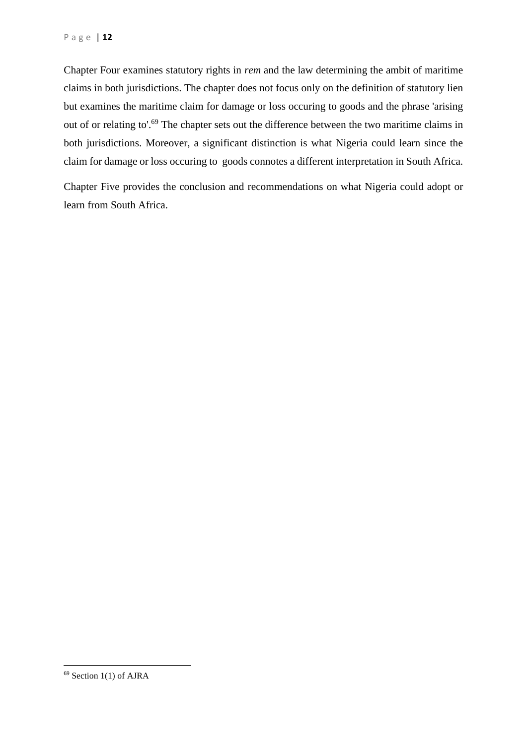Chapter Four examines statutory rights in *rem* and the law determining the ambit of maritime claims in both jurisdictions. The chapter does not focus only on the definition of statutory lien but examines the maritime claim for damage or loss occuring to goods and the phrase 'arising out of or relating to'.<sup>69</sup> The chapter sets out the difference between the two maritime claims in both jurisdictions. Moreover, a significant distinction is what Nigeria could learn since the claim for damage or loss occuring to goods connotes a different interpretation in South Africa.

Chapter Five provides the conclusion and recommendations on what Nigeria could adopt or learn from South Africa.

 $69$  Section 1(1) of AJRA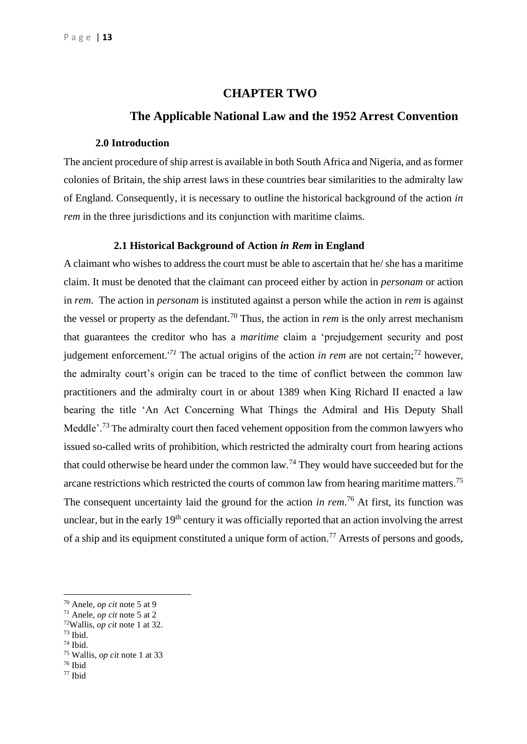# **CHAPTER TWO**

# **The Applicable National Law and the 1952 Arrest Convention**

#### **2.0 Introduction**

The ancient procedure of ship arrest is available in both South Africa and Nigeria, and as former colonies of Britain, the ship arrest laws in these countries bear similarities to the admiralty law of England. Consequently, it is necessary to outline the historical background of the action *in rem* in the three jurisdictions and its conjunction with maritime claims.

#### **2.1 Historical Background of Action** *in Rem* **in England**

A claimant who wishes to address the court must be able to ascertain that he/ she has a maritime claim. It must be denoted that the claimant can proceed either by action in *personam* or action in *rem.* The action in *personam* is instituted against a person while the action in *rem* is against the vessel or property as the defendant.<sup>70</sup> Thu*s,* the action in *rem* is the only arrest mechanism that guarantees the creditor who has a *maritime* claim a 'prejudgement security and post judgement enforcement.<sup>'71</sup> The actual origins of the action *in rem* are not certain;<sup>72</sup> however, the admiralty court's origin can be traced to the time of conflict between the common law practitioners and the admiralty court in or about 1389 when King Richard II enacted a law bearing the title 'An Act Concerning What Things the Admiral and His Deputy Shall Meddle'.<sup>73</sup> The admiralty court then faced vehement opposition from the common lawyers who issued so-called writs of prohibition, which restricted the admiralty court from hearing actions that could otherwise be heard under the common law.<sup>74</sup> They would have succeeded but for the arcane restrictions which restricted the courts of common law from hearing maritime matters.<sup>75</sup> The consequent uncertainty laid the ground for the action *in rem*. <sup>76</sup> At first, its function was unclear, but in the early 19<sup>th</sup> century it was officially reported that an action involving the arrest of a ship and its equipment constituted a unique form of action.<sup>77</sup> Arrests of persons and goods,

<sup>77</sup> Ibid

<sup>70</sup> Anele, *op cit* note 5 at 9

<sup>71</sup> Anele, *op cit* note 5 at 2

<sup>72</sup>Wallis, *op cit* note 1 at 32.

<sup>73</sup> Ibid.

<sup>74</sup> Ibid.

<sup>75</sup> Wallis, *op cit* note 1 at 33

<sup>76</sup> Ibid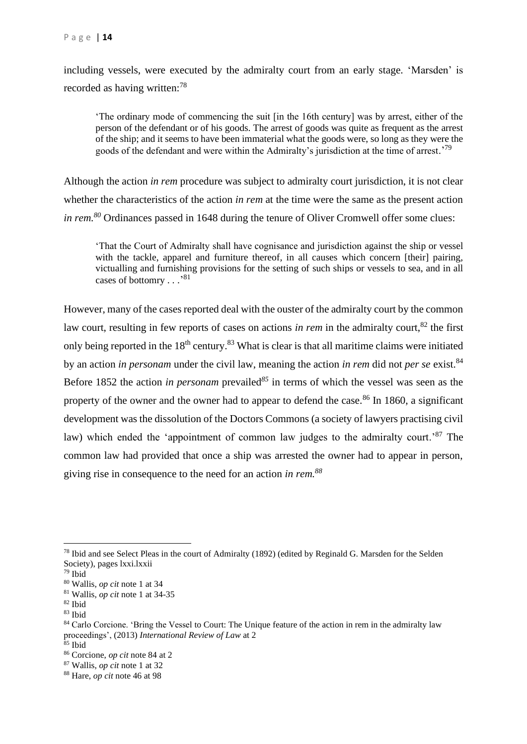including vessels, were executed by the admiralty court from an early stage. 'Marsden' is recorded as having written:<sup>78</sup>

'The ordinary mode of commencing the suit [in the 16th century] was by arrest, either of the person of the defendant or of his goods. The arrest of goods was quite as frequent as the arrest of the ship; and it seems to have been immaterial what the goods were, so long as they were the goods of the defendant and were within the Admiralty's jurisdiction at the time of arrest.<sup>'79</sup>

Although the action *in rem* procedure was subject to admiralty court jurisdiction, it is not clear whether the characteristics of the action *in rem* at the time were the same as the present action *in rem.<sup>80</sup>* Ordinances passed in 1648 during the tenure of Oliver Cromwell offer some clues:

'That the Court of Admiralty shall have cognisance and jurisdiction against the ship or vessel with the tackle, apparel and furniture thereof, in all causes which concern [their] pairing, victualling and furnishing provisions for the setting of such ships or vessels to sea, and in all cases of bottomry . . .'<sup>81</sup>

However, many of the cases reported deal with the ouster of the admiralty court by the common law court, resulting in few reports of cases on actions *in rem* in the admiralty court,<sup>82</sup> the first only being reported in the  $18<sup>th</sup>$  century.<sup>83</sup> What is clear is that all maritime claims were initiated by an action *in personam* under the civil law, meaning the action *in rem* did not *per se* exist.<sup>84</sup> Before 1852 the action *in personam* prevailed*<sup>85</sup>* in terms of which the vessel was seen as the property of the owner and the owner had to appear to defend the case.<sup>86</sup> In 1860, a significant development was the dissolution of the Doctors Commons (a society of lawyers practising civil law) which ended the 'appointment of common law judges to the admiralty court.<sup>87</sup> The common law had provided that once a ship was arrested the owner had to appear in person, giving rise in consequence to the need for an action *in rem.<sup>88</sup>*

<sup>85</sup> Ibid

<sup>&</sup>lt;sup>78</sup> Ibid and see Select Pleas in the court of Admiralty (1892) (edited by Reginald G. Marsden for the Selden Society), pages lxxi.lxxii

 $79$  Ibid

<sup>80</sup> Wallis, *op cit* note 1 at 34

<sup>81</sup> Wallis, *op cit* note 1 at 34-35

<sup>82</sup> Ibid

<sup>83</sup> Ibid

<sup>&</sup>lt;sup>84</sup> Carlo Corcione. 'Bring the Vessel to Court: The Unique feature of the action in rem in the admiralty law proceedings', (2013) *International Review of Law* at 2

<sup>86</sup> Corcione, *op cit* note 84 at 2

<sup>87</sup> Wallis, *op cit* note 1 at 32

<sup>88</sup> Hare, *op cit* note 46 at 98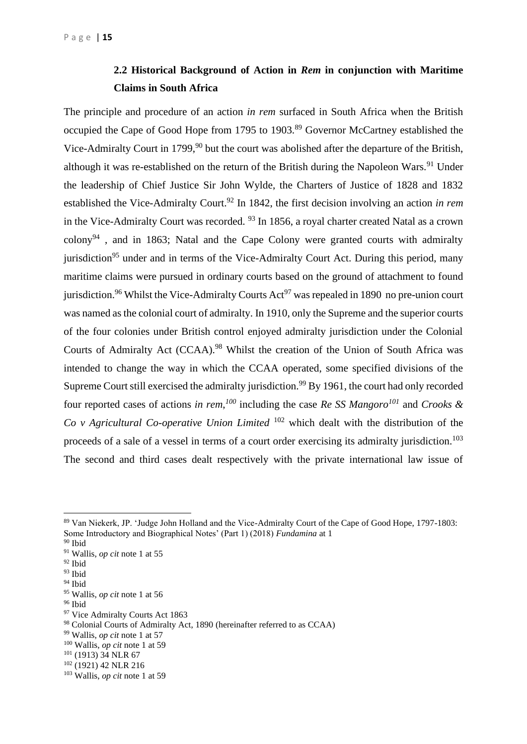# **2.2 Historical Background of Action in** *Rem* **in conjunction with Maritime Claims in South Africa**

The principle and procedure of an action *in rem* surfaced in South Africa when the British occupied the Cape of Good Hope from 1795 to 1903.<sup>89</sup> Governor McCartney established the Vice-Admiralty Court in 1799,<sup>90</sup> but the court was abolished after the departure of the British, although it was re-established on the return of the British during the Napoleon Wars.<sup>91</sup> Under the leadership of Chief Justice Sir John Wylde, the Charters of Justice of 1828 and 1832 established the Vice-Admiralty Court.<sup>92</sup> In 1842, the first decision involving an action *in rem* in the Vice-Admiralty Court was recorded. <sup>93</sup> In 1856, a royal charter created Natal as a crown  $\text{colony}^{94}$ , and in 1863; Natal and the Cape Colony were granted courts with admiralty jurisdiction<sup>95</sup> under and in terms of the Vice-Admiralty Court Act. During this period, many maritime claims were pursued in ordinary courts based on the ground of attachment to found jurisdiction.<sup>96</sup> Whilst the Vice-Admiralty Courts Act<sup>97</sup> was repealed in 1890 no pre-union court was named as the colonial court of admiralty. In 1910, only the Supreme and the superior courts of the four colonies under British control enjoyed admiralty jurisdiction under the Colonial Courts of Admiralty Act (CCAA). <sup>98</sup> Whilst the creation of the Union of South Africa was intended to change the way in which the CCAA operated, some specified divisions of the Supreme Court still exercised the admiralty jurisdiction.<sup>99</sup> By 1961, the court had only recorded four reported cases of actions *in rem*, *<sup>100</sup>* including the case *Re SS Mangoro<sup>101</sup>* and *Crooks & Co v Agricultural Co-operative Union Limited* <sup>102</sup> which dealt with the distribution of the proceeds of a sale of a vessel in terms of a court order exercising its admiralty jurisdiction.<sup>103</sup> The second and third cases dealt respectively with the private international law issue of

<sup>89</sup> Van Niekerk, JP. 'Judge John Holland and the Vice-Admiralty Court of the Cape of Good Hope, 1797-1803: Some Introductory and Biographical Notes' (Part 1) (2018) *Fundamina* at 1

<sup>90</sup> Ibid

<sup>91</sup> Wallis, *op cit* note 1 at 55

<sup>92</sup> Ibid

<sup>93</sup> Ibid

<sup>94</sup> Ibid

<sup>95</sup> Wallis, *op cit* note 1 at 56

<sup>96</sup> Ibid

<sup>97</sup> Vice Admiralty Courts Act 1863

<sup>98</sup> Colonial Courts of Admiralty Act, 1890 (hereinafter referred to as CCAA)

<sup>99</sup> Wallis, *op cit* note 1 at 57

<sup>100</sup> Wallis, *op cit* note 1 at 59

<sup>101</sup> (1913) 34 NLR 67

<sup>102</sup> (1921) 42 NLR 216

<sup>103</sup> Wallis, *op cit* note 1 at 59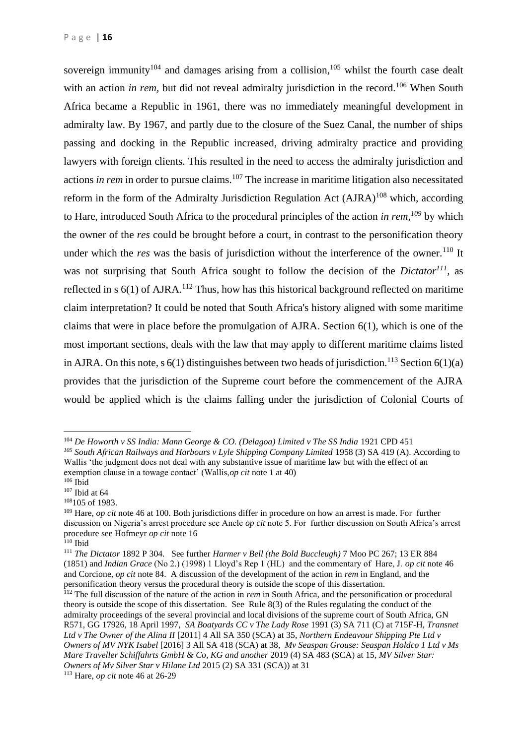sovereign immunity<sup>104</sup> and damages arising from a collision,<sup>105</sup> whilst the fourth case dealt with an action *in rem*, but did not reveal admiralty jurisdiction in the record.<sup>106</sup> When South Africa became a Republic in 1961, there was no immediately meaningful development in admiralty law. By 1967, and partly due to the closure of the Suez Canal, the number of ships passing and docking in the Republic increased, driving admiralty practice and providing lawyers with foreign clients. This resulted in the need to access the admiralty jurisdiction and actions *in rem* in order to pursue claims.<sup>107</sup> The increase in maritime litigation also necessitated reform in the form of the Admiralty Jurisdiction Regulation Act (AJRA)<sup>108</sup> which, according to Hare, introduced South Africa to the procedural principles of the action *in rem,<sup>109</sup>* by which the owner of the *res* could be brought before a court, in contrast to the personification theory under which the *res* was the basis of jurisdiction without the interference of the owner.<sup>110</sup> It was not surprising that South Africa sought to follow the decision of the *Dictator<sup>111</sup> ,* as reflected in s  $6(1)$  of AJRA.<sup>112</sup> Thus, how has this historical background reflected on maritime claim interpretation? It could be noted that South Africa's history aligned with some maritime claims that were in place before the promulgation of AJRA. Section 6(1), which is one of the most important sections, deals with the law that may apply to different maritime claims listed in AJRA. On this note, s  $6(1)$  distinguishes between two heads of jurisdiction.<sup>113</sup> Section  $6(1)(a)$ provides that the jurisdiction of the Supreme court before the commencement of the AJRA would be applied which is the claims falling under the jurisdiction of Colonial Courts of

<sup>&</sup>lt;sup>104</sup> *De Howorth v SS India: Mann George & CO. (Delagoa) Limited v The SS India* 1921 CPD 451

<sup>&</sup>lt;sup>105</sup> South African Railways and Harbours v Lyle Shipping Company Limited 1958 (3) SA 419 (A). According to Wallis 'the judgment does not deal with any substantive issue of maritime law but with the effect of an exemption clause in a towage contact' (Wallis,*op cit* note 1 at 40)

 $106$  Ibid

<sup>107</sup> Ibid at 64

<sup>108</sup>105 of 1983.

<sup>&</sup>lt;sup>109</sup> Hare, *op cit* note 46 at 100. Both jurisdictions differ in procedure on how an arrest is made. For further discussion on Nigeria's arrest procedure see Anele *op cit* note 5. For further discussion on South Africa's arrest procedure see Hofmeyr *op cit* note 16

 $110$  Ibid

<sup>111</sup> *The Dictator* 1892 P 304. See further *Harmer v Bell (the Bold Buccleugh)* 7 Moo PC 267; 13 ER 884 (1851) and *Indian Grace* (No 2.) (1998) 1 Lloyd's Rep 1 (HL) and the commentary of Hare, J. *op cit* note 46 and Corcione, *op cit* note 84. A discussion of the development of the action in *rem* in England, and the personification theory versus the procedural theory is outside the scope of this dissertation.

<sup>&</sup>lt;sup>112</sup> The full discussion of the nature of the action in *rem* in South Africa, and the personification or procedural theory is outside the scope of this dissertation. See Rule 8(3) of the Rules regulating the conduct of the admiralty proceedings of the several provincial and local divisions of the supreme court of South Africa, GN R571, GG 17926, 18 April 1997, *SA Boatyards CC v The Lady Rose* 1991 (3) SA 711 (C) at 715F-H, *Transnet Ltd v The Owner of the Alina II* [2011] 4 All SA 350 (SCA) at 35, *Northern Endeavour Shipping Pte Ltd v Owners of MV NYK Isabel* [2016] 3 All SA 418 (SCA) at 38, *Mv Seaspan Grouse: Seaspan Holdco 1 Ltd v Ms Mare Traveller Schiffahrts GmbH & Co, KG and another* 2019 (4) SA 483 (SCA) at 15, *MV Silver Star: Owners of Mv Silver Star v Hilane Ltd* 2015 (2) SA 331 (SCA)) at 31

<sup>113</sup> Hare, *op cit* note 46 at 26-29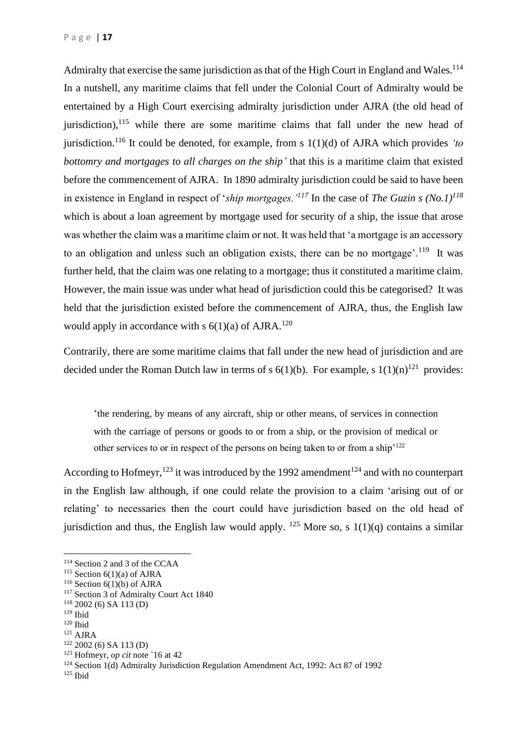Admiralty that exercise the same jurisdiction as that of the High Court in England and Wales.<sup>114</sup> In a nutshell, any maritime claims that fell under the Colonial Court of Admiralty would be entertained by a High Court exercising admiralty jurisdiction under AJRA (the old head of jurisdiction),<sup>115</sup> while there are some maritime claims that fall under the new head of jurisdiction.<sup>116</sup> It could be denoted, for example, from s 1(1)(d) of AJRA which provides *'to bottomry and mortgages to all charges on the ship'* that this is a maritime claim that existed before the commencement of AJRA. In 1890 admiralty jurisdiction could be said to have been in existence in England in respect of '*ship mortgages.'<sup>117</sup>* In the case of *The Guzin s (No.1)<sup>118</sup>* which is about a loan agreement by mortgage used for security of a ship, the issue that arose was whether the claim was a maritime claim or not. It was held that 'a mortgage is an accessory to an obligation and unless such an obligation exists, there can be no mortgage'.<sup>119</sup> It was further held, that the claim was one relating to a mortgage; thus it constituted a maritime claim. However, the main issue was under what head of jurisdiction could this be categorised? It was held that the jurisdiction existed before the commencement of AJRA, thus, the English law would apply in accordance with s  $6(1)(a)$  of AJRA.<sup>120</sup>

Contrarily, there are some maritime claims that fall under the new head of jurisdiction and are decided under the Roman Dutch law in terms of s  $6(1)(b)$ . For example, s  $1(1)(n)^{121}$  provides:

'the rendering, by means of any aircraft, ship or other means, of services in connection with the carriage of persons or goods to or from a ship, or the provision of medical or other services to or in respect of the persons on being taken to or from a ship'<sup>122</sup>

According to Hofmeyr,<sup>123</sup> it was introduced by the 1992 amendment<sup>124</sup> and with no counterpart in the English law although, if one could relate the provision to a claim 'arising out of or relating' to necessaries then the court could have jurisdiction based on the old head of jurisdiction and thus, the English law would apply. <sup>125</sup> More so, s 1(1)(q) contains a similar

<sup>114</sup> Section 2 and 3 of the CCAA

 $115$  Section 6(1)(a) of AJRA

 $116$  Section  $6(1)(b)$  of AJRA

<sup>&</sup>lt;sup>117</sup> Section 3 of Admiralty Court Act 1840

<sup>118</sup> 2002 (6) SA 113 (D)

 $^{119}$  Ibid

 $120$  Ibid

 $121$  AJRA

<sup>122</sup> 2002 (6) SA 113 (D)

<sup>&</sup>lt;sup>123</sup> Hofmeyr, *op cit* note `16 at 42

<sup>124</sup> Section 1(d) Admiralty Jurisdiction Regulation Amendment Act, 1992: Act 87 of 1992

<sup>125</sup> Ibid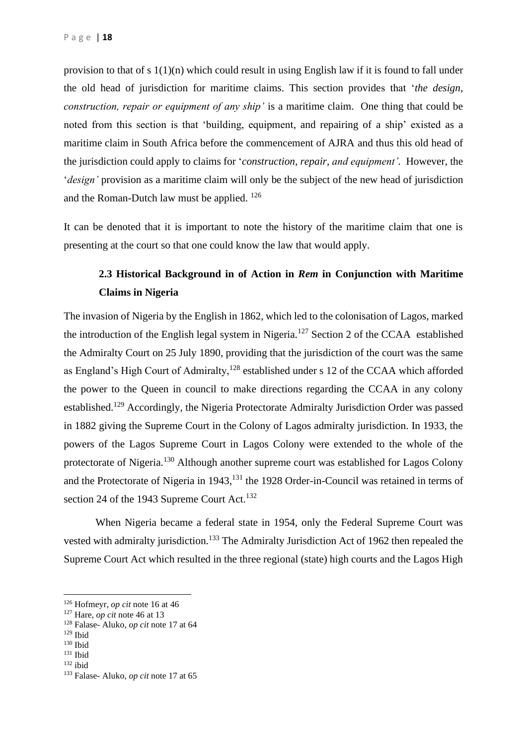provision to that of s 1(1)(n) which could result in using English law if it is found to fall under the old head of jurisdiction for maritime claims. This section provides that '*the design, construction, repair or equipment of any ship'* is a maritime claim. One thing that could be noted from this section is that 'building, equipment, and repairing of a ship' existed as a maritime claim in South Africa before the commencement of AJRA and thus this old head of the jurisdiction could apply to claims for '*construction, repair, and equipment'.* However, the *design'* provision as a maritime claim will only be the subject of the new head of jurisdiction and the Roman-Dutch law must be applied. 126

It can be denoted that it is important to note the history of the maritime claim that one is presenting at the court so that one could know the law that would apply.

# **2.3 Historical Background in of Action in** *Rem* **in Conjunction with Maritime Claims in Nigeria**

The invasion of Nigeria by the English in 1862, which led to the colonisation of Lagos, marked the introduction of the English legal system in Nigeria.<sup>127</sup> Section 2 of the CCAA established the Admiralty Court on 25 July 1890, providing that the jurisdiction of the court was the same as England's High Court of Admiralty,<sup>128</sup> established under s 12 of the CCAA which afforded the power to the Queen in council to make directions regarding the CCAA in any colony established.<sup>129</sup> Accordingly, the Nigeria Protectorate Admiralty Jurisdiction Order was passed in 1882 giving the Supreme Court in the Colony of Lagos admiralty jurisdiction. In 1933, the powers of the Lagos Supreme Court in Lagos Colony were extended to the whole of the protectorate of Nigeria.<sup>130</sup> Although another supreme court was established for Lagos Colony and the Protectorate of Nigeria in 1943,<sup>131</sup> the 1928 Order-in-Council was retained in terms of section 24 of the 1943 Supreme Court Act.<sup>132</sup>

When Nigeria became a federal state in 1954, only the Federal Supreme Court was vested with admiralty jurisdiction.<sup>133</sup> The Admiralty Jurisdiction Act of 1962 then repealed the Supreme Court Act which resulted in the three regional (state) high courts and the Lagos High

<sup>130</sup> Ibid

<sup>126</sup> Hofmeyr, *op cit* note 16 at 46

<sup>127</sup> Hare, *op cit* note 46 at 13

<sup>128</sup> Falase- Aluko, *op cit* note 17 at 64

<sup>129</sup> Ibid

<sup>131</sup> Ibid

 $132$  ibid

<sup>133</sup> Falase- Aluko, *op cit* note 17 at 65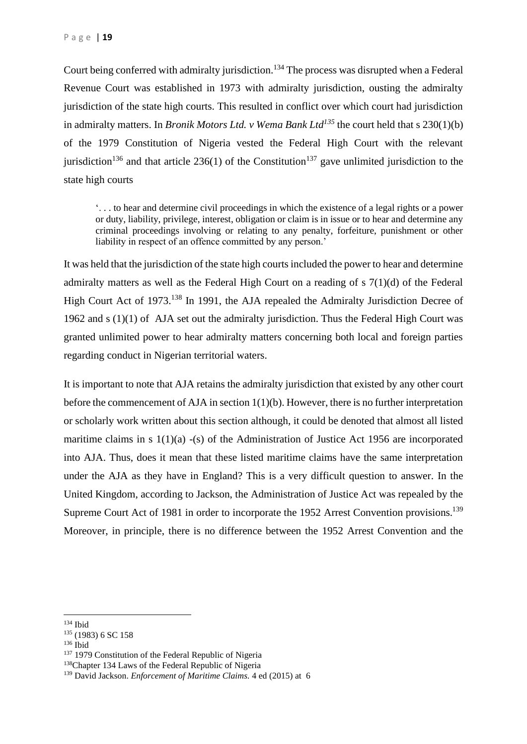Court being conferred with admiralty jurisdiction.<sup>134</sup> The process was disrupted when a Federal Revenue Court was established in 1973 with admiralty jurisdiction, ousting the admiralty jurisdiction of the state high courts. This resulted in conflict over which court had jurisdiction in admiralty matters. In *Bronik Motors Ltd. v Wema Bank Ltd<sup>135</sup>* the court held that s 230(1)(b) of the 1979 Constitution of Nigeria vested the Federal High Court with the relevant jurisdiction<sup>136</sup> and that article 236(1) of the Constitution<sup>137</sup> gave unlimited jurisdiction to the state high courts

'. . . to hear and determine civil proceedings in which the existence of a legal rights or a power or duty, liability, privilege, interest, obligation or claim is in issue or to hear and determine any criminal proceedings involving or relating to any penalty, forfeiture, punishment or other liability in respect of an offence committed by any person.'

It was held that the jurisdiction of the state high courts included the power to hear and determine admiralty matters as well as the Federal High Court on a reading of s 7(1)(d) of the Federal High Court Act of 1973.<sup>138</sup> In 1991, the AJA repealed the Admiralty Jurisdiction Decree of 1962 and s (1)(1) of AJA set out the admiralty jurisdiction. Thus the Federal High Court was granted unlimited power to hear admiralty matters concerning both local and foreign parties regarding conduct in Nigerian territorial waters.

It is important to note that AJA retains the admiralty jurisdiction that existed by any other court before the commencement of AJA in section 1(1)(b). However, there is no further interpretation or scholarly work written about this section although, it could be denoted that almost all listed maritime claims in s  $1(1)(a)$  -(s) of the Administration of Justice Act 1956 are incorporated into AJA. Thus, does it mean that these listed maritime claims have the same interpretation under the AJA as they have in England? This is a very difficult question to answer. In the United Kingdom, according to Jackson, the Administration of Justice Act was repealed by the Supreme Court Act of 1981 in order to incorporate the 1952 Arrest Convention provisions.<sup>139</sup> Moreover, in principle, there is no difference between the 1952 Arrest Convention and the

<sup>138</sup>Chapter 134 Laws of the Federal Republic of Nigeria

<sup>134</sup> Ibid

<sup>135</sup> (1983) 6 SC 158

<sup>136</sup> Ibid

<sup>137</sup> 1979 Constitution of the Federal Republic of Nigeria

<sup>&</sup>lt;sup>139</sup> David Jackson. *Enforcement of Maritime Claims*. 4 ed (2015) at 6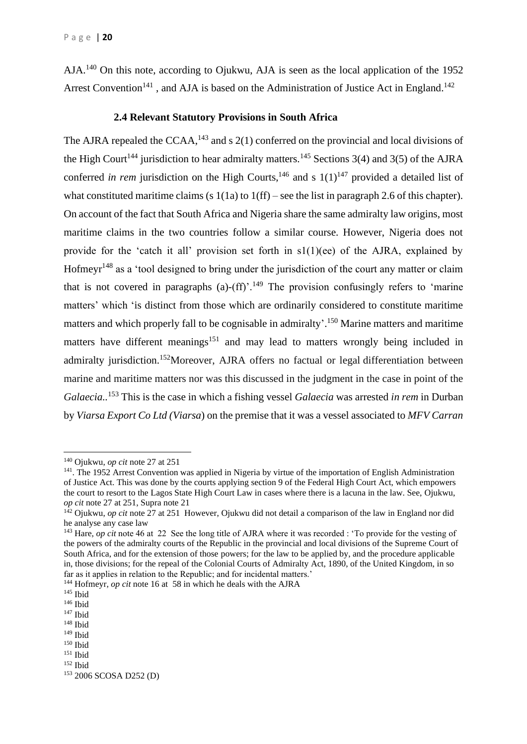AJA.<sup>140</sup> On this note, according to Ojukwu, AJA is seen as the local application of the 1952 Arrest Convention<sup>141</sup>, and AJA is based on the Administration of Justice Act in England.<sup>142</sup>

#### **2.4 Relevant Statutory Provisions in South Africa**

The AJRA repealed the CCAA,  $^{143}$  and s 2(1) conferred on the provincial and local divisions of the High Court<sup>144</sup> jurisdiction to hear admiralty matters.<sup>145</sup> Sections 3(4) and 3(5) of the AJRA conferred *in rem* jurisdiction on the High Courts,<sup>146</sup> and s  $1(1)^{147}$  provided a detailed list of what constituted maritime claims (s  $1(1a)$  to  $1(ff)$  – see the list in paragraph 2.6 of this chapter). On account of the fact that South Africa and Nigeria share the same admiralty law origins, most maritime claims in the two countries follow a similar course. However, Nigeria does not provide for the 'catch it all' provision set forth in s1(1)(ee) of the AJRA, explained by Hofmeyr<sup>148</sup> as a 'tool designed to bring under the jurisdiction of the court any matter or claim that is not covered in paragraphs (a)- $(ff)'$ <sup>149</sup>. The provision confusingly refers to 'marine matters' which 'is distinct from those which are ordinarily considered to constitute maritime matters and which properly fall to be cognisable in admiralty'.<sup>150</sup> Marine matters and maritime matters have different meanings<sup>151</sup> and may lead to matters wrongly being included in admiralty jurisdiction.<sup>152</sup>Moreover, AJRA offers no factual or legal differentiation between marine and maritime matters nor was this discussed in the judgment in the case in point of the *Galaecia..* <sup>153</sup> This is the case in which a fishing vessel *Galaecia* was arrested *in rem* in Durban by *Viarsa Export Co Ltd (Viarsa*) on the premise that it was a vessel associated to *MFV Carran*

<sup>140</sup> Ojukwu, *op cit* note 27 at 251

<sup>&</sup>lt;sup>141</sup>. The 1952 Arrest Convention was applied in Nigeria by virtue of the importation of English Administration of Justice Act. This was done by the courts applying section 9 of the Federal High Court Act, which empowers the court to resort to the Lagos State High Court Law in cases where there is a lacuna in the law. See, Ojukwu, *op cit* note 27 at 251, Supra note 21

<sup>&</sup>lt;sup>142</sup> Ojukwu, *op cit* note 27 at 251 However, Ojukwu did not detail a comparison of the law in England nor did he analyse any case law

<sup>&</sup>lt;sup>143</sup> Hare, *op cit* note 46 at 22 See the long title of AJRA where it was recorded : 'To provide for the vesting of the powers of the admiralty courts of the Republic in the provincial and local divisions of the Supreme Court of South Africa, and for the extension of those powers; for the law to be applied by, and the procedure applicable in, those divisions; for the repeal of the Colonial Courts of Admiralty Act, 1890, of the United Kingdom, in so far as it applies in relation to the Republic; and for incidental matters.'

<sup>144</sup> Hofmeyr, *op cit* note 16 at 58 in which he deals with the AJRA

<sup>145</sup> Ibid

<sup>146</sup> Ibid

<sup>147</sup> Ibid

<sup>148</sup> Ibid

 $^{149}$  Ibid

<sup>150</sup> Ibid <sup>151</sup> Ibid

 $152$  Ibid

<sup>153</sup> 2006 SCOSA D252 (D)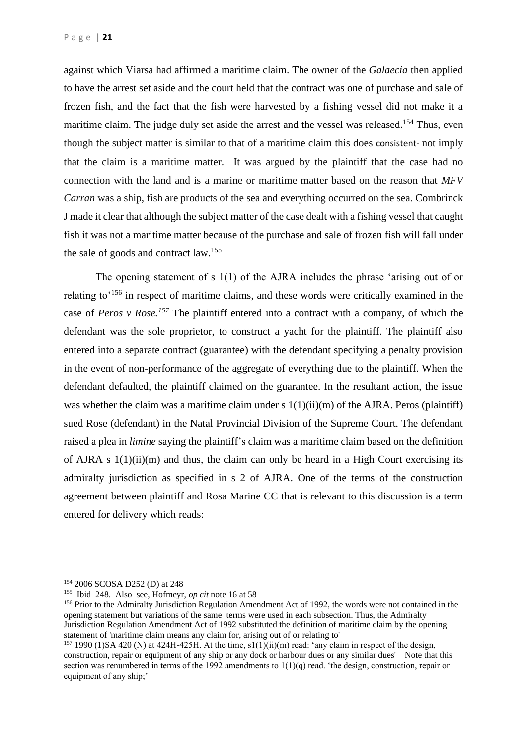against which Viarsa had affirmed a maritime claim. The owner of the *Galaecia* then applied to have the arrest set aside and the court held that the contract was one of purchase and sale of frozen fish, and the fact that the fish were harvested by a fishing vessel did not make it a maritime claim. The judge duly set aside the arrest and the vessel was released.<sup>154</sup> Thus, even though the subject matter is similar to that of a maritime claim this does consistent- not imply that the claim is a maritime matter. It was argued by the plaintiff that the case had no connection with the land and is a marine or maritime matter based on the reason that *MFV Carran* was a ship, fish are products of the sea and everything occurred on the sea. Combrinck J made it clear that although the subject matter of the case dealt with a fishing vessel that caught fish it was not a maritime matter because of the purchase and sale of frozen fish will fall under the sale of goods and contract law.<sup>155</sup>

The opening statement of s 1(1) of the AJRA includes the phrase 'arising out of or relating to'<sup>156</sup> in respect of maritime claims, and these words were critically examined in the case of *Peros v Rose.<sup>157</sup>* The plaintiff entered into a contract with a company, of which the defendant was the sole proprietor, to construct a yacht for the plaintiff. The plaintiff also entered into a separate contract (guarantee) with the defendant specifying a penalty provision in the event of non-performance of the aggregate of everything due to the plaintiff. When the defendant defaulted, the plaintiff claimed on the guarantee. In the resultant action, the issue was whether the claim was a maritime claim under s  $1(1)(ii)(m)$  of the AJRA. Peros (plaintiff) sued Rose (defendant) in the Natal Provincial Division of the Supreme Court. The defendant raised a plea in *limine* saying the plaintiff's claim was a maritime claim based on the definition of AJRA s 1(1)(ii)(m) and thus, the claim can only be heard in a High Court exercising its admiralty jurisdiction as specified in s 2 of AJRA. One of the terms of the construction agreement between plaintiff and Rosa Marine CC that is relevant to this discussion is a term entered for delivery which reads:

<sup>154</sup> 2006 SCOSA D252 (D) at 248

<sup>155</sup> Ibid 248. Also see, Hofmeyr, *op cit* note 16 at 58

<sup>&</sup>lt;sup>156</sup> Prior to the Admiralty Jurisdiction Regulation Amendment Act of 1992, the words were not contained in the opening statement but variations of the same terms were used in each subsection. Thus, the Admiralty Jurisdiction Regulation Amendment Act of 1992 substituted the definition of maritime claim by the opening statement of 'maritime claim means any claim for, arising out of or relating to'

<sup>&</sup>lt;sup>157</sup> 1990 (1)SA 420 (N) at 424H-425H. At the time,  $s1(1)(ii)(m)$  read: 'any claim in respect of the design, construction, repair or equipment of any ship or any dock or harbour dues or any similar dues' Note that this section was renumbered in terms of the 1992 amendments to 1(1)(q) read. 'the design, construction, repair or equipment of any ship;'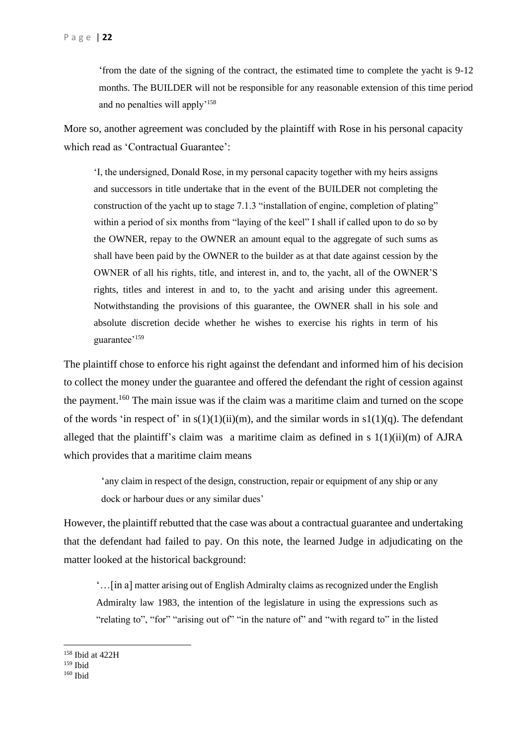'from the date of the signing of the contract, the estimated time to complete the yacht is 9-12 months. The BUILDER will not be responsible for any reasonable extension of this time period and no penalties will apply'<sup>158</sup>

More so, another agreement was concluded by the plaintiff with Rose in his personal capacity which read as 'Contractual Guarantee':

'I, the undersigned, Donald Rose, in my personal capacity together with my heirs assigns and successors in title undertake that in the event of the BUILDER not completing the construction of the yacht up to stage 7.1.3 "installation of engine, completion of plating" within a period of six months from "laying of the keel" I shall if called upon to do so by the OWNER, repay to the OWNER an amount equal to the aggregate of such sums as shall have been paid by the OWNER to the builder as at that date against cession by the OWNER of all his rights, title, and interest in, and to, the yacht, all of the OWNER'S rights, titles and interest in and to, to the yacht and arising under this agreement. Notwithstanding the provisions of this guarantee, the OWNER shall in his sole and absolute discretion decide whether he wishes to exercise his rights in term of his guarantee'<sup>159</sup>

The plaintiff chose to enforce his right against the defendant and informed him of his decision to collect the money under the guarantee and offered the defendant the right of cession against the payment.<sup>160</sup> The main issue was if the claim was a maritime claim and turned on the scope of the words 'in respect of' in  $s(1)(1)(ii)(m)$ , and the similar words in  $s1(1)(q)$ . The defendant alleged that the plaintiff's claim was a maritime claim as defined in s  $1(1)(ii)(m)$  of AJRA which provides that a maritime claim means

'any claim in respect of the design, construction, repair or equipment of any ship or any dock or harbour dues or any similar dues'

However, the plaintiff rebutted that the case was about a contractual guarantee and undertaking that the defendant had failed to pay. On this note, the learned Judge in adjudicating on the matter looked at the historical background:

'…[in a] matter arising out of English Admiralty claims as recognized under the English Admiralty law 1983, the intention of the legislature in using the expressions such as "relating to", "for" "arising out of" "in the nature of" and "with regard to" in the listed

<sup>158</sup> Ibid at 422H

 $159$  Ibid

 $160$  Ibid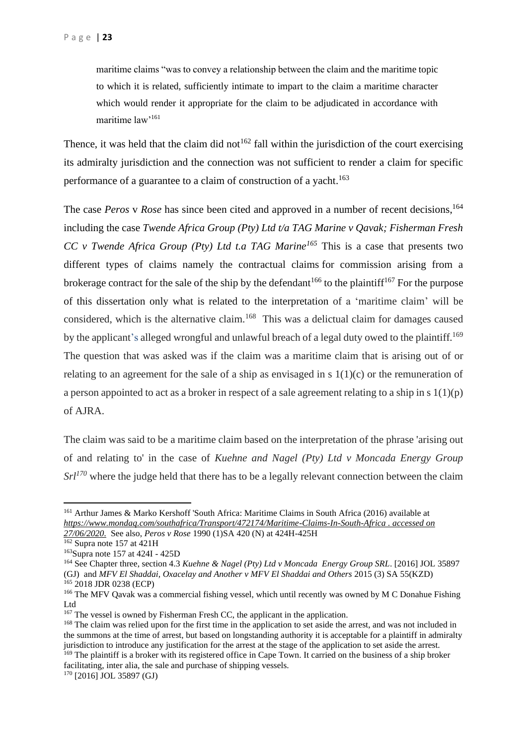maritime claims "was to convey a relationship between the claim and the maritime topic to which it is related, sufficiently intimate to impart to the claim a maritime character which would render it appropriate for the claim to be adjudicated in accordance with maritime law'<sup>161</sup>

Thence, it was held that the claim did not<sup>162</sup> fall within the jurisdiction of the court exercising its admiralty jurisdiction and the connection was not sufficient to render a claim for specific performance of a guarantee to a claim of construction of a yacht.<sup>163</sup>

The case *Peros* v *Rose* has since been cited and approved in a number of recent decisions, 164 including the case *Twende Africa Group (Pty) Ltd t/a TAG Marine v Qavak; Fisherman Fresh CC v Twende Africa Group (Pty) Ltd t.a TAG Marine<sup>165</sup>* This is a case that presents two different types of claims namely the contractual claims for commission arising from a brokerage contract for the sale of the ship by the defendant<sup>166</sup> to the plaintiff<sup>167</sup> For the purpose of this dissertation only what is related to the interpretation of a 'maritime claim' will be considered, which is the alternative claim.<sup>168</sup> This was a delictual claim for damages caused by the applicant's alleged wrongful and unlawful breach of a legal duty owed to the plaintiff.<sup>169</sup> The question that was asked was if the claim was a maritime claim that is arising out of or relating to an agreement for the sale of a ship as envisaged in s  $1(1)(c)$  or the remuneration of a person appointed to act as a broker in respect of a sale agreement relating to a ship in s  $1(1)(p)$ of AJRA.

The claim was said to be a maritime claim based on the interpretation of the phrase 'arising out of and relating to' in the case of *Kuehne and Nagel (Pty) Ltd v Moncada Energy Group Srl*<sup>170</sup> where the judge held that there has to be a legally relevant connection between the claim

<sup>161</sup> Arthur James & Marko Kershoff 'South Africa: Maritime Claims in South Africa (2016) available at *[https://www.mondaq.com/southafrica/Transport/472174/Maritime-Claims-In-South-Africa . accessed on](https://www.mondaq.com/southafrica/Transport/472174/Maritime-Claims-In-South-Africa%20.%20accessed%20on%2027/06/2020)  [27/06/2020.](https://www.mondaq.com/southafrica/Transport/472174/Maritime-Claims-In-South-Africa%20.%20accessed%20on%2027/06/2020)* See also, *Peros v Rose* 1990 (1)SA 420 (N) at 424H-425H

 $\frac{162}{162}$  Supra note 157 at 421H

<sup>163</sup>Supra note 157 at 424I - 425D

<sup>164</sup> See Chapter three, section 4.3 *Kuehne & Nagel (Pty) Ltd v Moncada Energy Group SRL*. [2016] JOL 35897 (GJ) and *MFV El Shaddai, Oxacelay and Another v MFV El Shaddai and Others* 2015 (3) SA 55(KZD) <sup>165</sup> 2018 JDR 0238 (ECP)

<sup>&</sup>lt;sup>166</sup> The MFV Qavak was a commercial fishing vessel, which until recently was owned by M C Donahue Fishing Ltd

<sup>&</sup>lt;sup>167</sup> The vessel is owned by Fisherman Fresh CC, the applicant in the application.

<sup>&</sup>lt;sup>168</sup> The claim was relied upon for the first time in the application to set aside the arrest, and was not included in the summons at the time of arrest, but based on longstanding authority it is acceptable for a plaintiff in admiralty jurisdiction to introduce any justification for the arrest at the stage of the application to set aside the arrest. <sup>169</sup> The plaintiff is a broker with its registered office in Cape Town. It carried on the business of a ship broker

facilitating, inter alia, the sale and purchase of shipping vessels.

<sup>170</sup> [2016] JOL 35897 (GJ)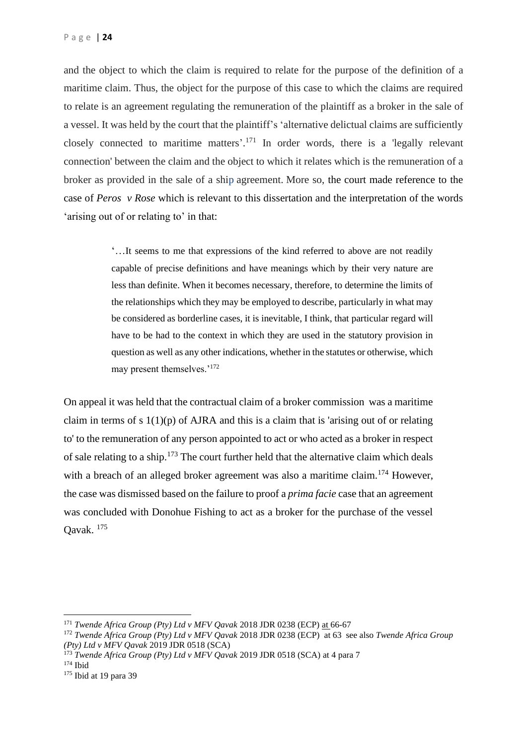and the object to which the claim is required to relate for the purpose of the definition of a maritime claim. Thus, the object for the purpose of this case to which the claims are required to relate is an agreement regulating the remuneration of the plaintiff as a broker in the sale of a vessel. It was held by the court that the plaintiff's 'alternative delictual claims are sufficiently closely connected to maritime matters'. <sup>171</sup> In order words, there is a 'legally relevant connection' between the claim and the object to which it relates which is the remuneration of a broker as provided in the sale of a ship agreement. More so, the court made reference to the case of *Peros v Rose* which is relevant to this dissertation and the interpretation of the words 'arising out of or relating to' in that:

> '…It seems to me that expressions of the kind referred to above are not readily capable of precise definitions and have meanings which by their very nature are less than definite. When it becomes necessary, therefore, to determine the limits of the relationships which they may be employed to describe, particularly in what may be considered as borderline cases, it is inevitable, I think, that particular regard will have to be had to the context in which they are used in the statutory provision in question as well as any other indications, whether in the statutes or otherwise, which may present themselves.'<sup>172</sup>

On appeal it was held that the contractual claim of a broker commission was a maritime claim in terms of s  $1(1)(p)$  of AJRA and this is a claim that is 'arising out of or relating to' to the remuneration of any person appointed to act or who acted as a broker in respect of sale relating to a ship.<sup>173</sup> The court further held that the alternative claim which deals with a breach of an alleged broker agreement was also a maritime claim.<sup>174</sup> However, the case was dismissed based on the failure to proof a *prima facie* case that an agreement was concluded with Donohue Fishing to act as a broker for the purchase of the vessel Qavak. <sup>175</sup>

<sup>171</sup> *Twende Africa Group (Pty) Ltd v MFV Qavak* 2018 JDR 0238 (ECP) at 66-67

<sup>172</sup> *Twende Africa Group (Pty) Ltd v MFV Qavak* 2018 JDR 0238 (ECP) at 63 see also *[Twende Africa Group](https://jutastat-juta-co-za.ukzn.idm.oclc.org/nxt/gateway.dll?f=hitdoc$hitdoc_bm=00000000800000F30000096C$hitdoc_hit=1$hitdoc_dt=document-frameset.htm$global=hitdoc_g_$hitdoc_g_hittotal=2$hitdoc_g_hitindex=1)  [\(Pty\) Ltd v MFV Qavak](https://jutastat-juta-co-za.ukzn.idm.oclc.org/nxt/gateway.dll?f=hitdoc$hitdoc_bm=00000000800000F30000096C$hitdoc_hit=1$hitdoc_dt=document-frameset.htm$global=hitdoc_g_$hitdoc_g_hittotal=2$hitdoc_g_hitindex=1)* 2019 JDR 0518 (SCA)

<sup>173</sup> *[Twende Africa Group \(Pty\) Ltd v MFV Qavak](https://jutastat-juta-co-za.ukzn.idm.oclc.org/nxt/gateway.dll?f=hitdoc$hitdoc_bm=00000000800000F30000096C$hitdoc_hit=1$hitdoc_dt=document-frameset.htm$global=hitdoc_g_$hitdoc_g_hittotal=2$hitdoc_g_hitindex=1)* 2019 JDR 0518 (SCA) at 4 para 7

 $174$  Ibid

<sup>175</sup> Ibid at 19 para 39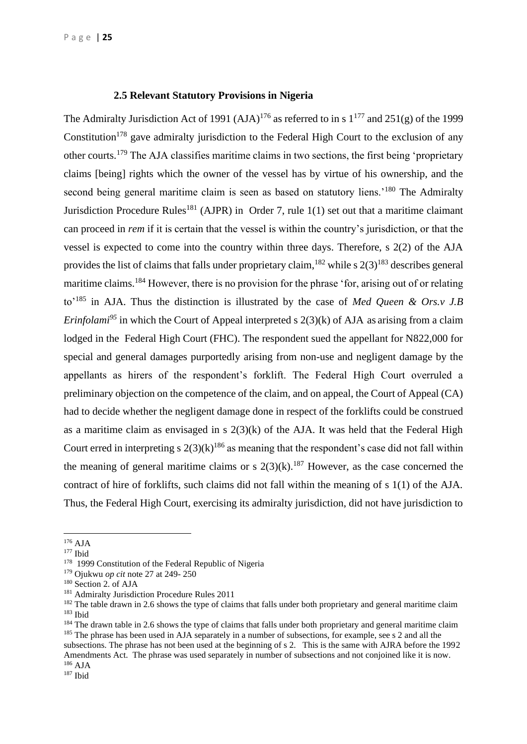#### **2.5 Relevant Statutory Provisions in Nigeria**

The Admiralty Jurisdiction Act of 1991  $(AJA)^{176}$  as referred to in s  $1^{177}$  and  $251(g)$  of the 1999 Constitution<sup>178</sup> gave admiralty jurisdiction to the Federal High Court to the exclusion of any other courts.<sup>179</sup> The AJA classifies maritime claims in two sections, the first being 'proprietary claims [being] rights which the owner of the vessel has by virtue of his ownership, and the second being general maritime claim is seen as based on statutory liens.'<sup>180</sup> The Admiralty Jurisdiction Procedure Rules<sup>181</sup> (AJPR) in Order 7, rule  $1(1)$  set out that a maritime claimant can proceed in *rem* if it is certain that the vessel is within the country's jurisdiction, or that the vessel is expected to come into the country within three days. Therefore, s 2(2) of the AJA provides the list of claims that falls under proprietary claim,  $182$  while s  $2(3)^{183}$  describes general maritime claims.<sup>184</sup> However, there is no provision for the phrase 'for, arising out of or relating to'<sup>185</sup> in AJA. Thus the distinction is illustrated by the case of *Med Queen & Ors.v J.B Erinfolami*<sup>95</sup> in which the Court of Appeal interpreted s 2(3)(k) of AJA as arising from a claim lodged in the Federal High Court (FHC). The respondent sued the appellant for N822,000 for special and general damages purportedly arising from non-use and negligent damage by the appellants as hirers of the respondent's forklift. The Federal High Court overruled a preliminary objection on the competence of the claim, and on appeal, the Court of Appeal (CA) had to decide whether the negligent damage done in respect of the forklifts could be construed as a maritime claim as envisaged in s  $2(3)(k)$  of the AJA. It was held that the Federal High Court erred in interpreting s  $2(3)(k)^{186}$  as meaning that the respondent's case did not fall within the meaning of general maritime claims or s  $2(3)(k)$ .<sup>187</sup> However, as the case concerned the contract of hire of forklifts, such claims did not fall within the meaning of s 1(1) of the AJA. Thus, the Federal High Court, exercising its admiralty jurisdiction, did not have jurisdiction to

 $^{176}$  AJA

<sup>177</sup> Ibid

<sup>&</sup>lt;sup>178</sup> 1999 Constitution of the Federal Republic of Nigeria

<sup>179</sup> Ojukwu *op cit* note 27 at 249- 250

<sup>180</sup> Section 2. of AJA

<sup>&</sup>lt;sup>181</sup> Admiralty Jurisdiction Procedure Rules 2011

<sup>&</sup>lt;sup>182</sup> The table drawn in 2.6 shows the type of claims that falls under both proprietary and general maritime claim <sup>183</sup> Ibid

<sup>&</sup>lt;sup>184</sup> The drawn table in 2.6 shows the type of claims that falls under both proprietary and general maritime claim <sup>185</sup> The phrase has been used in AJA separately in a number of subsections, for example, see s 2 and all the subsections. The phrase has not been used at the beginning of s 2. This is the same with AJRA before the 1992 Amendments Act. The phrase was used separately in number of subsections and not conjoined like it is now.

<sup>186</sup> AJA

<sup>187</sup> Ibid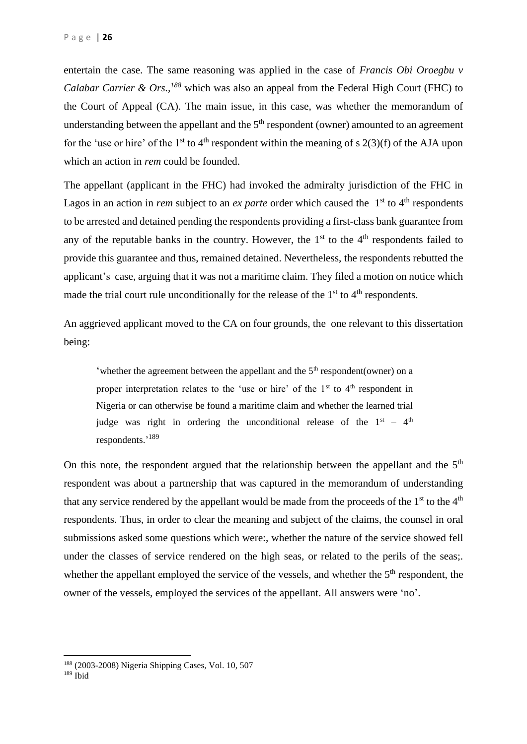entertain the case. The same reasoning was applied in the case of *Francis Obi Oroegbu v Calabar Carrier & Ors.,<sup>188</sup>* which was also an appeal from the Federal High Court (FHC) to the Court of Appeal (CA). The main issue, in this case, was whether the memorandum of understanding between the appellant and the 5<sup>th</sup> respondent (owner) amounted to an agreement for the 'use or hire' of the 1<sup>st</sup> to 4<sup>th</sup> respondent within the meaning of s 2(3)(f) of the AJA upon which an action in *rem* could be founded.

The appellant (applicant in the FHC) had invoked the admiralty jurisdiction of the FHC in Lagos in an action in *rem* subject to an *ex parte* order which caused the  $1<sup>st</sup>$  to  $4<sup>th</sup>$  respondents to be arrested and detained pending the respondents providing a first-class bank guarantee from any of the reputable banks in the country. However, the  $1<sup>st</sup>$  to the  $4<sup>th</sup>$  respondents failed to provide this guarantee and thus, remained detained. Nevertheless, the respondents rebutted the applicant's case, arguing that it was not a maritime claim. They filed a motion on notice which made the trial court rule unconditionally for the release of the  $1<sup>st</sup>$  to  $4<sup>th</sup>$  respondents.

An aggrieved applicant moved to the CA on four grounds, the one relevant to this dissertation being:

'whether the agreement between the appellant and the  $5<sup>th</sup>$  respondent(owner) on a proper interpretation relates to the 'use or hire' of the  $1<sup>st</sup>$  to  $4<sup>th</sup>$  respondent in Nigeria or can otherwise be found a maritime claim and whether the learned trial judge was right in ordering the unconditional release of the  $1<sup>st</sup> - 4<sup>th</sup>$ respondents.' 189

On this note, the respondent argued that the relationship between the appellant and the  $5<sup>th</sup>$ respondent was about a partnership that was captured in the memorandum of understanding that any service rendered by the appellant would be made from the proceeds of the 1<sup>st</sup> to the 4<sup>th</sup> respondents. Thus, in order to clear the meaning and subject of the claims, the counsel in oral submissions asked some questions which were:, whether the nature of the service showed fell under the classes of service rendered on the high seas, or related to the perils of the seas;. whether the appellant employed the service of the vessels, and whether the  $5<sup>th</sup>$  respondent, the owner of the vessels, employed the services of the appellant. All answers were 'no'.

<sup>188</sup> (2003-2008) Nigeria Shipping Cases, Vol. 10, 507

 $189$  Ibid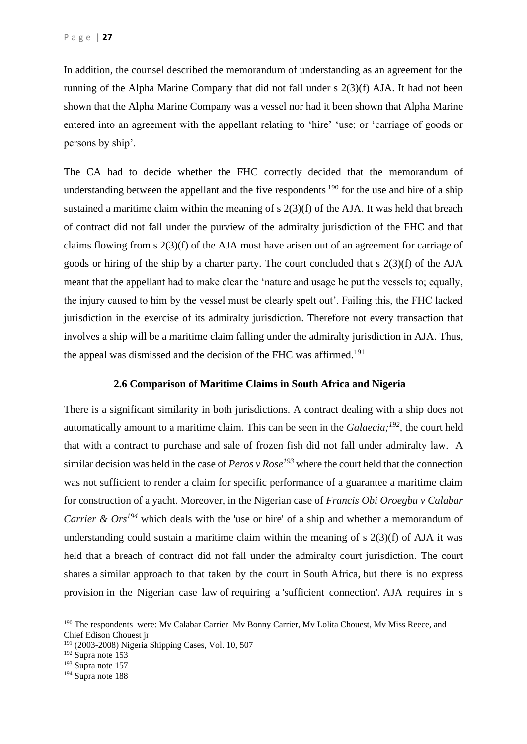In addition, the counsel described the memorandum of understanding as an agreement for the running of the Alpha Marine Company that did not fall under s 2(3)(f) AJA. It had not been shown that the Alpha Marine Company was a vessel nor had it been shown that Alpha Marine entered into an agreement with the appellant relating to 'hire' 'use; or 'carriage of goods or persons by ship'.

The CA had to decide whether the FHC correctly decided that the memorandum of understanding between the appellant and the five respondents  $190$  for the use and hire of a ship sustained a maritime claim within the meaning of s 2(3)(f) of the AJA. It was held that breach of contract did not fall under the purview of the admiralty jurisdiction of the FHC and that claims flowing from s 2(3)(f) of the AJA must have arisen out of an agreement for carriage of goods or hiring of the ship by a charter party. The court concluded that s 2(3)(f) of the AJA meant that the appellant had to make clear the 'nature and usage he put the vessels to; equally, the injury caused to him by the vessel must be clearly spelt out'. Failing this, the FHC lacked jurisdiction in the exercise of its admiralty jurisdiction. Therefore not every transaction that involves a ship will be a maritime claim falling under the admiralty jurisdiction in AJA. Thus, the appeal was dismissed and the decision of the FHC was affirmed. 191

#### **2.6 Comparison of Maritime Claims in South Africa and Nigeria**

There is a significant similarity in both jurisdictions. A contract dealing with a ship does not automatically amount to a maritime claim. This can be seen in the *Galaecia; 192 ,* the court held that with a contract to purchase and sale of frozen fish did not fall under admiralty law. A similar decision was held in the case of *Peros v Rose<sup>193</sup>* where the court held that the connection was not sufficient to render a claim for specific performance of a guarantee a maritime claim for construction of a yacht. Moreover, in the Nigerian case of *Francis Obi Oroegbu v Calabar Carrier &*  $Ors^{194}$  which deals with the 'use or hire' of a ship and whether a memorandum of understanding could sustain a maritime claim within the meaning of s 2(3)(f) of AJA it was held that a breach of contract did not fall under the admiralty court jurisdiction. The court shares a similar approach to that taken by the court in South Africa, but there is no express provision in the Nigerian case law of requiring a 'sufficient connection'. AJA requires in s

<sup>&</sup>lt;sup>190</sup> The respondents were: Mv Calabar Carrier Mv Bonny Carrier, Mv Lolita Chouest, Mv Miss Reece, and Chief Edison Chouest jr

<sup>191</sup> (2003-2008) Nigeria Shipping Cases, Vol. 10, 507

 $192$  Supra note 153

 $193$  Supra note 157

 $194$  Supra note 188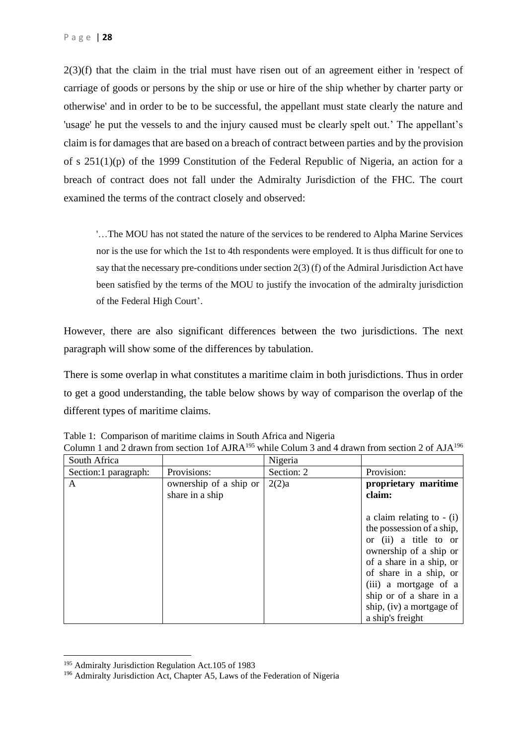2(3)(f) that the claim in the trial must have risen out of an agreement either in 'respect of carriage of goods or persons by the ship or use or hire of the ship whether by charter party or otherwise' and in order to be to be successful, the appellant must state clearly the nature and 'usage' he put the vessels to and the injury caused must be clearly spelt out.' The appellant's claim is for damages that are based on a breach of contract between parties and by the provision of s  $251(1)(p)$  of the 1999 Constitution of the Federal Republic of Nigeria, an action for a breach of contract does not fall under the Admiralty Jurisdiction of the FHC. The court examined the terms of the contract closely and observed:

'…The MOU has not stated the nature of the services to be rendered to Alpha Marine Services nor is the use for which the 1st to 4th respondents were employed. It is thus difficult for one to say that the necessary pre-conditions under section 2(3) (f) of the Admiral Jurisdiction Act have been satisfied by the terms of the MOU to justify the invocation of the admiralty jurisdiction of the Federal High Court'.

However, there are also significant differences between the two jurisdictions. The next paragraph will show some of the differences by tabulation.

There is some overlap in what constitutes a maritime claim in both jurisdictions. Thus in order to get a good understanding, the table below shows by way of comparison the overlap of the different types of maritime claims.

| South Africa          |                                           | Nigeria    |                                                                                                                                                                                                                                                                       |
|-----------------------|-------------------------------------------|------------|-----------------------------------------------------------------------------------------------------------------------------------------------------------------------------------------------------------------------------------------------------------------------|
| Section: 1 paragraph: | Provisions:                               | Section: 2 | Provision:                                                                                                                                                                                                                                                            |
| A                     | ownership of a ship or<br>share in a ship | 2(2)a      | proprietary maritime<br>claim:                                                                                                                                                                                                                                        |
|                       |                                           |            | a claim relating to $-$ (i)<br>the possession of a ship,<br>or (ii) a title to or<br>ownership of a ship or<br>of a share in a ship, or<br>of share in a ship, or<br>(iii) a mortgage of a<br>ship or of a share in a<br>ship, (iv) a mortgage of<br>a ship's freight |

Table 1: Comparison of maritime claims in South Africa and Nigeria Column 1 and 2 drawn from section 1of AJRA<sup>195</sup> while Colum 3 and 4 drawn from section 2 of AJA<sup>196</sup>

<sup>195</sup> Admiralty Jurisdiction Regulation Act.105 of 1983

<sup>196</sup> Admiralty Jurisdiction Act, Chapter A5, Laws of the Federation of Nigeria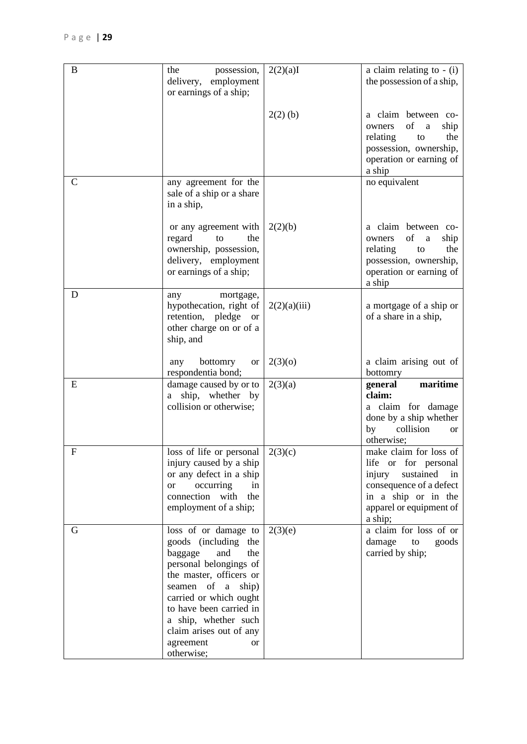| B            | the<br>possession,<br>delivery, employment<br>or earnings of a ship;                                                                                                                                                                                                                                   | 2(2)(a)I     | a claim relating to $-$ (i)<br>the possession of a ship,                                                                                                            |
|--------------|--------------------------------------------------------------------------------------------------------------------------------------------------------------------------------------------------------------------------------------------------------------------------------------------------------|--------------|---------------------------------------------------------------------------------------------------------------------------------------------------------------------|
|              |                                                                                                                                                                                                                                                                                                        | $2(2)$ (b)   | a claim between co-<br>of<br>ship<br>owners<br>$\rm{a}$<br>relating<br>the<br>to<br>possession, ownership,<br>operation or earning of<br>a ship                     |
| $\mathsf{C}$ | any agreement for the<br>sale of a ship or a share<br>in a ship,                                                                                                                                                                                                                                       |              | no equivalent                                                                                                                                                       |
|              | or any agreement with<br>regard<br>the<br>to<br>ownership, possession,<br>delivery, employment<br>or earnings of a ship;                                                                                                                                                                               | 2(2)(b)      | a claim between co-<br>of<br>ship<br>a<br>owners<br>relating<br>the<br>to<br>possession, ownership,<br>operation or earning of<br>a ship                            |
| D            | any<br>mortgage,<br>hypothecation, right of<br>retention, pledge<br><b>or</b><br>other charge on or of a<br>ship, and                                                                                                                                                                                  | 2(2)(a)(iii) | a mortgage of a ship or<br>of a share in a ship,                                                                                                                    |
|              | bottomry<br>any<br><b>or</b><br>respondentia bond;                                                                                                                                                                                                                                                     | 2(3)(0)      | a claim arising out of<br>bottomry                                                                                                                                  |
| E            | damage caused by or to<br>a ship, whether by<br>collision or otherwise;                                                                                                                                                                                                                                | 2(3)(a)      | maritime<br>general<br>claim:<br>a claim for damage<br>done by a ship whether<br>collision<br>by<br><b>or</b><br>otherwise;                                         |
| F            | loss of life or personal<br>injury caused by a ship<br>or any defect in a ship<br>occurring<br>in<br><b>or</b><br>connection with<br>the<br>employment of a ship;                                                                                                                                      | 2(3)(c)      | make claim for loss of<br>life or for personal<br>sustained<br>injury<br>in<br>consequence of a defect<br>in a ship or in the<br>apparel or equipment of<br>a ship; |
| G            | loss of or damage to<br>goods (including the<br>baggage<br>and<br>the<br>personal belongings of<br>the master, officers or<br>seamen of a<br>ship)<br>carried or which ought<br>to have been carried in<br>a ship, whether such<br>claim arises out of any<br>agreement<br><sub>or</sub><br>otherwise; | 2(3)(e)      | a claim for loss of or<br>damage<br>to<br>goods<br>carried by ship;                                                                                                 |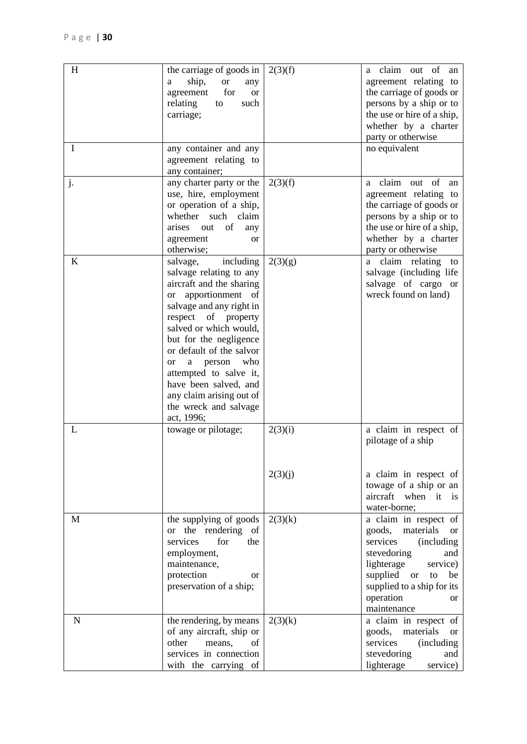| H<br>I | the carriage of goods in<br>ship,<br><b>or</b><br>any<br>a<br>for<br>agreement<br><b>or</b><br>relating<br>such<br>to<br>carriage;<br>any container and any                                                                                                                                                                                                                                                       | 2(3)(f)            | claim out of<br>an<br>a<br>agreement relating to<br>the carriage of goods or<br>persons by a ship or to<br>the use or hire of a ship,<br>whether by a charter<br>party or otherwise<br>no equivalent                                              |
|--------|-------------------------------------------------------------------------------------------------------------------------------------------------------------------------------------------------------------------------------------------------------------------------------------------------------------------------------------------------------------------------------------------------------------------|--------------------|---------------------------------------------------------------------------------------------------------------------------------------------------------------------------------------------------------------------------------------------------|
|        | agreement relating to<br>any container;                                                                                                                                                                                                                                                                                                                                                                           |                    |                                                                                                                                                                                                                                                   |
| j.     | any charter party or the<br>use, hire, employment<br>or operation of a ship,<br>whether such claim<br>of<br>arises<br>out<br>any<br>agreement<br><b>or</b><br>otherwise;                                                                                                                                                                                                                                          | 2(3)(f)            | claim<br>of<br>out<br>a<br>an<br>agreement relating to<br>the carriage of goods or<br>persons by a ship or to<br>the use or hire of a ship,<br>whether by a charter<br>party or otherwise                                                         |
| K      | salvage,<br>including<br>salvage relating to any<br>aircraft and the sharing<br>apportionment of<br><sub>or</sub><br>salvage and any right in<br>respect of property<br>salved or which would,<br>but for the negligence<br>or default of the salvor<br>who<br>person<br>a<br><sub>or</sub><br>attempted to salve it,<br>have been salved, and<br>any claim arising out of<br>the wreck and salvage<br>act, 1996; | 2(3)(g)            | a claim relating<br>to<br>salvage (including life<br>salvage of cargo or<br>wreck found on land)                                                                                                                                                  |
| L      | towage or pilotage;                                                                                                                                                                                                                                                                                                                                                                                               | 2(3)(i)<br>2(3)(j) | a claim in respect of<br>pilotage of a ship<br>a claim in respect of                                                                                                                                                                              |
|        |                                                                                                                                                                                                                                                                                                                                                                                                                   |                    | towage of a ship or an<br>aircraft when it is<br>water-borne;                                                                                                                                                                                     |
| M      | the supplying of goods<br>or the rendering of<br>for<br>the<br>services<br>employment,<br>maintenance,<br>protection<br><sub>or</sub><br>preservation of a ship;                                                                                                                                                                                                                                                  | 2(3)(k)            | a claim in respect of<br>materials<br>goods,<br><sub>or</sub><br>services<br><i>(including)</i><br>stevedoring<br>and<br>lighterage<br>service)<br>supplied or<br>be<br>to<br>supplied to a ship for its<br>operation<br><b>or</b><br>maintenance |
| N      | the rendering, by means<br>of any aircraft, ship or<br>other<br>means,<br>of<br>services in connection<br>with the carrying of                                                                                                                                                                                                                                                                                    | 2(3)(k)            | a claim in respect of<br>materials<br>goods,<br><sub>or</sub><br>services<br><i>(including)</i><br>stevedoring<br>and<br>lighterage<br>service)                                                                                                   |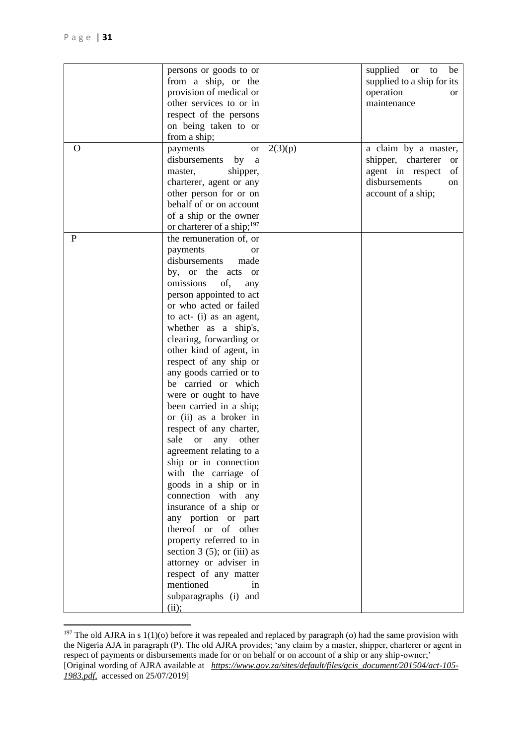| $\Omega$ | persons or goods to or<br>from a ship, or the<br>provision of medical or<br>other services to or in<br>respect of the persons<br>on being taken to or<br>from a ship;<br>payments<br><b>or</b><br>disbursements<br>by<br>a<br>shipper,<br>master,<br>charterer, agent or any<br>other person for or on<br>behalf of or on account<br>of a ship or the owner                                                                                                                                                                                                                                                                                                                                                                                                                                                                                                                                                                          | 2(3)(p) | supplied<br><b>or</b><br>be<br>to<br>supplied to a ship for its<br>operation<br><b>or</b><br>maintenance<br>a claim by a master,<br>shipper, charterer<br><b>or</b><br>agent in respect<br>of<br>disbursements<br>on<br>account of a ship; |
|----------|--------------------------------------------------------------------------------------------------------------------------------------------------------------------------------------------------------------------------------------------------------------------------------------------------------------------------------------------------------------------------------------------------------------------------------------------------------------------------------------------------------------------------------------------------------------------------------------------------------------------------------------------------------------------------------------------------------------------------------------------------------------------------------------------------------------------------------------------------------------------------------------------------------------------------------------|---------|--------------------------------------------------------------------------------------------------------------------------------------------------------------------------------------------------------------------------------------------|
| P        | or charterer of a ship; <sup>197</sup><br>the remuneration of, or<br>payments<br><b>or</b><br>disbursements<br>made<br>by, or the acts or<br>of,<br>omissions<br>any<br>person appointed to act<br>or who acted or failed<br>to act- (i) as an agent,<br>whether as a ship's,<br>clearing, forwarding or<br>other kind of agent, in<br>respect of any ship or<br>any goods carried or to<br>be carried or which<br>were or ought to have<br>been carried in a ship;<br>or (ii) as a broker in<br>respect of any charter,<br>sale<br><b>or</b><br>any<br>other<br>agreement relating to a<br>ship or in connection<br>with the carriage of<br>goods in a ship or in<br>connection with any<br>insurance of a ship or<br>any portion or part<br>thereof or of other<br>property referred to in<br>section $3(5)$ ; or (iii) as<br>attorney or adviser in<br>respect of any matter<br>mentioned<br>in<br>subparagraphs (i) and<br>(ii); |         |                                                                                                                                                                                                                                            |

 $197$  The old AJRA in s 1(1)(o) before it was repealed and replaced by paragraph (o) had the same provision with the Nigeria AJA in paragraph (P). The old AJRA provides; 'any claim by a master, shipper, charterer or agent in respect of payments or disbursements made for or on behalf or on account of a ship or any ship-owner;' [Original wording of AJRA available at *[https://www.gov.za/sites/default/files/gcis\\_document/201504/act-105-](https://www.gov.za/sites/default/files/gcis_document/201504/act-105-1983.pdf) [1983.pdf,](https://www.gov.za/sites/default/files/gcis_document/201504/act-105-1983.pdf)* accessed on 25/07/2019]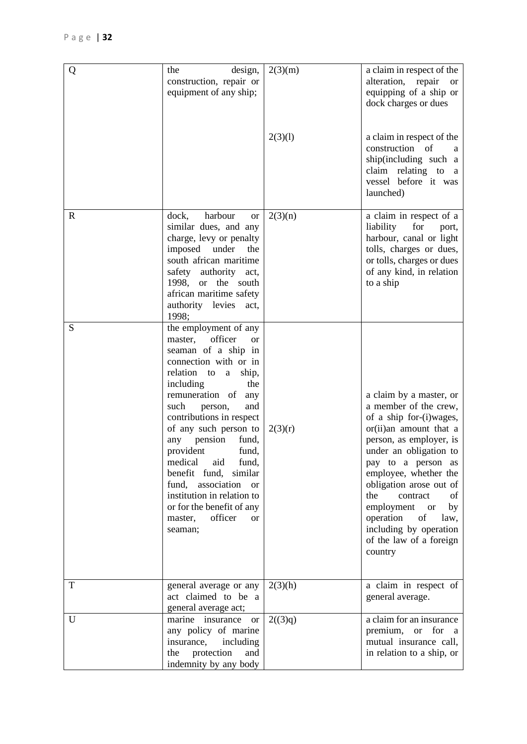| Q           | the<br>design,<br>construction, repair or<br>equipment of any ship;                                                                                                                                                                                                                                                                                                                                                                                                                                         | 2(3)(m)<br>2(3)(1) | a claim in respect of the<br>alteration,<br>repair<br><sub>or</sub><br>equipping of a ship or<br>dock charges or dues<br>a claim in respect of the<br>construction of<br>a<br>ship(including such a<br>claim relating to<br>a<br>vessel before it was<br>launched)                                                                                                                            |
|-------------|-------------------------------------------------------------------------------------------------------------------------------------------------------------------------------------------------------------------------------------------------------------------------------------------------------------------------------------------------------------------------------------------------------------------------------------------------------------------------------------------------------------|--------------------|-----------------------------------------------------------------------------------------------------------------------------------------------------------------------------------------------------------------------------------------------------------------------------------------------------------------------------------------------------------------------------------------------|
| $\mathbf R$ | harbour<br>dock,<br><b>or</b><br>similar dues, and any<br>charge, levy or penalty<br>imposed under<br>the<br>south african maritime<br>safety authority<br>act,<br>1998, or the south<br>african maritime safety<br>authority levies<br>act,<br>1998;                                                                                                                                                                                                                                                       | 2(3)(n)            | a claim in respect of a<br>liability<br>for<br>port,<br>harbour, canal or light<br>tolls, charges or dues,<br>or tolls, charges or dues<br>of any kind, in relation<br>to a ship                                                                                                                                                                                                              |
| S           | the employment of any<br>officer<br>master,<br><b>or</b><br>seaman of a ship in<br>connection with or in<br>relation to<br>a<br>ship,<br>including<br>the<br>remuneration of<br>any<br>such<br>and<br>person,<br>contributions in respect<br>of any such person to<br>pension<br>any<br>fund,<br>provident<br>fund,<br>medical<br>aid<br>fund,<br>benefit fund, similar<br>fund,<br>association or<br>institution in relation to<br>or for the benefit of any<br>officer<br>master,<br><b>or</b><br>seaman; | 2(3)(r)            | a claim by a master, or<br>a member of the crew,<br>of a ship for-(i)wages,<br>or(ii)an amount that a<br>person, as employer, is<br>under an obligation to<br>pay to a person as<br>employee, whether the<br>obligation arose out of<br>the<br>contract<br>of<br>employment<br>by<br><sub>or</sub><br>operation<br>of<br>law,<br>including by operation<br>of the law of a foreign<br>country |
| T           | general average or any<br>act claimed to be a<br>general average act;                                                                                                                                                                                                                                                                                                                                                                                                                                       | 2(3)(h)            | a claim in respect of<br>general average.                                                                                                                                                                                                                                                                                                                                                     |
| U           | marine insurance<br><b>or</b><br>any policy of marine<br>insurance,<br>including<br>protection<br>and<br>the<br>indemnity by any body                                                                                                                                                                                                                                                                                                                                                                       | 2((3)q)            | a claim for an insurance<br>premium,<br><sub>or</sub><br>for<br>a a<br>mutual insurance call,<br>in relation to a ship, or                                                                                                                                                                                                                                                                    |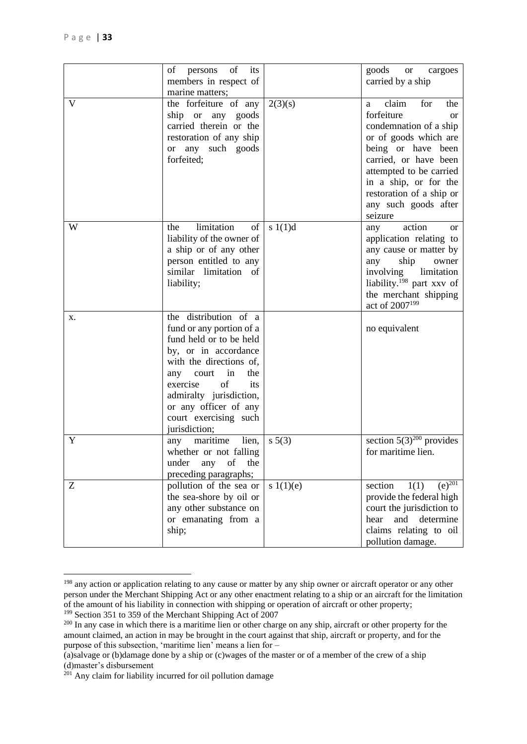|    | of<br>οf<br>persons<br>its<br>members in respect of<br>marine matters;                                                                                                                                                                                                              |             | goods<br>$\hbox{or}\hskip 2mm$<br>cargoes<br>carried by a ship                                                                                                                                                                                                           |
|----|-------------------------------------------------------------------------------------------------------------------------------------------------------------------------------------------------------------------------------------------------------------------------------------|-------------|--------------------------------------------------------------------------------------------------------------------------------------------------------------------------------------------------------------------------------------------------------------------------|
| V  | the forfeiture of any<br>ship or any goods<br>carried therein or the<br>restoration of any ship<br>any such goods<br><sub>or</sub><br>forfeited;                                                                                                                                    | 2(3)(s)     | claim<br>for<br>the<br>a<br>forfeiture<br><b>or</b><br>condemnation of a ship<br>or of goods which are<br>being or have been<br>carried, or have been<br>attempted to be carried<br>in a ship, or for the<br>restoration of a ship or<br>any such goods after<br>seizure |
| W  | limitation<br>of<br>the<br>liability of the owner of<br>a ship or of any other<br>person entitled to any<br>similar limitation of<br>liability;                                                                                                                                     | s $1(1)d$   | action<br>any<br><b>or</b><br>application relating to<br>any cause or matter by<br>ship<br>any<br>owner<br>involving<br>limitation<br>liability. <sup>198</sup> part xxv of<br>the merchant shipping<br>act of 2007 <sup>199</sup>                                       |
| Х. | the distribution of a<br>fund or any portion of a<br>fund held or to be held<br>by, or in accordance<br>with the directions of,<br>in<br>the<br>court<br>any<br>of<br>exercise<br>its<br>admiralty jurisdiction,<br>or any officer of any<br>court exercising such<br>jurisdiction; |             | no equivalent                                                                                                                                                                                                                                                            |
| Y  | lien,<br>maritime<br>any<br>whether or not falling<br>any of<br>under<br>the<br>preceding paragraphs;                                                                                                                                                                               | s 5(3)      | section $5(3)^{200}$ provides<br>for maritime lien.                                                                                                                                                                                                                      |
| Z  | pollution of the sea or<br>the sea-shore by oil or<br>any other substance on<br>or emanating from a<br>ship;                                                                                                                                                                        | s $1(1)(e)$ | $(e)^{201}$<br>1(1)<br>section<br>provide the federal high<br>court the jurisdiction to<br>and<br>determine<br>hear<br>claims relating to oil<br>pollution damage.                                                                                                       |

<sup>&</sup>lt;sup>198</sup> any action or application relating to any cause or matter by any ship owner or aircraft operator or any other person under the Merchant Shipping Act or any other enactment relating to a ship or an aircraft for the limitation of the amount of his liability in connection with shipping or operation of aircraft or other property; <sup>199</sup> Section 351 to 359 of the Merchant Shipping Act of 2007

<sup>&</sup>lt;sup>200</sup> In any case in which there is a maritime lien or other charge on any ship, aircraft or other property for the amount claimed, an action in may be brought in the court against that ship, aircraft or property, and for the purpose of this subsection, 'maritime lien' means a lien for –

<sup>(</sup>a)salvage or (b)damage done by a ship or (c)wages of the master or of a member of the crew of a ship (d)master's disbursement

 $^{201}$  Any claim for liability incurred for oil pollution damage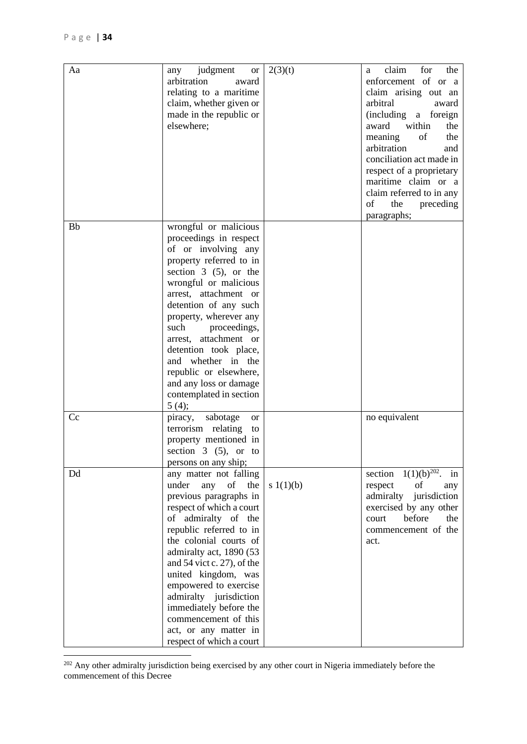| Aa        | judgment<br>any<br><b>or</b>                   | 2(3)(t)     | claim<br>for<br>the<br>a                        |
|-----------|------------------------------------------------|-------------|-------------------------------------------------|
|           | arbitration<br>award                           |             | enforcement of or a                             |
|           | relating to a maritime                         |             | claim arising out an                            |
|           | claim, whether given or                        |             | arbitral<br>award                               |
|           | made in the republic or                        |             | (including a foreign                            |
|           | elsewhere;                                     |             | within<br>the<br>award                          |
|           |                                                |             | of<br>the                                       |
|           |                                                |             | meaning<br>arbitration                          |
|           |                                                |             | and<br>conciliation act made in                 |
|           |                                                |             |                                                 |
|           |                                                |             | respect of a proprietary<br>maritime claim or a |
|           |                                                |             | claim referred to in any                        |
|           |                                                |             | of                                              |
|           |                                                |             | the preceding<br>paragraphs;                    |
| <b>Bb</b> | wrongful or malicious                          |             |                                                 |
|           | proceedings in respect                         |             |                                                 |
|           |                                                |             |                                                 |
|           | of or involving any<br>property referred to in |             |                                                 |
|           | section $3$ (5), or the                        |             |                                                 |
|           | wrongful or malicious                          |             |                                                 |
|           | arrest, attachment or                          |             |                                                 |
|           | detention of any such                          |             |                                                 |
|           | property, wherever any                         |             |                                                 |
|           | such<br>proceedings,                           |             |                                                 |
|           | arrest, attachment or                          |             |                                                 |
|           | detention took place,                          |             |                                                 |
|           | and whether in the                             |             |                                                 |
|           | republic or elsewhere,                         |             |                                                 |
|           | and any loss or damage                         |             |                                                 |
|           | contemplated in section                        |             |                                                 |
|           | 5(4);                                          |             |                                                 |
| Cc        | sabotage<br>piracy,<br><b>or</b>               |             | no equivalent                                   |
|           | terrorism relating<br>to                       |             |                                                 |
|           | property mentioned in                          |             |                                                 |
|           | section $3$ (5), or to                         |             |                                                 |
|           | persons on any ship;                           |             |                                                 |
| Dd        | any matter not falling                         |             | section $1(1)(b)^{202}$ . in                    |
|           | under<br>any of the                            | s $1(1)(b)$ | of<br>respect<br>any                            |
|           | previous paragraphs in                         |             | admiralty jurisdiction                          |
|           | respect of which a court                       |             | exercised by any other                          |
|           | of admiralty of the                            |             | before<br>court<br>the                          |
|           | republic referred to in                        |             | commencement of the                             |
|           | the colonial courts of                         |             | act.                                            |
|           | admiralty act, 1890 (53                        |             |                                                 |
|           | and $54$ vict c. 27), of the                   |             |                                                 |
|           | united kingdom, was                            |             |                                                 |
|           | empowered to exercise                          |             |                                                 |
|           | admiralty jurisdiction                         |             |                                                 |
|           | immediately before the                         |             |                                                 |
|           | commencement of this                           |             |                                                 |
|           | act, or any matter in                          |             |                                                 |
|           | respect of which a court                       |             |                                                 |

<sup>&</sup>lt;sup>202</sup> Any other admiralty jurisdiction being exercised by any other court in Nigeria immediately before the commencement of this Decree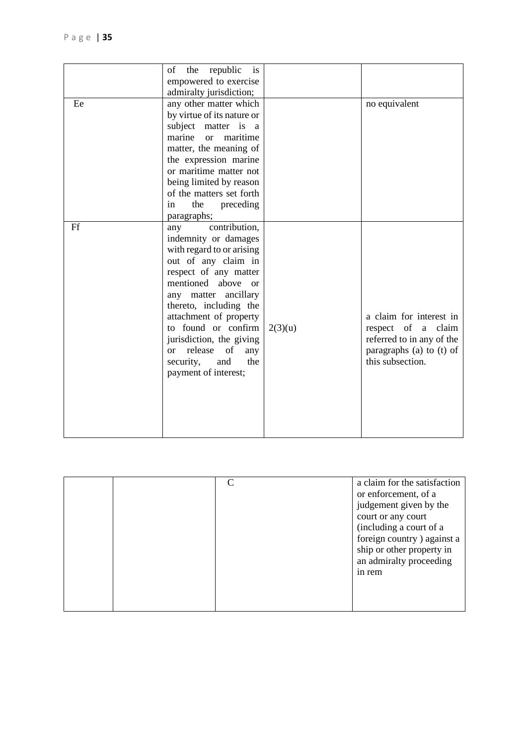| Ee | republic<br>the<br>οf<br>is<br>empowered to exercise<br>admiralty jurisdiction;<br>any other matter which<br>by virtue of its nature or<br>subject matter is a<br>marine<br>maritime<br><sub>or</sub><br>matter, the meaning of<br>the expression marine<br>or maritime matter not<br>being limited by reason<br>of the matters set forth                                                                                    |         | no equivalent                                                                                                              |
|----|------------------------------------------------------------------------------------------------------------------------------------------------------------------------------------------------------------------------------------------------------------------------------------------------------------------------------------------------------------------------------------------------------------------------------|---------|----------------------------------------------------------------------------------------------------------------------------|
| Ff | the<br>preceding<br>in<br>paragraphs;<br>contribution,<br>any<br>indemnity or damages<br>with regard to or arising<br>out of any claim in<br>respect of any matter<br>mentioned<br>above<br>- or<br>any matter ancillary<br>thereto, including the<br>attachment of property<br>to found or confirm<br>jurisdiction, the giving<br>release<br>$\sigma$<br>any<br>$\alpha$<br>security,<br>the<br>and<br>payment of interest; | 2(3)(u) | a claim for interest in<br>respect of a claim<br>referred to in any of the<br>paragraphs (a) to (t) of<br>this subsection. |

|  | a claim for the satisfaction<br>or enforcement, of a<br>judgement given by the<br>court or any court<br>(including a court of a<br>foreign country) against a<br>ship or other property in<br>an admiralty proceeding<br>in rem |
|--|---------------------------------------------------------------------------------------------------------------------------------------------------------------------------------------------------------------------------------|
|  |                                                                                                                                                                                                                                 |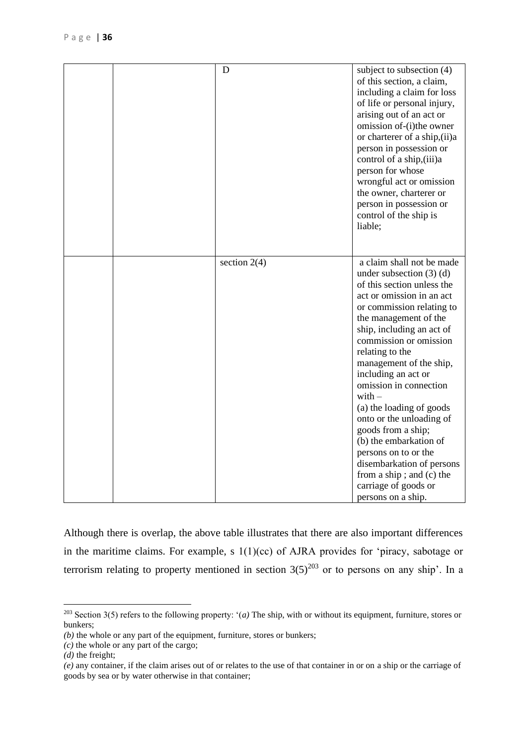|  | D              | subject to subsection (4)<br>of this section, a claim,<br>including a claim for loss<br>of life or personal injury,<br>arising out of an act or<br>omission of-(i)the owner<br>or charterer of a ship, (ii)a<br>person in possession or<br>control of a ship, (iii) a<br>person for whose<br>wrongful act or omission<br>the owner, charterer or<br>person in possession or<br>control of the ship is<br>liable;                                                                                                                                                                  |
|--|----------------|-----------------------------------------------------------------------------------------------------------------------------------------------------------------------------------------------------------------------------------------------------------------------------------------------------------------------------------------------------------------------------------------------------------------------------------------------------------------------------------------------------------------------------------------------------------------------------------|
|  | section $2(4)$ | a claim shall not be made<br>under subsection $(3)$ (d)<br>of this section unless the<br>act or omission in an act<br>or commission relating to<br>the management of the<br>ship, including an act of<br>commission or omission<br>relating to the<br>management of the ship,<br>including an act or<br>omission in connection<br>$with -$<br>(a) the loading of goods<br>onto or the unloading of<br>goods from a ship;<br>(b) the embarkation of<br>persons on to or the<br>disembarkation of persons<br>from a ship; and (c) the<br>carriage of goods or<br>persons on a ship. |

Although there is overlap, the above table illustrates that there are also important differences in the maritime claims. For example, s 1(1)(cc) of AJRA provides for 'piracy, sabotage or terrorism relating to property mentioned in section  $3(5)^{203}$  or to persons on any ship'. In a

<sup>203</sup> Section 3(5) refers to the following property: '(*a)* The ship, with or without its equipment, furniture, stores or bunkers;

*<sup>(</sup>b)* the whole or any part of the equipment, furniture, stores or bunkers;

*<sup>(</sup>c)* the whole or any part of the cargo;

*<sup>(</sup>d)* the freight;

*<sup>(</sup>e)* any container, if the claim arises out of or relates to the use of that container in or on a ship or the carriage of goods by sea or by water otherwise in that container;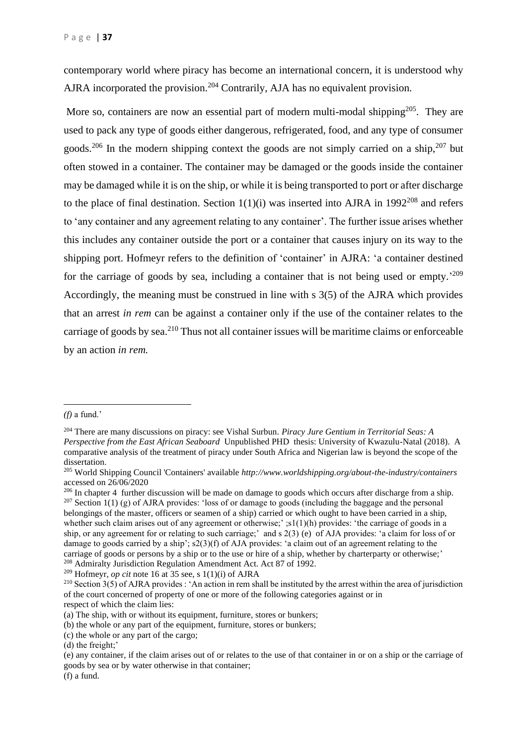contemporary world where piracy has become an international concern, it is understood why AJRA incorporated the provision. <sup>204</sup> Contrarily, AJA has no equivalent provision.

More so, containers are now an essential part of modern multi-modal shipping<sup>205</sup>. They are used to pack any type of goods either dangerous, refrigerated, food, and any type of consumer goods.<sup>206</sup> In the modern shipping context the goods are not simply carried on a ship,<sup>207</sup> but often stowed in a container. The container may be damaged or the goods inside the container may be damaged while it is on the ship, or while it is being transported to port or after discharge to the place of final destination. Section  $1(1)(i)$  was inserted into AJRA in 1992<sup>208</sup> and refers to 'any container and any agreement relating to any container'. The further issue arises whether this includes any container outside the port or a container that causes injury on its way to the shipping port. Hofmeyr refers to the definition of 'container' in AJRA: 'a container destined for the carriage of goods by sea, including a container that is not being used or empty.<sup>'209</sup> Accordingly, the meaning must be construed in line with s 3(5) of the AJRA which provides that an arrest *in rem* can be against a container only if the use of the container relates to the carriage of goods by sea.<sup>210</sup> Thus not all container issues will be maritime claims or enforceable by an action *in rem.* 

 $(f)$  a fund.'

<sup>204</sup> There are many discussions on piracy: see Vishal Surbun. *Piracy Jure Gentium in Territorial Seas: A Perspective from the East African Seaboard* Unpublished PHD thesis: University of Kwazulu-Natal (2018). A comparative analysis of the treatment of piracy under South Africa and Nigerian law is beyond the scope of the dissertation.

<sup>205</sup> World Shipping Council 'Containers' available *http://www.worldshipping.org/about-the-industry/containers* accessed on 26/06/2020

<sup>&</sup>lt;sup>206</sup> In chapter 4 further discussion will be made on damage to goods which occurs after discharge from a ship. <sup>207</sup> Section 1(1) (g) of AJRA provides: 'loss of or damage to goods (including the baggage and the personal belongings of the master, officers or seamen of a ship) carried or which ought to have been carried in a ship, whether such claim arises out of any agreement or otherwise;' :s1(1)(h) provides: 'the carriage of goods in a ship, or any agreement for or relating to such carriage;' and s 2(3) (e) of AJA provides: 'a claim for loss of or damage to goods carried by a ship'; s2(3)(f) of AJA provides: 'a claim out of an agreement relating to the carriage of goods or persons by a ship or to the use or hire of a ship, whether by charterparty or otherwise;'

<sup>208</sup> Admiralty Jurisdiction Regulation Amendment Act. Act 87 of 1992.

<sup>&</sup>lt;sup>209</sup> Hofmeyr, *op cit* note 16 at 35 see, s  $1(1)(i)$  of AJRA

<sup>&</sup>lt;sup>210</sup> Section  $3(5)$  of AJRA provides : 'An action in rem shall be instituted by the arrest within the area of jurisdiction of the court concerned of property of one or more of the following categories against or in respect of which the claim lies:

<sup>(</sup>a) The ship, with or without its equipment, furniture, stores or bunkers;

<sup>(</sup>b) the whole or any part of the equipment, furniture, stores or bunkers;

<sup>(</sup>c) the whole or any part of the cargo;

<sup>(</sup>d) the freight;'

<sup>(</sup>e) any container, if the claim arises out of or relates to the use of that container in or on a ship or the carriage of goods by sea or by water otherwise in that container;

<sup>(</sup>f) a fund.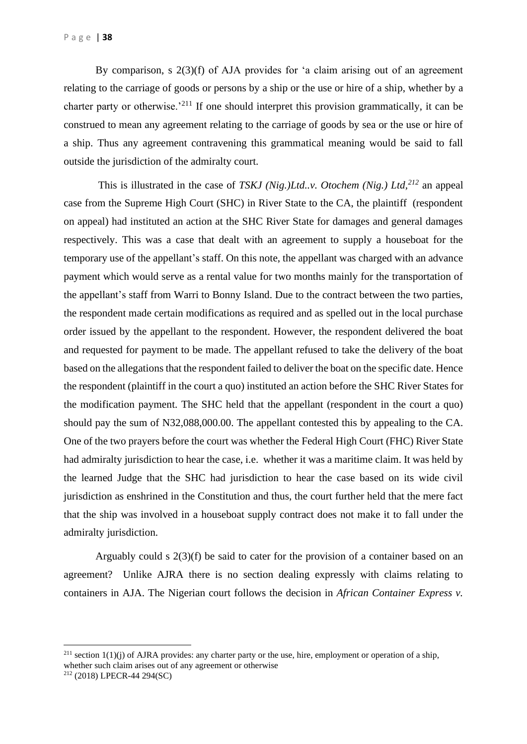By comparison, s 2(3)(f) of AJA provides for 'a claim arising out of an agreement relating to the carriage of goods or persons by a ship or the use or hire of a ship, whether by a charter party or otherwise.'<sup>211</sup> If one should interpret this provision grammatically, it can be construed to mean any agreement relating to the carriage of goods by sea or the use or hire of a ship. Thus any agreement contravening this grammatical meaning would be said to fall outside the jurisdiction of the admiralty court.

This is illustrated in the case of *TSKJ (Nig.)Ltd..v. Otochem (Nig.) Ltd,<sup>212</sup>* an appeal case from the Supreme High Court (SHC) in River State to the CA, the plaintiff (respondent on appeal) had instituted an action at the SHC River State for damages and general damages respectively. This was a case that dealt with an agreement to supply a houseboat for the temporary use of the appellant's staff. On this note, the appellant was charged with an advance payment which would serve as a rental value for two months mainly for the transportation of the appellant's staff from Warri to Bonny Island. Due to the contract between the two parties, the respondent made certain modifications as required and as spelled out in the local purchase order issued by the appellant to the respondent. However, the respondent delivered the boat and requested for payment to be made. The appellant refused to take the delivery of the boat based on the allegations that the respondent failed to deliver the boat on the specific date. Hence the respondent (plaintiff in the court a quo) instituted an action before the SHC River States for the modification payment. The SHC held that the appellant (respondent in the court a quo) should pay the sum of N32,088,000.00. The appellant contested this by appealing to the CA. One of the two prayers before the court was whether the Federal High Court (FHC) River State had admiralty jurisdiction to hear the case, i.e. whether it was a maritime claim. It was held by the learned Judge that the SHC had jurisdiction to hear the case based on its wide civil jurisdiction as enshrined in the Constitution and thus, the court further held that the mere fact that the ship was involved in a houseboat supply contract does not make it to fall under the admiralty jurisdiction.

Arguably could s 2(3)(f) be said to cater for the provision of a container based on an agreement? Unlike AJRA there is no section dealing expressly with claims relating to containers in AJA. The Nigerian court follows the decision in *African Container Express v.* 

```
212 (2018) LPECR-44 294(SC)
```
<sup>&</sup>lt;sup>211</sup> section 1(1)(i) of AJRA provides: any charter party or the use, hire, employment or operation of a ship, whether such claim arises out of any agreement or otherwise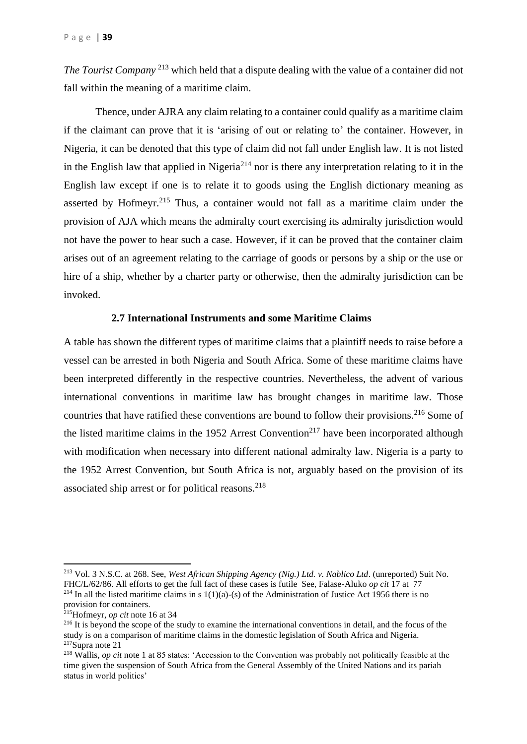*The Tourist Company* <sup>213</sup> which held that a dispute dealing with the value of a container did not fall within the meaning of a maritime claim.

Thence, under AJRA any claim relating to a container could qualify as a maritime claim if the claimant can prove that it is 'arising of out or relating to' the container. However, in Nigeria, it can be denoted that this type of claim did not fall under English law. It is not listed in the English law that applied in Nigeria<sup>214</sup> nor is there any interpretation relating to it in the English law except if one is to relate it to goods using the English dictionary meaning as asserted by Hofmeyr.<sup>215</sup> Thus, a container would not fall as a maritime claim under the provision of AJA which means the admiralty court exercising its admiralty jurisdiction would not have the power to hear such a case. However, if it can be proved that the container claim arises out of an agreement relating to the carriage of goods or persons by a ship or the use or hire of a ship, whether by a charter party or otherwise, then the admiralty jurisdiction can be invoked.

# **2.7 International Instruments and some Maritime Claims**

A table has shown the different types of maritime claims that a plaintiff needs to raise before a vessel can be arrested in both Nigeria and South Africa. Some of these maritime claims have been interpreted differently in the respective countries. Nevertheless, the advent of various international conventions in maritime law has brought changes in maritime law. Those countries that have ratified these conventions are bound to follow their provisions.<sup>216</sup> Some of the listed maritime claims in the 1952 Arrest Convention<sup>217</sup> have been incorporated although with modification when necessary into different national admiralty law. Nigeria is a party to the 1952 Arrest Convention, but South Africa is not, arguably based on the provision of its associated ship arrest or for political reasons. $218$ 

<sup>213</sup> Vol. 3 N.S.C. at 268. See, *West African Shipping Agency (Nig.) Ltd. v. Nablico Ltd*. (unreported) Suit No. FHC/L/62/86. All efforts to get the full fact of these cases is futile See, Falase-Aluko *op cit* 17 at 77 <sup>214</sup> In all the listed maritime claims in s 1(1)(a)-(s) of the Administration of Justice Act 1956 there is no provision for containers.

<sup>215</sup>Hofmeyr, *op cit* note 16 at 34

<sup>&</sup>lt;sup>216</sup> It is beyond the scope of the study to examine the international conventions in detail, and the focus of the study is on a comparison of maritime claims in the domestic legislation of South Africa and Nigeria.  $217$ Supra note 21

<sup>218</sup> Wallis, *op cit* note 1 at 85 states: 'Accession to the Convention was probably not politically feasible at the time given the suspension of South Africa from the General Assembly of the United Nations and its pariah status in world politics'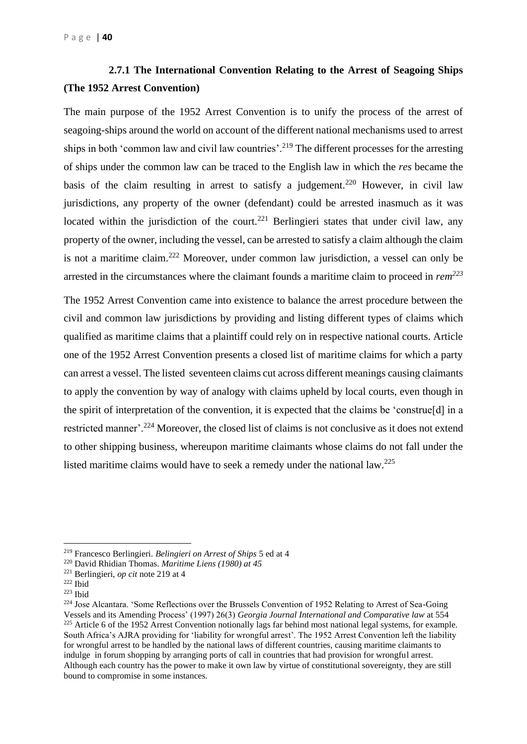# **2.7.1 The International Convention Relating to the Arrest of Seagoing Ships (The 1952 Arrest Convention)**

The main purpose of the 1952 Arrest Convention is to unify the process of the arrest of seagoing-ships around the world on account of the different national mechanisms used to arrest ships in both 'common law and civil law countries'.<sup>219</sup> The different processes for the arresting of ships under the common law can be traced to the English law in which the *res* became the basis of the claim resulting in arrest to satisfy a judgement.<sup>220</sup> However, in civil law jurisdictions, any property of the owner (defendant) could be arrested inasmuch as it was located within the jurisdiction of the court.<sup>221</sup> Berlingieri states that under civil law, any property of the owner, including the vessel, can be arrested to satisfy a claim although the claim is not a maritime claim.<sup>222</sup> Moreover, under common law jurisdiction, a vessel can only be arrested in the circumstances where the claimant founds a maritime claim to proceed in *rem<sup>223</sup>*

The 1952 Arrest Convention came into existence to balance the arrest procedure between the civil and common law jurisdictions by providing and listing different types of claims which qualified as maritime claims that a plaintiff could rely on in respective national courts. Article one of the 1952 Arrest Convention presents a closed list of maritime claims for which a party can arrest a vessel. The listed seventeen claims cut across different meanings causing claimants to apply the convention by way of analogy with claims upheld by local courts, even though in the spirit of interpretation of the convention, it is expected that the claims be 'construe[d] in a restricted manner'.<sup>224</sup> Moreover, the closed list of claims is not conclusive as it does not extend to other shipping business, whereupon maritime claimants whose claims do not fall under the listed maritime claims would have to seek a remedy under the national law.<sup>225</sup>

<sup>219</sup> Francesco Berlingieri. *Belingieri on Arrest of Ships* 5 ed at 4

<sup>220</sup> David Rhidian Thomas. *Maritime Liens (1980) at 45*

<sup>221</sup> Berlingieri, *op cit* note 219 at 4

 $222$  Ibid

<sup>223</sup> Ibid

<sup>&</sup>lt;sup>224</sup> Jose Alcantara. 'Some Reflections over the Brussels Convention of 1952 Relating to Arrest of Sea-Going Vessels and its Amending Process' (1997) 26(3) *Georgia Journal International and Comparative law* at 554 <sup>225</sup> Article 6 of the 1952 Arrest Convention notionally lags far behind most national legal systems, for example. South Africa's AJRA providing for 'liability for wrongful arrest'. The 1952 Arrest Convention left the liability for wrongful arrest to be handled by the national laws of different countries, causing maritime claimants to indulge in forum shopping by arranging ports of call in countries that had provision for wrongful arrest. Although each country has the power to make it own law by virtue of constitutional sovereignty, they are still bound to compromise in some instances.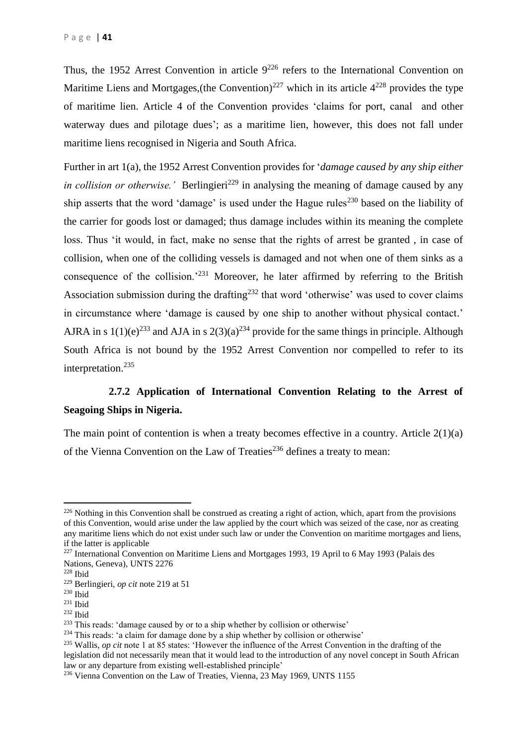Thus, the 1952 Arrest Convention in article  $9^{226}$  refers to the International Convention on Maritime Liens and Mortgages, (the Convention)<sup>227</sup> which in its article  $4^{228}$  provides the type of maritime lien. Article 4 of the Convention provides 'claims for port, canal and other waterway dues and pilotage dues'; as a maritime lien, however, this does not fall under maritime liens recognised in Nigeria and South Africa.

Further in art 1(a), the 1952 Arrest Convention provides for '*damage caused by any ship either in collision or otherwise.* Berlingieri<sup>229</sup> in analysing the meaning of damage caused by any ship asserts that the word 'damage' is used under the Hague rules<sup>230</sup> based on the liability of the carrier for goods lost or damaged; thus damage includes within its meaning the complete loss. Thus 'it would, in fact, make no sense that the rights of arrest be granted , in case of collision, when one of the colliding vessels is damaged and not when one of them sinks as a consequence of the collision.'<sup>231</sup> Moreover, he later affirmed by referring to the British Association submission during the drafting<sup>232</sup> that word 'otherwise' was used to cover claims in circumstance where 'damage is caused by one ship to another without physical contact.' AJRA in s 1(1)(e)<sup>233</sup> and AJA in s 2(3)(a)<sup>234</sup> provide for the same things in principle. Although South Africa is not bound by the 1952 Arrest Convention nor compelled to refer to its interpretation.<sup>235</sup>

# **2.7.2 Application of International Convention Relating to the Arrest of Seagoing Ships in Nigeria.**

The main point of contention is when a treaty becomes effective in a country. Article  $2(1)(a)$ of the Vienna Convention on the Law of Treaties<sup>236</sup> defines a treaty to mean:

legislation did not necessarily mean that it would lead to the introduction of any novel concept in South African law or any departure from existing well-established principle'

<sup>&</sup>lt;sup>226</sup> Nothing in this Convention shall be construed as creating a right of action, which, apart from the provisions of this Convention, would arise under the law applied by the court which was seized of the case, nor as creating any maritime liens which do not exist under such law or under the Convention on maritime mortgages and liens, if the latter is applicable

<sup>227</sup> International Convention on Maritime Liens and Mortgages 1993, 19 April to 6 May 1993 (Palais des Nations, Geneva), UNTS 2276

 $228$  Ibid

<sup>229</sup> Berlingieri, *op cit* note 219 at 51

<sup>230</sup> Ibid

<sup>231</sup> Ibid

<sup>232</sup> Ibid

<sup>233</sup> This reads: 'damage caused by or to a ship whether by collision or otherwise'

<sup>&</sup>lt;sup>234</sup> This reads: 'a claim for damage done by a ship whether by collision or otherwise'

<sup>&</sup>lt;sup>235</sup> Wallis, *op cit* note 1 at 85 states: 'However the influence of the Arrest Convention in the drafting of the

<sup>236</sup> Vienna Convention on the Law of Treaties, Vienna, 23 May 1969, UNTS 1155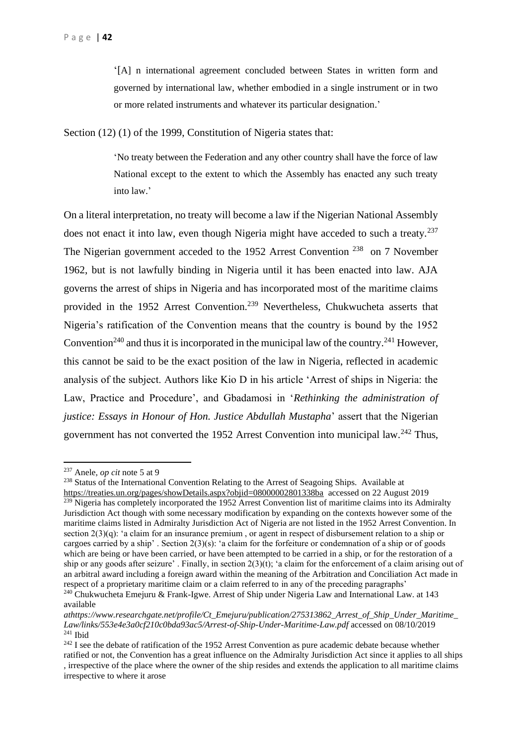'[A] n international agreement concluded between States in written form and governed by international law, whether embodied in a single instrument or in two or more related instruments and whatever its particular designation.'

Section (12) (1) of the 1999, Constitution of Nigeria states that:

'No treaty between the Federation and any other country shall have the force of law National except to the extent to which the Assembly has enacted any such treaty into law.'

On a literal interpretation, no treaty will become a law if the Nigerian National Assembly does not enact it into law, even though Nigeria might have acceded to such a treaty.<sup>237</sup> The Nigerian government acceded to the 1952 Arrest Convention<sup>238</sup> on 7 November 1962, but is not lawfully binding in Nigeria until it has been enacted into law. AJA governs the arrest of ships in Nigeria and has incorporated most of the maritime claims provided in the 1952 Arrest Convention.<sup>239</sup> Nevertheless, Chukwucheta asserts that Nigeria's ratification of the Convention means that the country is bound by the 1952 Convention<sup>240</sup> and thus it is incorporated in the municipal law of the country.<sup>241</sup> However, this cannot be said to be the exact position of the law in Nigeria, reflected in academic analysis of the subject. Authors like Kio D in his article 'Arrest of ships in Nigeria: the Law, Practice and Procedure', and Gbadamosi in '*Rethinking the administration of justice: Essays in Honour of Hon. Justice Abdullah Mustapha*' assert that the Nigerian government has not converted the 1952 Arrest Convention into municipal law.<sup>242</sup> Thus,

<sup>237</sup> Anele, *op cit* note 5 at 9

<sup>&</sup>lt;sup>238</sup> Status of the International Convention Relating to the Arrest of Seagoing Ships. Available at <https://treaties.un.org/pages/showDetails.aspx?objid=08000002801338ba>accessed on 22 August 2019

<sup>&</sup>lt;sup>239</sup> Nigeria has completely incorporated the 1952 Arrest Convention list of maritime claims into its Admiralty Jurisdiction Act though with some necessary modification by expanding on the contexts however some of the maritime claims listed in Admiralty Jurisdiction Act of Nigeria are not listed in the 1952 Arrest Convention. In section 2(3)(q): 'a claim for an insurance premium , or agent in respect of disbursement relation to a ship or cargoes carried by a ship' . Section 2(3)(s): 'a claim for the forfeiture or condemnation of a ship or of goods which are being or have been carried, or have been attempted to be carried in a ship, or for the restoration of a ship or any goods after seizure'. Finally, in section  $2(3)(t)$ ; 'a claim for the enforcement of a claim arising out of an arbitral award including a foreign award within the meaning of the Arbitration and Conciliation Act made in respect of a proprietary maritime claim or a claim referred to in any of the preceding paragraphs'

<sup>&</sup>lt;sup>240</sup> Chukwucheta Emejuru & Frank-Igwe. Arrest of Ship under Nigeria Law and International Law. at 143 available

*athttps://www.researchgate.net/profile/Ct\_Emejuru/publication/275313862\_Arrest\_of\_Ship\_Under\_Maritime\_ Law/links/553e4e3a0cf210c0bda93ac5/Arrest-of-Ship-Under-Maritime-Law.pdf* accessed on 08/10/2019 <sup>241</sup> Ibid

 $242$  I see the debate of ratification of the 1952 Arrest Convention as pure academic debate because whether ratified or not, the Convention has a great influence on the Admiralty Jurisdiction Act since it applies to all ships , irrespective of the place where the owner of the ship resides and extends the application to all maritime claims irrespective to where it arose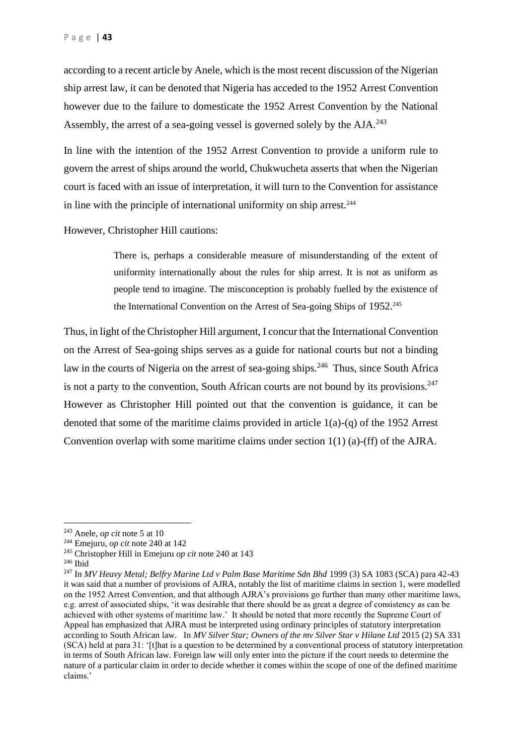according to a recent article by Anele, which is the most recent discussion of the Nigerian ship arrest law, it can be denoted that Nigeria has acceded to the 1952 Arrest Convention however due to the failure to domesticate the 1952 Arrest Convention by the National Assembly, the arrest of a sea-going vessel is governed solely by the AJA.<sup>243</sup>

In line with the intention of the 1952 Arrest Convention to provide a uniform rule to govern the arrest of ships around the world, Chukwucheta asserts that when the Nigerian court is faced with an issue of interpretation, it will turn to the Convention for assistance in line with the principle of international uniformity on ship arrest. $244$ 

However, Christopher Hill cautions:

There is, perhaps a considerable measure of misunderstanding of the extent of uniformity internationally about the rules for ship arrest. It is not as uniform as people tend to imagine. The misconception is probably fuelled by the existence of the International Convention on the Arrest of Sea-going Ships of 1952.<sup>245</sup>

Thus, in light of the Christopher Hill argument, I concur that the International Convention on the Arrest of Sea-going ships serves as a guide for national courts but not a binding law in the courts of Nigeria on the arrest of sea-going ships.<sup>246</sup> Thus, since South Africa is not a party to the convention, South African courts are not bound by its provisions.<sup>247</sup> However as Christopher Hill pointed out that the convention is guidance, it can be denoted that some of the maritime claims provided in article 1(a)-(q) of the 1952 Arrest Convention overlap with some maritime claims under section 1(1) (a)-(ff) of the AJRA.

<sup>246</sup> Ibid

<sup>243</sup> Anele, *op cit* note 5 at 10

<sup>244</sup> Emejuru, *op cit* note 240 at 142

<sup>245</sup> Christopher Hill in Emejuru *op cit* note 240 at 143

<sup>247</sup> In *MV Heavy Metal; Belfry Marine Ltd v Palm Base Maritime Sdn Bhd* 1999 (3) SA 1083 (SCA) para 42-43 it was said that a number of provisions of AJRA, notably the list of maritime claims in section 1, were modelled on the 1952 Arrest Convention, and that although AJRA's provisions go further than many other maritime laws, e.g. arrest of associated ships, 'it was desirable that there should be as great a degree of consistency as can be achieved with other systems of maritime law.' It should be noted that more recently the Supreme Court of Appeal has emphasized that AJRA must be interpreted using ordinary principles of statutory interpretation according to South African law. In *MV Silver Star; Owners of the mv Silver Star v Hilane Ltd* 2015 (2) SA 331 (SCA) held at para 31: '[t]hat is a question to be determined by a conventional process of statutory interpretation in terms of South African law. Foreign law will only enter into the picture if the court needs to determine the nature of a particular claim in order to decide whether it comes within the scope of one of the defined maritime claims.'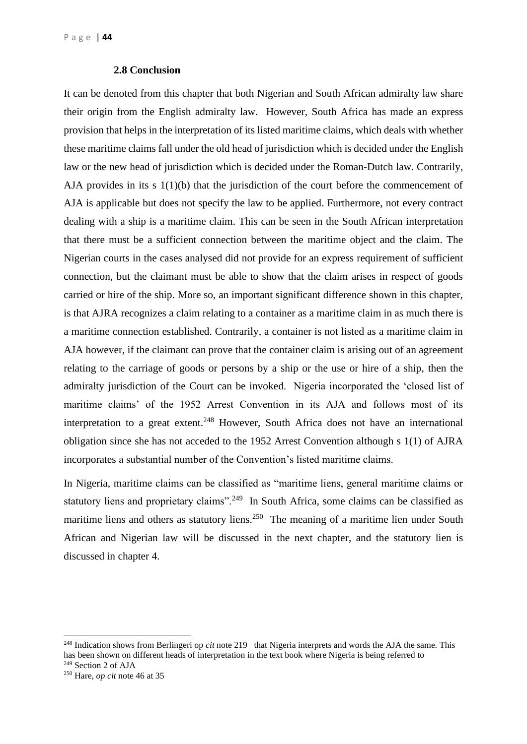# **2.8 Conclusion**

It can be denoted from this chapter that both Nigerian and South African admiralty law share their origin from the English admiralty law. However, South Africa has made an express provision that helps in the interpretation of its listed maritime claims, which deals with whether these maritime claims fall under the old head of jurisdiction which is decided under the English law or the new head of jurisdiction which is decided under the Roman-Dutch law. Contrarily, AJA provides in its s 1(1)(b) that the jurisdiction of the court before the commencement of AJA is applicable but does not specify the law to be applied. Furthermore, not every contract dealing with a ship is a maritime claim. This can be seen in the South African interpretation that there must be a sufficient connection between the maritime object and the claim. The Nigerian courts in the cases analysed did not provide for an express requirement of sufficient connection, but the claimant must be able to show that the claim arises in respect of goods carried or hire of the ship. More so, an important significant difference shown in this chapter, is that AJRA recognizes a claim relating to a container as a maritime claim in as much there is a maritime connection established. Contrarily, a container is not listed as a maritime claim in AJA however, if the claimant can prove that the container claim is arising out of an agreement relating to the carriage of goods or persons by a ship or the use or hire of a ship, then the admiralty jurisdiction of the Court can be invoked. Nigeria incorporated the 'closed list of maritime claims' of the 1952 Arrest Convention in its AJA and follows most of its interpretation to a great extent.<sup>248</sup> However, South Africa does not have an international obligation since she has not acceded to the 1952 Arrest Convention although s 1(1) of AJRA incorporates a substantial number of the Convention's listed maritime claims.

In Nigeria, maritime claims can be classified as "maritime liens, general maritime claims or statutory liens and proprietary claims".<sup>249</sup> In South Africa, some claims can be classified as maritime liens and others as statutory liens.<sup>250</sup> The meaning of a maritime lien under South African and Nigerian law will be discussed in the next chapter, and the statutory lien is discussed in chapter 4.

<sup>&</sup>lt;sup>248</sup> Indication shows from Berlingeri op *cit* note 219 that Nigeria interprets and words the AJA the same. This has been shown on different heads of interpretation in the text book where Nigeria is being referred to <sup>249</sup> Section 2 of AJA

<sup>250</sup> Hare, *op cit* note 46 at 35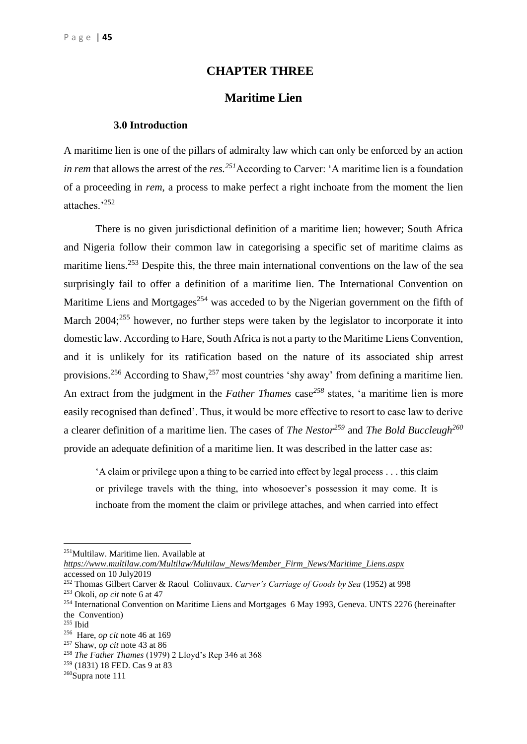# **CHAPTER THREE**

# **Maritime Lien**

# **3.0 Introduction**

A maritime lien is one of the pillars of admiralty law which can only be enforced by an action *in rem* that allows the arrest of the *res.*<sup>251</sup>According to Carver: 'A maritime lien is a foundation of a proceeding in *rem*, a process to make perfect a right inchoate from the moment the lien attaches.'<sup>252</sup>

There is no given jurisdictional definition of a maritime lien; however; South Africa and Nigeria follow their common law in categorising a specific set of maritime claims as maritime liens.<sup>253</sup> Despite this, the three main international conventions on the law of the sea surprisingly fail to offer a definition of a maritime lien. The International Convention on Maritime Liens and Mortgages<sup>254</sup> was acceded to by the Nigerian government on the fifth of March 2004;<sup>255</sup> however, no further steps were taken by the legislator to incorporate it into domestic law. According to Hare, South Africa is not a party to the Maritime Liens Convention, and it is unlikely for its ratification based on the nature of its associated ship arrest provisions.<sup>256</sup> According to Shaw,<sup>257</sup> most countries 'shy away' from defining a maritime lien. An extract from the judgment in the *Father Thames* case*<sup>258</sup>* states, 'a maritime lien is more easily recognised than defined'. Thus, it would be more effective to resort to case law to derive a clearer definition of a maritime lien. The cases of *The Nestor<sup>259</sup>* and *The Bold Buccleugh<sup>260</sup>* provide an adequate definition of a maritime lien. It was described in the latter case as:

'A claim or privilege upon a thing to be carried into effect by legal process . . . this claim or privilege travels with the thing, into whosoever's possession it may come. It is inchoate from the moment the claim or privilege attaches, and when carried into effect

<sup>251</sup>Multilaw. Maritime lien. Available at *[https://www.multilaw.com/Multilaw/Multilaw\\_News/Member\\_Firm\\_News/Maritime\\_Liens.aspx](https://www.multilaw.com/Multilaw/Multilaw_News/Member_Firm_News/Maritime_Liens.aspx)*

accessed on 10 July2019

<sup>252</sup> Thomas Gilbert Carver & Raoul Colinvaux. *Carver's Carriage of Goods by Sea* (1952) at 998

<sup>253</sup> Okoli, *op cit* note 6 at 47

<sup>&</sup>lt;sup>254</sup> International Convention on Maritime Liens and Mortgages 6 May 1993, Geneva. UNTS 2276 (hereinafter the Convention)

<sup>&</sup>lt;sup>255</sup> Ibid

<sup>256</sup> Hare, *op cit* note 46 at 169

<sup>257</sup> Shaw, *op cit* note 43 at 86

<sup>258</sup> *The Father Thames* (1979) 2 Lloyd's Rep 346 at 368

<sup>259</sup> (1831) 18 FED. Cas 9 at 83

 $260$ Supra note 111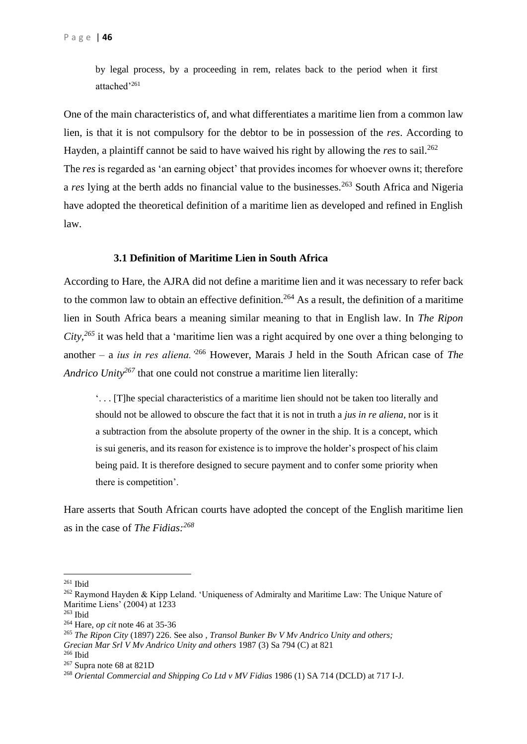by legal process, by a proceeding in rem, relates back to the period when it first attached'<sup>261</sup>

One of the main characteristics of, and what differentiates a maritime lien from a common law lien, is that it is not compulsory for the debtor to be in possession of the *res*. According to Hayden, a plaintiff cannot be said to have waived his right by allowing the *res* to sail.<sup>262</sup> The *res* is regarded as 'an earning object' that provides incomes for whoever owns it; therefore a *res* lying at the berth adds no financial value to the businesses.<sup>263</sup> South Africa and Nigeria have adopted the theoretical definition of a maritime lien as developed and refined in English law.

### **3.1 Definition of Maritime Lien in South Africa**

According to Hare, the AJRA did not define a maritime lien and it was necessary to refer back to the common law to obtain an effective definition.<sup>264</sup> As a result, the definition of a maritime lien in South Africa bears a meaning similar meaning to that in English law. In *The Ripon City,<sup>265</sup>* it was held that a 'maritime lien was a right acquired by one over a thing belonging to another – a *ius in res aliena.'*<sup>266</sup> However, Marais J held in the South African case of *The Andrico Unity<sup>267</sup>* that one could not construe a maritime lien literally:

'. . . [T]he special characteristics of a maritime lien should not be taken too literally and should not be allowed to obscure the fact that it is not in truth a *jus in re aliena*, nor is it a subtraction from the absolute property of the owner in the ship. It is a concept, which is sui generis, and its reason for existence is to improve the holder's prospect of his claim being paid. It is therefore designed to secure payment and to confer some priority when there is competition'.

Hare asserts that South African courts have adopted the concept of the English maritime lien as in the case of *The Fidias:<sup>268</sup>*

<sup>261</sup> Ibid

<sup>262</sup> Raymond Hayden & Kipp Leland. 'Uniqueness of Admiralty and Maritime Law: The Unique Nature of Maritime Liens' (2004) at 1233

<sup>263</sup> Ibid

<sup>264</sup> Hare, *op cit* note 46 at 35-36

<sup>265</sup> *The Ripon City* (1897) 226. See also *, Transol Bunker Bv V Mv Andrico Unity and others; Grecian Mar Srl V Mv Andrico Unity and others* 1987 (3) Sa 794 (C) at 821

<sup>266</sup> Ibid

<sup>267</sup> Supra note 68 at 821D

<sup>268</sup> *Oriental Commercial and Shipping Co Ltd v MV Fidias* 1986 (1) SA 714 (DCLD) at 717 I-J.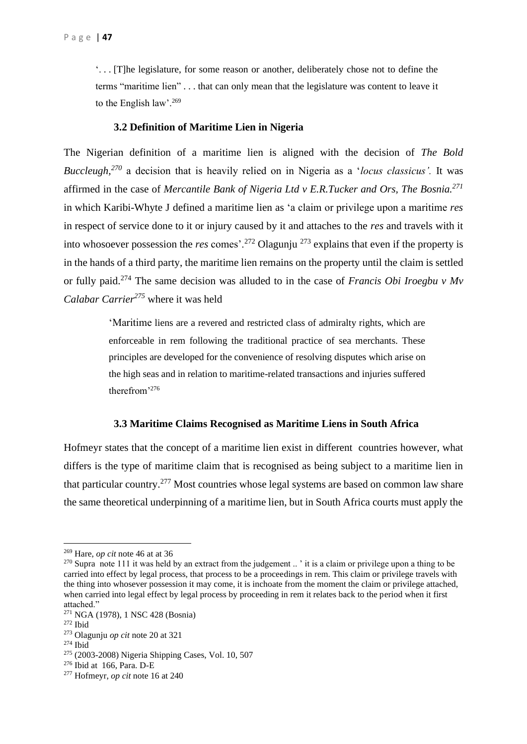'. . . [T]he legislature, for some reason or another, deliberately chose not to define the terms "maritime lien" . . . that can only mean that the legislature was content to leave it to the English law'.<sup>269</sup>

### **3.2 Definition of Maritime Lien in Nigeria**

The Nigerian definition of a maritime lien is aligned with the decision of *The Bold Buccleugh, <sup>270</sup>* a decision that is heavily relied on in Nigeria as a '*locus classicus'.* It was affirmed in the case of *Mercantile Bank of Nigeria Ltd v E.R.Tucker and Ors, The Bosnia.<sup>271</sup>* in which Karibi-Whyte J defined a maritime lien as 'a claim or privilege upon a maritime *res* in respect of service done to it or injury caused by it and attaches to the *res* and travels with it into whosoever possession the *res* comes'.<sup>272</sup> Olagunju <sup>273</sup> explains that even if the property is in the hands of a third party, the maritime lien remains on the property until the claim is settled or fully paid.<sup>274</sup> The same decision was alluded to in the case of *Francis Obi Iroegbu v Mv Calabar Carrier<sup>275</sup>* where it was held

> 'Maritime liens are a revered and restricted class of admiralty rights, which are enforceable in rem following the traditional practice of sea merchants. These principles are developed for the convenience of resolving disputes which arise on the high seas and in relation to maritime-related transactions and injuries suffered therefrom'<sup>276</sup>

### **3.3 Maritime Claims Recognised as Maritime Liens in South Africa**

Hofmeyr states that the concept of a maritime lien exist in different countries however, what differs is the type of maritime claim that is recognised as being subject to a maritime lien in that particular country.<sup>277</sup> Most countries whose legal systems are based on common law share the same theoretical underpinning of a maritime lien, but in South Africa courts must apply the

<sup>269</sup> Hare, *op cit* note 46 at at 36

<sup>&</sup>lt;sup>270</sup> Supra note 111 it was held by an extract from the judgement  $\ldots$  it is a claim or privilege upon a thing to be carried into effect by legal process, that process to be a proceedings in rem. This claim or privilege travels with the thing into whosever possession it may come, it is inchoate from the moment the claim or privilege attached, when carried into legal effect by legal process by proceeding in rem it relates back to the period when it first attached."

<sup>271</sup> NGA (1978), 1 NSC 428 (Bosnia)

<sup>272</sup> Ibid

<sup>273</sup> Olagunju *op cit* note 20 at 321  $274$  Ibid

<sup>275</sup> (2003-2008) Nigeria Shipping Cases, Vol. 10, 507

<sup>276</sup> Ibid at 166, Para. D-E

<sup>277</sup> Hofmeyr, *op cit* note 16 at 240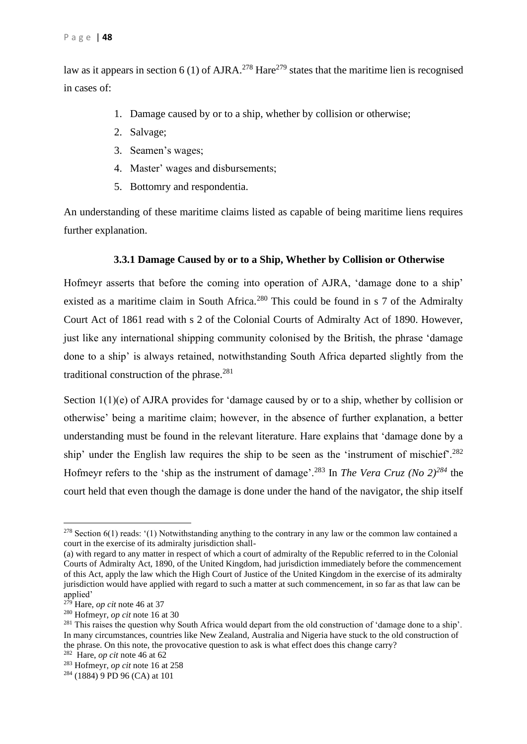law as it appears in section 6 (1) of AJRA.<sup>278</sup> Hare<sup>279</sup> states that the maritime lien is recognised in cases of:

- 1. Damage caused by or to a ship, whether by collision or otherwise;
- 2. Salvage;
- 3. Seamen's wages;
- 4. Master' wages and disbursements;
- 5. Bottomry and respondentia.

An understanding of these maritime claims listed as capable of being maritime liens requires further explanation.

# **3.3.1 Damage Caused by or to a Ship, Whether by Collision or Otherwise**

Hofmeyr asserts that before the coming into operation of AJRA, 'damage done to a ship' existed as a maritime claim in South Africa.<sup>280</sup> This could be found in s 7 of the Admiralty Court Act of 1861 read with s 2 of the Colonial Courts of Admiralty Act of 1890. However, just like any international shipping community colonised by the British, the phrase 'damage done to a ship' is always retained, notwithstanding South Africa departed slightly from the traditional construction of the phrase.<sup>281</sup>

Section 1(1)(e) of AJRA provides for 'damage caused by or to a ship, whether by collision or otherwise' being a maritime claim; however, in the absence of further explanation, a better understanding must be found in the relevant literature. Hare explains that 'damage done by a ship' under the English law requires the ship to be seen as the 'instrument of mischief'.<sup>282</sup> Hofmeyr refers to the 'ship as the instrument of damage'.<sup>283</sup> In *The Vera Cruz (No 2)<sup>284</sup>* the court held that even though the damage is done under the hand of the navigator, the ship itself

<sup>&</sup>lt;sup>278</sup> Section 6(1) reads: '(1) Notwithstanding anything to the contrary in any law or the common law contained a court in the exercise of its admiralty jurisdiction shall-

<sup>(</sup>a) with regard to any matter in respect of which a court of admiralty of the Republic referred to in the Colonial Courts of Admiralty Act, 1890, of the United Kingdom, had jurisdiction immediately before the commencement of this Act, apply the law which the High Court of Justice of the United Kingdom in the exercise of its admiralty jurisdiction would have applied with regard to such a matter at such commencement, in so far as that law can be applied'

<sup>279</sup> Hare, *op cit* note 46 at 37

<sup>280</sup> Hofmeyr, *op cit* note 16 at 30

<sup>&</sup>lt;sup>281</sup> This raises the question why South Africa would depart from the old construction of 'damage done to a ship'. In many circumstances, countries like New Zealand, Australia and Nigeria have stuck to the old construction of the phrase. On this note, the provocative question to ask is what effect does this change carry?

<sup>282</sup> Hare, *op cit* note 46 at 62

<sup>283</sup> Hofmeyr, *op cit* note 16 at 258

<sup>284</sup> (1884) 9 PD 96 (CA) at 101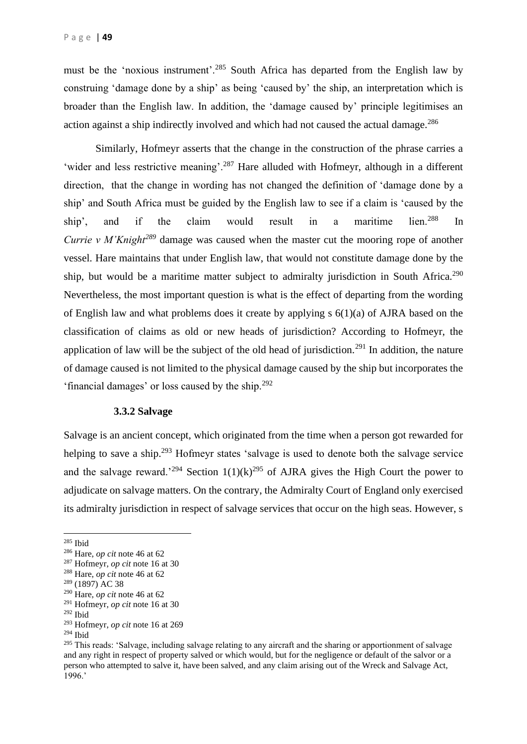must be the 'noxious instrument'.<sup>285</sup> South Africa has departed from the English law by construing 'damage done by a ship' as being 'caused by' the ship, an interpretation which is broader than the English law. In addition, the 'damage caused by' principle legitimises an action against a ship indirectly involved and which had not caused the actual damage.<sup>286</sup>

Similarly, Hofmeyr asserts that the change in the construction of the phrase carries a 'wider and less restrictive meaning'.<sup>287</sup> Hare alluded with Hofmeyr, although in a different direction, that the change in wording has not changed the definition of 'damage done by a ship' and South Africa must be guided by the English law to see if a claim is 'caused by the ship', and if the claim would result in a maritime lien.<sup>288</sup> In *Currie v M'Knight*<sup>289</sup> damage was caused when the master cut the mooring rope of another vessel. Hare maintains that under English law, that would not constitute damage done by the ship, but would be a maritime matter subject to admiralty jurisdiction in South Africa.<sup>290</sup> Nevertheless, the most important question is what is the effect of departing from the wording of English law and what problems does it create by applying s 6(1)(a) of AJRA based on the classification of claims as old or new heads of jurisdiction? According to Hofmeyr, the application of law will be the subject of the old head of jurisdiction.<sup>291</sup> In addition, the nature of damage caused is not limited to the physical damage caused by the ship but incorporates the 'financial damages' or loss caused by the ship. $292$ 

### **3.3.2 Salvage**

Salvage is an ancient concept, which originated from the time when a person got rewarded for helping to save a ship.<sup>293</sup> Hofmeyr states 'salvage is used to denote both the salvage service and the salvage reward.<sup>'294</sup> Section  $1(1)(k)^{295}$  of AJRA gives the High Court the power to adjudicate on salvage matters. On the contrary, the Admiralty Court of England only exercised its admiralty jurisdiction in respect of salvage services that occur on the high seas. However, s

<sup>285</sup> Ibid

<sup>286</sup> Hare, *op cit* note 46 at 62

<sup>287</sup> Hofmeyr, *op cit* note 16 at 30

<sup>288</sup> Hare, *op cit* note 46 at 62

<sup>289</sup> (1897) AC 38

<sup>290</sup> Hare, *op cit* note 46 at 62

<sup>291</sup> Hofmeyr, *op cit* note 16 at 30

<sup>292</sup> Ibid

<sup>293</sup> Hofmeyr, *op cit* note 16 at 269

<sup>294</sup> Ibid

<sup>&</sup>lt;sup>295</sup> This reads: 'Salvage, including salvage relating to any aircraft and the sharing or apportionment of salvage and any right in respect of property salved or which would, but for the negligence or default of the salvor or a person who attempted to salve it, have been salved, and any claim arising out of the Wreck and Salvage Act, 1996.'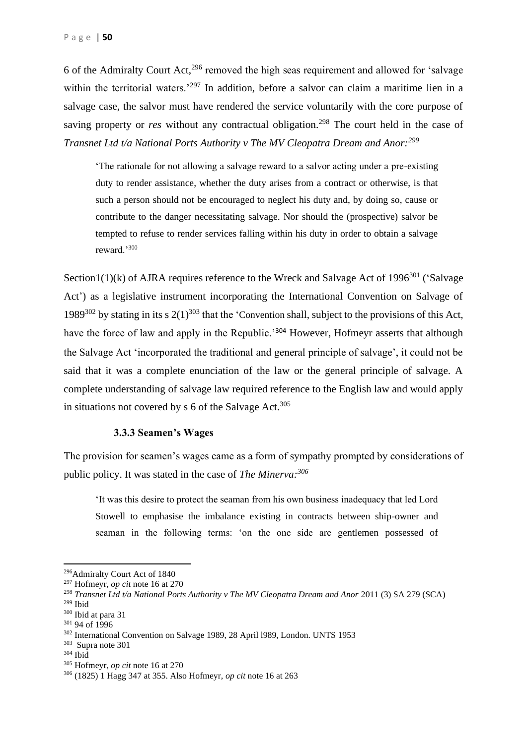6 of the Admiralty Court Act,  $296$  removed the high seas requirement and allowed for 'salvage' within the territorial waters.<sup>297</sup> In addition, before a salvor can claim a maritime lien in a salvage case, the salvor must have rendered the service voluntarily with the core purpose of saving property or *res* without any contractual obligation.<sup>298</sup> The court held in the case of *Transnet Ltd t/a National Ports Authority v The MV Cleopatra Dream and Anor:<sup>299</sup>*

'The rationale for not allowing a salvage reward to a salvor acting under a pre-existing duty to render assistance, whether the duty arises from a contract or otherwise, is that such a person should not be encouraged to neglect his duty and, by doing so, cause or contribute to the danger necessitating salvage. Nor should the (prospective) salvor be tempted to refuse to render services falling within his duty in order to obtain a salvage reward.'<sup>300</sup>

Section1(1)(k) of AJRA requires reference to the Wreck and Salvage Act of 1996<sup>301</sup> ('Salvage Act') as a legislative instrument incorporating the International Convention on Salvage of 1989<sup>302</sup> by stating in its s  $2(1)^{303}$  that the 'Convention shall, subject to the provisions of this Act, have the force of law and apply in the Republic.'<sup>304</sup> However, Hofmeyr asserts that although the Salvage Act 'incorporated the traditional and general principle of salvage', it could not be said that it was a complete enunciation of the law or the general principle of salvage. A complete understanding of salvage law required reference to the English law and would apply in situations not covered by s 6 of the Salvage Act.<sup>305</sup>

# **3.3.3 Seamen's Wages**

The provision for seamen's wages came as a form of sympathy prompted by considerations of public policy. It was stated in the case of *The Minerva:<sup>306</sup>*

'It was this desire to protect the seaman from his own business inadequacy that led Lord Stowell to emphasise the imbalance existing in contracts between ship-owner and seaman in the following terms: 'on the one side are gentlemen possessed of

<sup>296</sup>Admiralty Court Act of 1840

<sup>297</sup> Hofmeyr, *op cit* note 16 at 270

<sup>&</sup>lt;sup>298</sup> Transnet Ltd t/a National Ports Authority v The MV Cleopatra Dream and Anor 2011 (3) SA 279 (SCA)  $299$  Ibid

<sup>300</sup> Ibid at para 31

<sup>301</sup> 94 of 1996

<sup>302</sup> International Convention on Salvage 1989, 28 April l989, London. UNTS 1953

<sup>303</sup> Supra note 301

 $304$  Ibid

<sup>305</sup> Hofmeyr, *op cit* note 16 at 270

<sup>306</sup> (1825) 1 Hagg 347 at 355. Also Hofmeyr, *op cit* note 16 at 263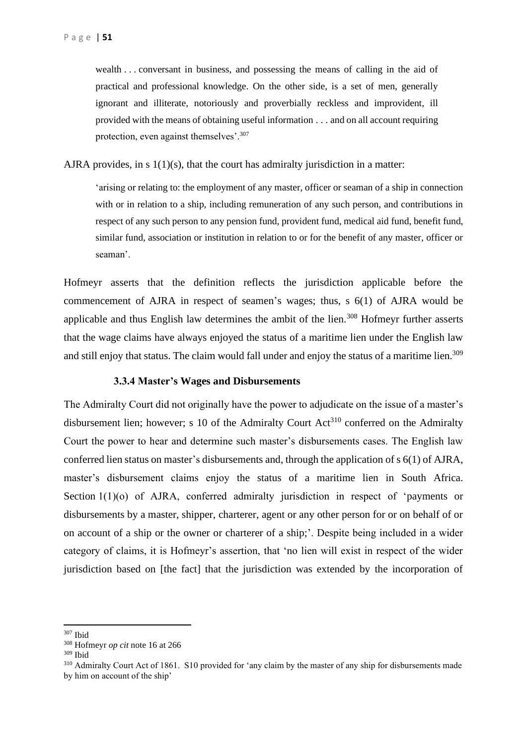wealth . . . conversant in business, and possessing the means of calling in the aid of practical and professional knowledge. On the other side, is a set of men, generally ignorant and illiterate, notoriously and proverbially reckless and improvident, ill provided with the means of obtaining useful information . . . and on all account requiring protection, even against themselves'.<sup>307</sup>

AJRA provides, in s 1(1)(s), that the court has admiralty jurisdiction in a matter:

'arising or relating to: the employment of any master, officer or seaman of a ship in connection with or in relation to a ship, including remuneration of any such person, and contributions in respect of any such person to any pension fund, provident fund, medical aid fund, benefit fund, similar fund, association or institution in relation to or for the benefit of any master, officer or seaman'.

Hofmeyr asserts that the definition reflects the jurisdiction applicable before the commencement of AJRA in respect of seamen's wages; thus, s 6(1) of AJRA would be applicable and thus English law determines the ambit of the lien.<sup>308</sup> Hofmeyr further asserts that the wage claims have always enjoyed the status of a maritime lien under the English law and still enjoy that status. The claim would fall under and enjoy the status of a maritime lien.<sup>309</sup>

## **3.3.4 Master's Wages and Disbursements**

The Admiralty Court did not originally have the power to adjudicate on the issue of a master's disbursement lien; however; s 10 of the Admiralty Court  $Act<sup>310</sup>$  conferred on the Admiralty Court the power to hear and determine such master's disbursements cases. The English law conferred lien status on master's disbursements and, through the application of s 6(1) of AJRA, master's disbursement claims enjoy the status of a maritime lien in South Africa. Section 1(1)(o) of AJRA, conferred admiralty jurisdiction in respect of 'payments or disbursements by a master, shipper, charterer, agent or any other person for or on behalf of or on account of a ship or the owner or charterer of a ship;'. Despite being included in a wider category of claims, it is Hofmeyr's assertion, that 'no lien will exist in respect of the wider jurisdiction based on [the fact] that the jurisdiction was extended by the incorporation of

<sup>307</sup> Ibid

<sup>308</sup> Hofmeyr *op cit* note 16 at 266

<sup>309</sup> Ibid

<sup>&</sup>lt;sup>310</sup> Admiralty Court Act of 1861. S10 provided for 'any claim by the master of any ship for disbursements made by him on account of the ship'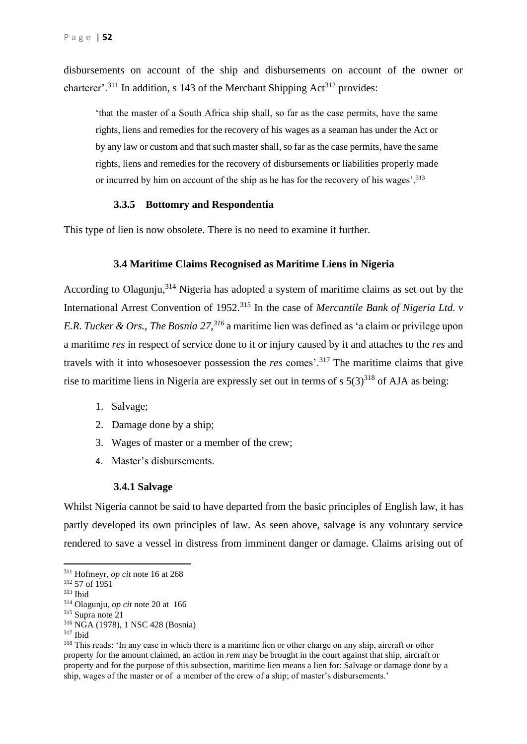disbursements on account of the ship and disbursements on account of the owner or charterer'.<sup>311</sup> In addition, s 143 of the Merchant Shipping Act<sup>312</sup> provides:

'that the master of a South Africa ship shall, so far as the case permits, have the same rights, liens and remedies for the recovery of his wages as a seaman has under the Act or by any law or custom and that such master shall, so far as the case permits, have the same rights, liens and remedies for the recovery of disbursements or liabilities properly made or incurred by him on account of the ship as he has for the recovery of his wages'.<sup>313</sup>

# **3.3.5 Bottomry and Respondentia**

This type of lien is now obsolete. There is no need to examine it further.

#### **3.4 Maritime Claims Recognised as Maritime Liens in Nigeria**

According to Olagunju,<sup>314</sup> Nigeria has adopted a system of maritime claims as set out by the International Arrest Convention of 1952.<sup>315</sup> In the case of *Mercantile Bank of Nigeria Ltd. v E.R. Tucker & Ors., The Bosnia 27,<sup>316</sup>* a maritime lien was defined as 'a claim or privilege upon a maritime *res* in respect of service done to it or injury caused by it and attaches to the *res* and travels with it into whosesoever possession the *res* comes'.<sup>317</sup> The maritime claims that give rise to maritime liens in Nigeria are expressly set out in terms of s  $5(3)^{318}$  of AJA as being:

- 1. Salvage;
- 2. Damage done by a ship;
- 3. Wages of master or a member of the crew;
- 4. Master's disbursements.

#### **3.4.1 Salvage**

Whilst Nigeria cannot be said to have departed from the basic principles of English law, it has partly developed its own principles of law. As seen above, salvage is any voluntary service rendered to save a vessel in distress from imminent danger or damage. Claims arising out of

<sup>311</sup> Hofmeyr, *op cit* note 16 at 268

<sup>312</sup> 57 of 1951

<sup>313</sup> Ibid

<sup>314</sup> Olagunju, *op cit* note 20 at 166

<sup>315</sup> Supra note 21

<sup>316</sup> NGA (1978), 1 NSC 428 (Bosnia)

<sup>317</sup> Ibid

<sup>&</sup>lt;sup>318</sup> This reads: 'In any case in which there is a maritime lien or other charge on any ship, aircraft or other property for the amount claimed, an action in *rem* may be brought in the court against that ship, aircraft or property and for the purpose of this subsection, maritime lien means a lien for: Salvage or damage done by a ship, wages of the master or of a member of the crew of a ship; of master's disbursements.'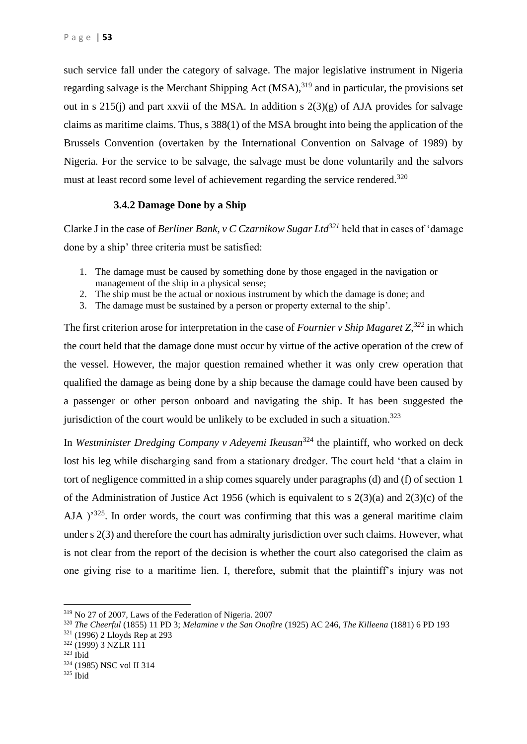such service fall under the category of salvage. The major legislative instrument in Nigeria regarding salvage is the Merchant Shipping Act  $(MSA)$ ,  $319$  and in particular, the provisions set out in s 215(j) and part xxvii of the MSA. In addition s  $2(3)(g)$  of AJA provides for salvage claims as maritime claims. Thus, s 388(1) of the MSA brought into being the application of the Brussels Convention (overtaken by the International Convention on Salvage of 1989) by Nigeria. For the service to be salvage, the salvage must be done voluntarily and the salvors must at least record some level of achievement regarding the service rendered.<sup>320</sup>

# **3.4.2 Damage Done by a Ship**

Clarke J in the case of *Berliner Bank, v C Czarnikow Sugar Ltd<sup>321</sup>* held that in cases of 'damage done by a ship' three criteria must be satisfied:

- 1. The damage must be caused by something done by those engaged in the navigation or management of the ship in a physical sense;
- 2. The ship must be the actual or noxious instrument by which the damage is done; and
- 3. The damage must be sustained by a person or property external to the ship'.

The first criterion arose for interpretation in the case of *Fournier v Ship Magaret Z,<sup>322</sup>* in which the court held that the damage done must occur by virtue of the active operation of the crew of the vessel. However, the major question remained whether it was only crew operation that qualified the damage as being done by a ship because the damage could have been caused by a passenger or other person onboard and navigating the ship. It has been suggested the jurisdiction of the court would be unlikely to be excluded in such a situation.<sup>323</sup>

In *Westminister Dredging Company v Adeyemi Ikeusan*<sup>324</sup> the plaintiff, who worked on deck lost his leg while discharging sand from a stationary dredger. The court held 'that a claim in tort of negligence committed in a ship comes squarely under paragraphs (d) and (f) of section 1 of the Administration of Justice Act 1956 (which is equivalent to s  $2(3)(a)$  and  $2(3)(c)$  of the AJA  $y^{325}$ . In order words, the court was confirming that this was a general maritime claim under s 2(3) and therefore the court has admiralty jurisdiction over such claims. However, what is not clear from the report of the decision is whether the court also categorised the claim as one giving rise to a maritime lien. I, therefore, submit that the plaintiff's injury was not

<sup>319</sup> No 27 of 2007, Laws of the Federation of Nigeria. 2007

<sup>320</sup> *The Cheerful* (1855) 11 PD 3; *Melamine v the San Onofire* (1925) AC 246, *The Killeena* (1881) 6 PD 193

<sup>321</sup> (1996) 2 Lloyds Rep at 293

<sup>322</sup> (1999) 3 NZLR 111

<sup>323</sup> Ibid

<sup>324</sup> (1985) NSC vol II 314

 $325$  Ibid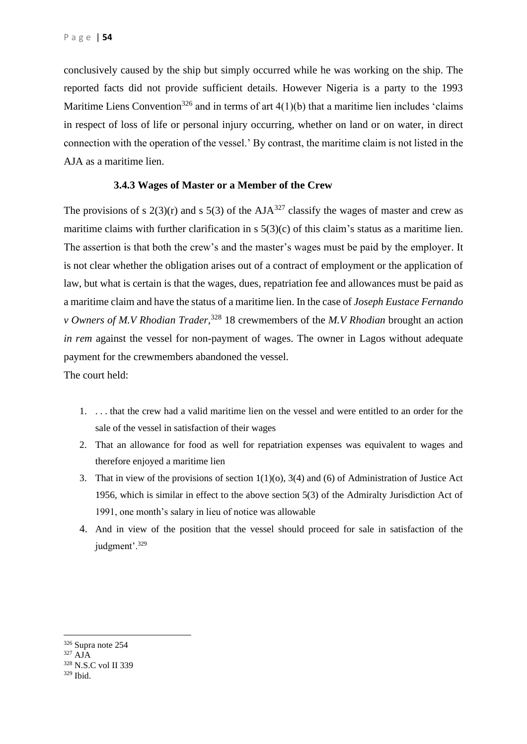conclusively caused by the ship but simply occurred while he was working on the ship. The reported facts did not provide sufficient details. However Nigeria is a party to the 1993 Maritime Liens Convention<sup>326</sup> and in terms of art  $4(1)(b)$  that a maritime lien includes 'claims' in respect of loss of life or personal injury occurring, whether on land or on water, in direct connection with the operation of the vessel.' By contrast, the maritime claim is not listed in the AJA as a maritime lien.

## **3.4.3 Wages of Master or a Member of the Crew**

The provisions of s  $2(3)(r)$  and s  $5(3)$  of the AJA<sup>327</sup> classify the wages of master and crew as maritime claims with further clarification in  $s \, 5(3)(c)$  of this claim's status as a maritime lien. The assertion is that both the crew's and the master's wages must be paid by the employer. It is not clear whether the obligation arises out of a contract of employment or the application of law, but what is certain is that the wages, dues, repatriation fee and allowances must be paid as a maritime claim and have the status of a maritime lien. In the case of *Joseph Eustace Fernando v Owners of M.V Rhodian Trader,*<sup>328</sup> 18 crewmembers of the *M.V Rhodian* brought an action *in rem* against the vessel for non-payment of wages. The owner in Lagos without adequate payment for the crewmembers abandoned the vessel.

The court held:

- 1. . . . that the crew had a valid maritime lien on the vessel and were entitled to an order for the sale of the vessel in satisfaction of their wages
- 2. That an allowance for food as well for repatriation expenses was equivalent to wages and therefore enjoyed a maritime lien
- 3. That in view of the provisions of section 1(1)(o), 3(4) and (6) of Administration of Justice Act 1956, which is similar in effect to the above section 5(3) of the Admiralty Jurisdiction Act of 1991, one month's salary in lieu of notice was allowable
- 4. And in view of the position that the vessel should proceed for sale in satisfaction of the judgment'.<sup>329</sup>

<sup>326</sup> Supra note 254

<sup>327</sup> AJA

<sup>328</sup> N.S.C vol II 339

 $329$  Ibid.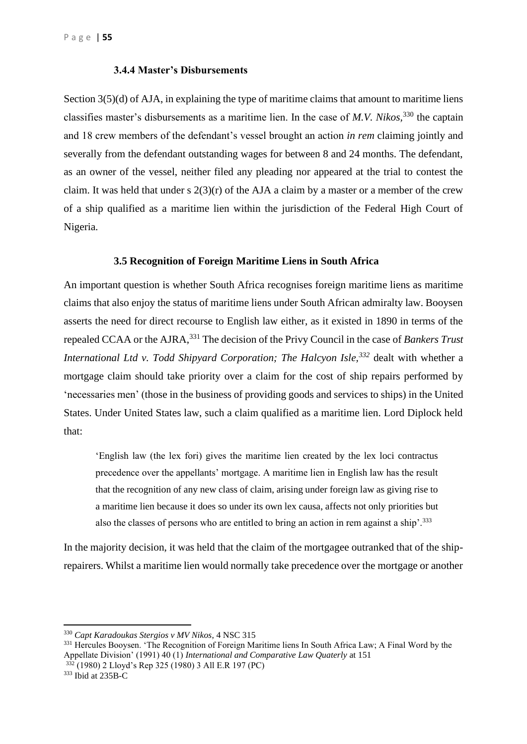### **3.4.4 Master's Disbursements**

Section 3(5)(d) of AJA, in explaining the type of maritime claims that amount to maritime liens classifies master's disbursements as a maritime lien. In the case of *M.V. Nikos,*<sup>330</sup> the captain and 18 crew members of the defendant's vessel brought an action *in rem* claiming jointly and severally from the defendant outstanding wages for between 8 and 24 months. The defendant, as an owner of the vessel, neither filed any pleading nor appeared at the trial to contest the claim. It was held that under s  $2(3)(r)$  of the AJA a claim by a master or a member of the crew of a ship qualified as a maritime lien within the jurisdiction of the Federal High Court of Nigeria.

### **3.5 Recognition of Foreign Maritime Liens in South Africa**

An important question is whether South Africa recognises foreign maritime liens as maritime claims that also enjoy the status of maritime liens under South African admiralty law. Booysen asserts the need for direct recourse to English law either, as it existed in 1890 in terms of the repealed CCAA or the AJRA, <sup>331</sup> The decision of the Privy Council in the case of *Bankers Trust International Ltd v. Todd Shipyard Corporation; The Halcyon Isle,<sup>332</sup>* dealt with whether a mortgage claim should take priority over a claim for the cost of ship repairs performed by 'necessaries men' (those in the business of providing goods and services to ships) in the United States. Under United States law, such a claim qualified as a maritime lien. Lord Diplock held that:

'English law (the lex fori) gives the maritime lien created by the lex loci contractus precedence over the appellants' mortgage. A maritime lien in English law has the result that the recognition of any new class of claim, arising under foreign law as giving rise to a maritime lien because it does so under its own lex causa, affects not only priorities but also the classes of persons who are entitled to bring an action in rem against a ship'.<sup>333</sup>

In the majority decision, it was held that the claim of the mortgagee outranked that of the shiprepairers. Whilst a maritime lien would normally take precedence over the mortgage or another

<sup>330</sup> *Capt Karadoukas Stergios v MV Nikos*, 4 NSC 315

<sup>&</sup>lt;sup>331</sup> Hercules Booysen. 'The Recognition of Foreign Maritime liens In South Africa Law; A Final Word by the Appellate Division' (1991) 40 (1) *International and Comparative Law Quaterly* at 151

 $332$  (1980) 2 Lloyd's Rep 325 (1980) 3 All E.R 197 (PC)

 $333$  Ibid at 235B-C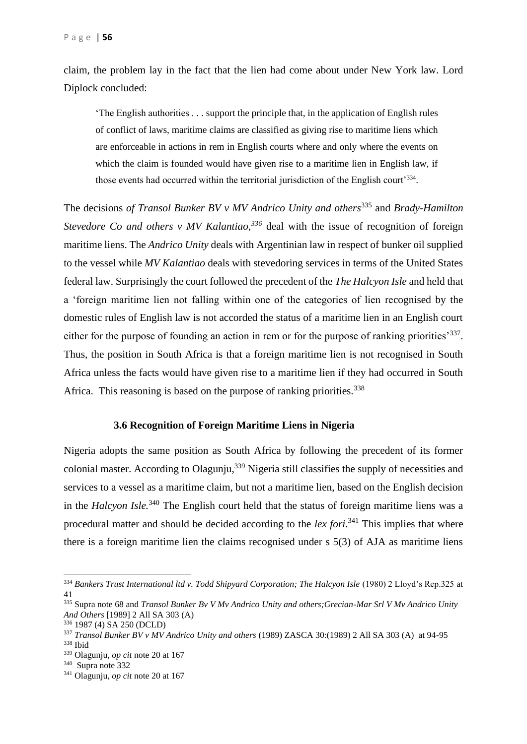claim, the problem lay in the fact that the lien had come about under New York law. Lord Diplock concluded:

'The English authorities . . . support the principle that, in the application of English rules of conflict of laws, maritime claims are classified as giving rise to maritime liens which are enforceable in actions in rem in English courts where and only where the events on which the claim is founded would have given rise to a maritime lien in English law, if those events had occurred within the territorial jurisdiction of the English court'<sup>334</sup>.

The decisions *of Transol Bunker BV v MV Andrico Unity and others*<sup>335</sup> and *Brady-Hamilton Stevedore Co and others v MV Kalantiao,<sup>336</sup>* deal with the issue of recognition of foreign maritime liens. The *Andrico Unity* deals with Argentinian law in respect of bunker oil supplied to the vessel while *MV Kalantiao* deals with stevedoring services in terms of the United States federal law. Surprisingly the court followed the precedent of the *The Halcyon Isle* and held that a 'foreign maritime lien not falling within one of the categories of lien recognised by the domestic rules of English law is not accorded the status of a maritime lien in an English court either for the purpose of founding an action in rem or for the purpose of ranking priorities<sup>'337</sup>. Thus, the position in South Africa is that a foreign maritime lien is not recognised in South Africa unless the facts would have given rise to a maritime lien if they had occurred in South Africa. This reasoning is based on the purpose of ranking priorities.<sup>338</sup>

# **3.6 Recognition of Foreign Maritime Liens in Nigeria**

Nigeria adopts the same position as South Africa by following the precedent of its former colonial master. According to Olagunju,<sup>339</sup> Nigeria still classifies the supply of necessities and services to a vessel as a maritime claim, but not a maritime lien, based on the English decision in the *Halcyon Isle.*<sup>340</sup> The English court held that the status of foreign maritime liens was a procedural matter and should be decided according to the *lex fori*. <sup>341</sup> This implies that where there is a foreign maritime lien the claims recognised under s 5(3) of AJA as maritime liens

<sup>&</sup>lt;sup>334</sup> Bankers Trust International ltd v. Todd Shipyard Corporation; The Halcyon Isle (1980) 2 Lloyd's Rep.325 at 41

<sup>335</sup> Supra note 68 and *Transol Bunker Bv V Mv Andrico Unity and others;Grecian-Mar Srl V Mv Andrico Unity And Others* [1989] 2 All SA 303 (A)

<sup>336</sup> 1987 (4) SA 250 (DCLD)

<sup>337</sup> *Transol Bunker BV v MV Andrico Unity and others* (1989) ZASCA 30:(1989) 2 All SA 303 (A) at 94-95 <sup>338</sup> Ibid

<sup>339</sup> Olagunju, *op cit* note 20 at 167

<sup>&</sup>lt;sup>340</sup> Supra note 332

<sup>341</sup> Olagunju, *op cit* note 20 at 167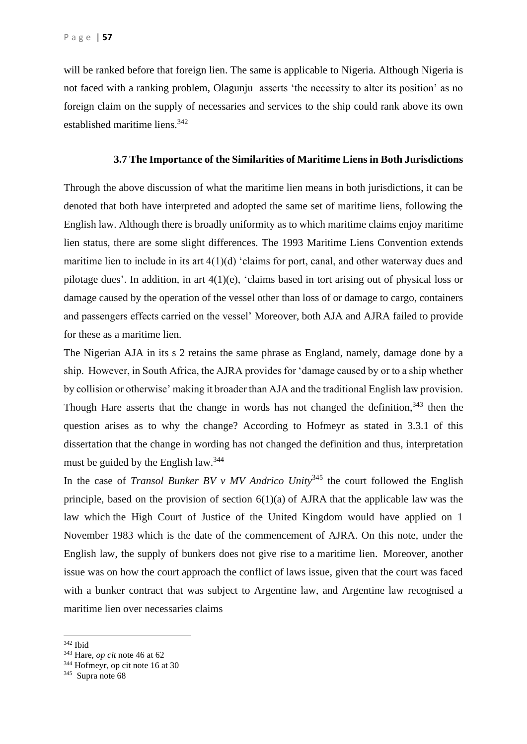will be ranked before that foreign lien. The same is applicable to Nigeria. Although Nigeria is not faced with a ranking problem, Olagunju asserts 'the necessity to alter its position' as no foreign claim on the supply of necessaries and services to the ship could rank above its own established maritime liens.<sup>342</sup>

# **3.7 The Importance of the Similarities of Maritime Liens in Both Jurisdictions**

Through the above discussion of what the maritime lien means in both jurisdictions, it can be denoted that both have interpreted and adopted the same set of maritime liens, following the English law. Although there is broadly uniformity as to which maritime claims enjoy maritime lien status, there are some slight differences. The 1993 Maritime Liens Convention extends maritime lien to include in its art 4(1)(d) 'claims for port, canal, and other waterway dues and pilotage dues'. In addition, in art 4(1)(e), 'claims based in tort arising out of physical loss or damage caused by the operation of the vessel other than loss of or damage to cargo, containers and passengers effects carried on the vessel' Moreover, both AJA and AJRA failed to provide for these as a maritime lien.

The Nigerian AJA in its s 2 retains the same phrase as England, namely, damage done by a ship. However, in South Africa, the AJRA provides for 'damage caused by or to a ship whether by collision or otherwise' making it broader than AJA and the traditional English law provision. Though Hare asserts that the change in words has not changed the definition,<sup>343</sup> then the question arises as to why the change? According to Hofmeyr as stated in 3.3.1 of this dissertation that the change in wording has not changed the definition and thus, interpretation must be guided by the English law.<sup>344</sup>

In the case of *Transol Bunker BV v MV Andrico Unity*<sup>345</sup> the court followed the English principle, based on the provision of section  $6(1)(a)$  of AJRA that the applicable law was the law which the High Court of Justice of the United Kingdom would have applied on 1 November 1983 which is the date of the commencement of AJRA. On this note, under the English law, the supply of bunkers does not give rise to a maritime lien. Moreover, another issue was on how the court approach the conflict of laws issue, given that the court was faced with a bunker contract that was subject to Argentine law, and Argentine law recognised a maritime lien over necessaries claims

<sup>342</sup> Ibid

<sup>343</sup> Hare, *op cit* note 46 at 62

<sup>344</sup> Hofmeyr, op cit note 16 at 30

<sup>&</sup>lt;sup>345</sup> Supra note 68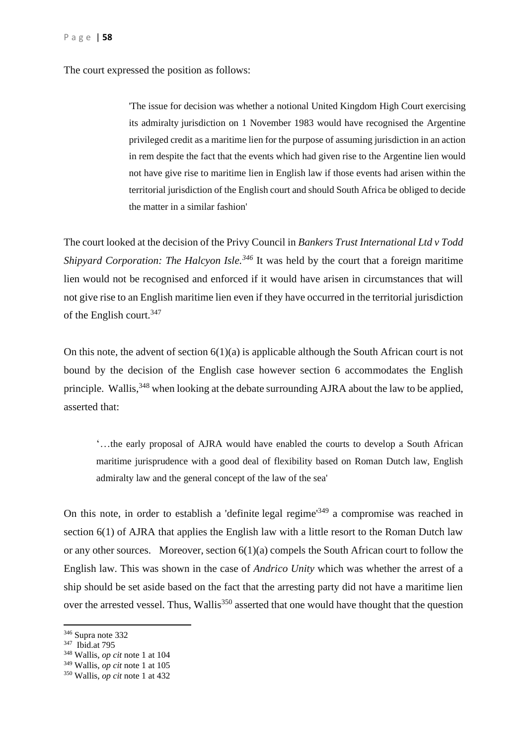The court expressed the position as follows:

'The issue for decision was whether a notional United Kingdom High Court exercising its admiralty jurisdiction on 1 November 1983 would have recognised the Argentine privileged credit as a maritime lien for the purpose of assuming jurisdiction in an action in rem despite the fact that the events which had given rise to the Argentine lien would not have give rise to maritime lien in English law if those events had arisen within the territorial jurisdiction of the English court and should South Africa be obliged to decide the matter in a similar fashion'

The court looked at the decision of the Privy Council in *Bankers Trust International Ltd v Todd Shipyard Corporation: The Halcyon Isle.<sup>346</sup>* It was held by the court that a foreign maritime lien would not be recognised and enforced if it would have arisen in circumstances that will not give rise to an English maritime lien even if they have occurred in the territorial jurisdiction of the English court.<sup>347</sup>

On this note, the advent of section  $6(1)(a)$  is applicable although the South African court is not bound by the decision of the English case however section 6 accommodates the English principle. Wallis,<sup>348</sup> when looking at the debate surrounding AJRA about the law to be applied, asserted that:

'…the early proposal of AJRA would have enabled the courts to develop a South African maritime jurisprudence with a good deal of flexibility based on Roman Dutch law, English admiralty law and the general concept of the law of the sea'

On this note, in order to establish a 'definite legal regime'<sup>349</sup> a compromise was reached in section 6(1) of AJRA that applies the English law with a little resort to the Roman Dutch law or any other sources. Moreover, section  $6(1)(a)$  compels the South African court to follow the English law. This was shown in the case of *Andrico Unity* which was whether the arrest of a ship should be set aside based on the fact that the arresting party did not have a maritime lien over the arrested vessel. Thus, Wallis<sup>350</sup> asserted that one would have thought that the question

<sup>348</sup> Wallis, *op cit* note 1 at 104

<sup>346</sup> Supra note 332

<sup>347</sup> Ibid.at 795

<sup>349</sup> Wallis, *op cit* note 1 at 105

<sup>350</sup> Wallis, *op cit* note 1 at 432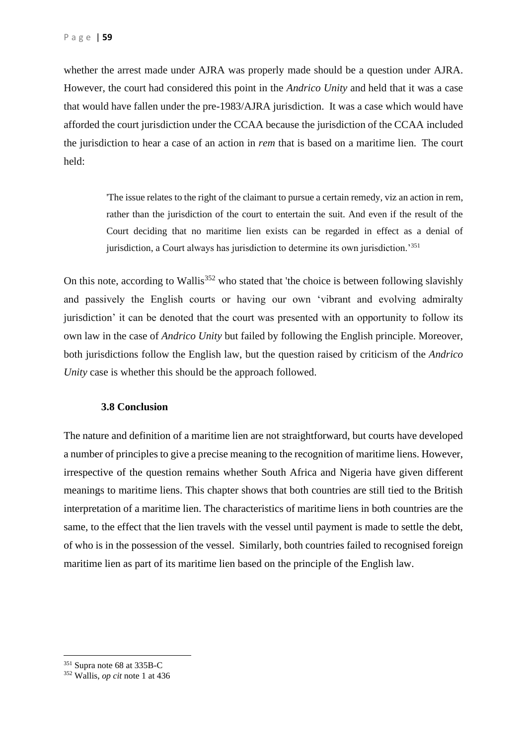whether the arrest made under AJRA was properly made should be a question under AJRA. However, the court had considered this point in the *Andrico Unity* and held that it was a case that would have fallen under the pre-1983/AJRA jurisdiction. It was a case which would have afforded the court jurisdiction under the CCAA because the jurisdiction of the CCAA included the jurisdiction to hear a case of an action in *rem* that is based on a maritime lien. The court held:

> 'The issue relates to the right of the claimant to pursue a certain remedy, viz an action in rem, rather than the jurisdiction of the court to entertain the suit. And even if the result of the Court deciding that no maritime lien exists can be regarded in effect as a denial of jurisdiction, a Court always has jurisdiction to determine its own jurisdiction.'<sup>351</sup>

On this note, according to Wallis<sup>352</sup> who stated that 'the choice is between following slavishly and passively the English courts or having our own 'vibrant and evolving admiralty jurisdiction' it can be denoted that the court was presented with an opportunity to follow its own law in the case of *Andrico Unity* but failed by following the English principle. Moreover, both jurisdictions follow the English law, but the question raised by criticism of the *Andrico Unity* case is whether this should be the approach followed.

#### **3.8 Conclusion**

The nature and definition of a maritime lien are not straightforward, but courts have developed a number of principles to give a precise meaning to the recognition of maritime liens. However, irrespective of the question remains whether South Africa and Nigeria have given different meanings to maritime liens. This chapter shows that both countries are still tied to the British interpretation of a maritime lien. The characteristics of maritime liens in both countries are the same, to the effect that the lien travels with the vessel until payment is made to settle the debt, of who is in the possession of the vessel. Similarly, both countries failed to recognised foreign maritime lien as part of its maritime lien based on the principle of the English law.

<sup>351</sup> Supra note 68 at 335B-C

<sup>352</sup> Wallis, *op cit* note 1 at 436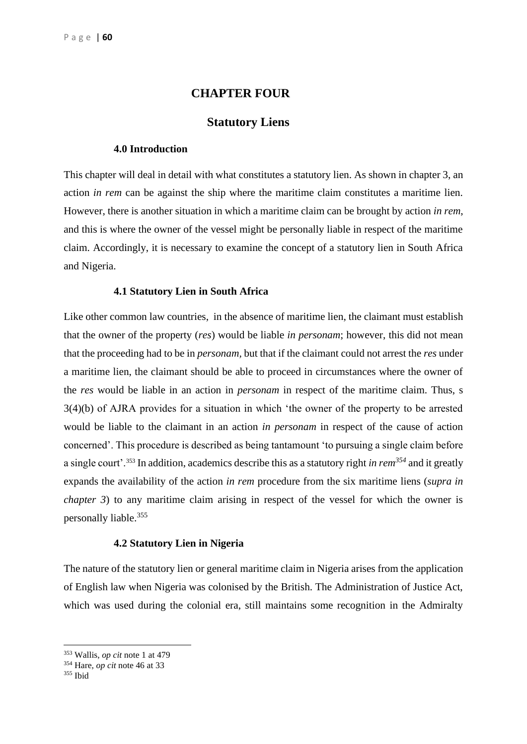# **CHAPTER FOUR**

# **Statutory Liens**

# **4.0 Introduction**

This chapter will deal in detail with what constitutes a statutory lien. As shown in chapter 3, an action *in rem* can be against the ship where the maritime claim constitutes a maritime lien. However, there is another situation in which a maritime claim can be brought by action *in rem*, and this is where the owner of the vessel might be personally liable in respect of the maritime claim. Accordingly, it is necessary to examine the concept of a statutory lien in South Africa and Nigeria.

# **4.1 Statutory Lien in South Africa**

Like other common law countries, in the absence of maritime lien, the claimant must establish that the owner of the property (*res*) would be liable *in personam*; however, this did not mean that the proceeding had to be in *personam,* but that if the claimant could not arrest the *res* under a maritime lien, the claimant should be able to proceed in circumstances where the owner of the *res* would be liable in an action in *personam* in respect of the maritime claim. Thus, s 3(4)(b) of AJRA provides for a situation in which 'the owner of the property to be arrested would be liable to the claimant in an action *in personam* in respect of the cause of action concerned'. This procedure is described as being tantamount 'to pursuing a single claim before a single court'.<sup>353</sup> In addition, academics describe this as a statutory right *in rem<sup>354</sup>* and it greatly expands the availability of the action *in rem* procedure from the six maritime liens (*supra in chapter 3*) to any maritime claim arising in respect of the vessel for which the owner is personally liable.<sup>355</sup>

# **4.2 Statutory Lien in Nigeria**

The nature of the statutory lien or general maritime claim in Nigeria arises from the application of English law when Nigeria was colonised by the British. The Administration of Justice Act, which was used during the colonial era, still maintains some recognition in the Admiralty

<sup>353</sup> Wallis, *op cit* note 1 at 479

<sup>354</sup> Hare, *op cit* note 46 at 33

<sup>355</sup> Ibid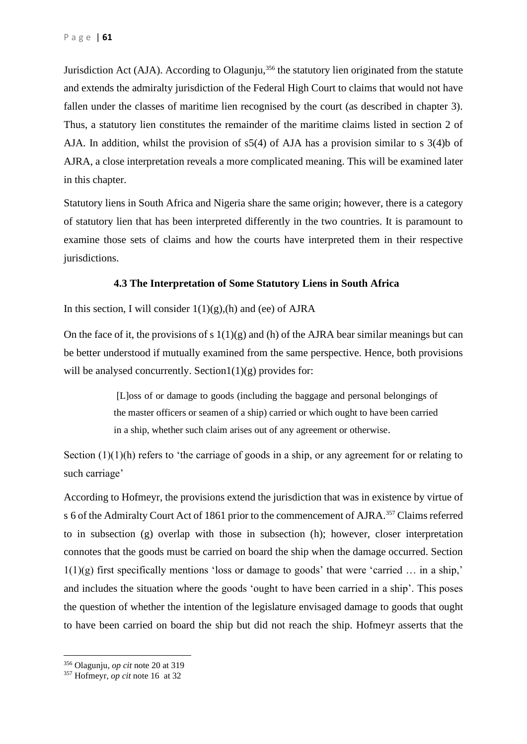Jurisdiction Act (AJA). According to Olagunju,<sup>356</sup> the statutory lien originated from the statute and extends the admiralty jurisdiction of the Federal High Court to claims that would not have fallen under the classes of maritime lien recognised by the court (as described in chapter 3). Thus, a statutory lien constitutes the remainder of the maritime claims listed in section 2 of AJA. In addition, whilst the provision of s5(4) of AJA has a provision similar to s 3(4)b of AJRA, a close interpretation reveals a more complicated meaning. This will be examined later in this chapter.

Statutory liens in South Africa and Nigeria share the same origin; however, there is a category of statutory lien that has been interpreted differently in the two countries. It is paramount to examine those sets of claims and how the courts have interpreted them in their respective jurisdictions.

## **4.3 The Interpretation of Some Statutory Liens in South Africa**

In this section, I will consider  $1(1)(g)$ , (h) and (ee) of AJRA

On the face of it, the provisions of s  $1(1)(g)$  and (h) of the AJRA bear similar meanings but can be better understood if mutually examined from the same perspective. Hence, both provisions will be analysed concurrently. Section1 $(1)(g)$  provides for:

> [L]oss of or damage to goods (including the baggage and personal belongings of the master officers or seamen of a ship) carried or which ought to have been carried in a ship, whether such claim arises out of any agreement or otherwise.

Section (1)(1)(h) refers to 'the carriage of goods in a ship, or any agreement for or relating to such carriage'

According to Hofmeyr, the provisions extend the jurisdiction that was in existence by virtue of s 6 of the Admiralty Court Act of 1861 prior to the commencement of AJRA.<sup>357</sup> Claims referred to in subsection (g) overlap with those in subsection (h); however, closer interpretation connotes that the goods must be carried on board the ship when the damage occurred. Section  $1(1)(g)$  first specifically mentions 'loss or damage to goods' that were 'carried ... in a ship,' and includes the situation where the goods 'ought to have been carried in a ship'. This poses the question of whether the intention of the legislature envisaged damage to goods that ought to have been carried on board the ship but did not reach the ship. Hofmeyr asserts that the

<sup>356</sup> Olagunju, *op cit* note 20 at 319

<sup>357</sup> Hofmeyr, *op cit* note 16 at 32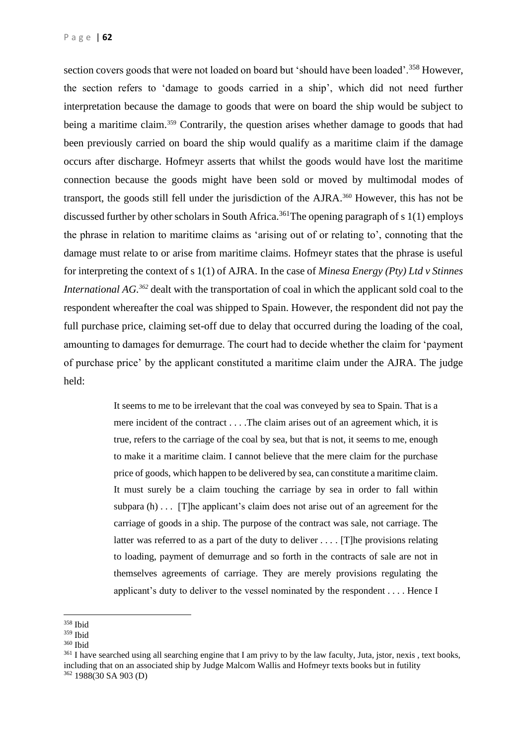section covers goods that were not loaded on board but 'should have been loaded'.<sup>358</sup> However, the section refers to 'damage to goods carried in a ship', which did not need further interpretation because the damage to goods that were on board the ship would be subject to being a maritime claim.<sup>359</sup> Contrarily, the question arises whether damage to goods that had been previously carried on board the ship would qualify as a maritime claim if the damage occurs after discharge. Hofmeyr asserts that whilst the goods would have lost the maritime connection because the goods might have been sold or moved by multimodal modes of transport, the goods still fell under the jurisdiction of the AJRA. <sup>360</sup> However, this has not be discussed further by other scholars in South Africa.<sup>361</sup>The opening paragraph of s 1(1) employs the phrase in relation to maritime claims as 'arising out of or relating to', connoting that the damage must relate to or arise from maritime claims. Hofmeyr states that the phrase is useful for interpreting the context of s 1(1) of AJRA. In the case of *Minesa Energy (Pty) Ltd v Stinnes International AG.<sup>362</sup>* dealt with the transportation of coal in which the applicant sold coal to the respondent whereafter the coal was shipped to Spain. However, the respondent did not pay the full purchase price, claiming set-off due to delay that occurred during the loading of the coal, amounting to damages for demurrage. The court had to decide whether the claim for 'payment of purchase price' by the applicant constituted a maritime claim under the AJRA. The judge held:

> It seems to me to be irrelevant that the coal was conveyed by sea to Spain. That is a mere incident of the contract . . . .The claim arises out of an agreement which, it is true, refers to the carriage of the coal by sea, but that is not, it seems to me, enough to make it a maritime claim. I cannot believe that the mere claim for the purchase price of goods, which happen to be delivered by sea, can constitute a maritime claim. It must surely be a claim touching the carriage by sea in order to fall within subpara (h) . . . [T]he applicant's claim does not arise out of an agreement for the carriage of goods in a ship. The purpose of the contract was sale, not carriage. The latter was referred to as a part of the duty to deliver . . . . [T]he provisions relating to loading, payment of demurrage and so forth in the contracts of sale are not in themselves agreements of carriage. They are merely provisions regulating the applicant's duty to deliver to the vessel nominated by the respondent . . . . Hence I

<sup>358</sup> Ibid

<sup>359</sup> Ibid

<sup>360</sup> Ibid

<sup>&</sup>lt;sup>361</sup> I have searched using all searching engine that I am privy to by the law faculty. Juta, istor, nexis, text books, including that on an associated ship by Judge Malcom Wallis and Hofmeyr texts books but in futility <sup>362</sup> 1988(30 SA 903 (D)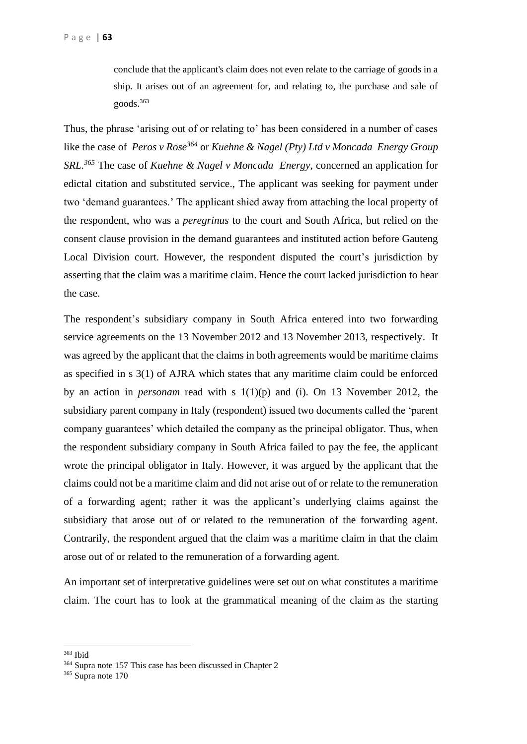conclude that the applicant's claim does not even relate to the carriage of goods in a ship. It arises out of an agreement for, and relating to, the purchase and sale of goods. 363

Thus, the phrase 'arising out of or relating to' has been considered in a number of cases like the case of *Peros v Rose<sup>364</sup>* or *Kuehne & Nagel (Pty) Ltd v Moncada Energy Group SRL. <sup>365</sup>* The case of *Kuehne & Nagel v Moncada Energy,* concerned an application for edictal citation and substituted service., The applicant was seeking for payment under two 'demand guarantees.' The applicant shied away from attaching the local property of the respondent, who was a *peregrinus* to the court and South Africa, but relied on the consent clause provision in the demand guarantees and instituted action before Gauteng Local Division court. However, the respondent disputed the court's jurisdiction by asserting that the claim was a maritime claim. Hence the court lacked jurisdiction to hear the case.

The respondent's subsidiary company in South Africa entered into two forwarding service agreements on the 13 November 2012 and 13 November 2013, respectively. It was agreed by the applicant that the claims in both agreements would be maritime claims as specified in s 3(1) of AJRA which states that any maritime claim could be enforced by an action in *personam* read with s 1(1)(p) and (i). On 13 November 2012, the subsidiary parent company in Italy (respondent) issued two documents called the 'parent company guarantees' which detailed the company as the principal obligator. Thus, when the respondent subsidiary company in South Africa failed to pay the fee, the applicant wrote the principal obligator in Italy. However, it was argued by the applicant that the claims could not be a maritime claim and did not arise out of or relate to the remuneration of a forwarding agent; rather it was the applicant's underlying claims against the subsidiary that arose out of or related to the remuneration of the forwarding agent. Contrarily, the respondent argued that the claim was a maritime claim in that the claim arose out of or related to the remuneration of a forwarding agent.

An important set of interpretative guidelines were set out on what constitutes a maritime claim. The court has to look at the grammatical meaning of the claim as the starting

<sup>363</sup> Ibid

<sup>364</sup> Supra note 157 This case has been discussed in Chapter 2

<sup>365</sup> Supra note 170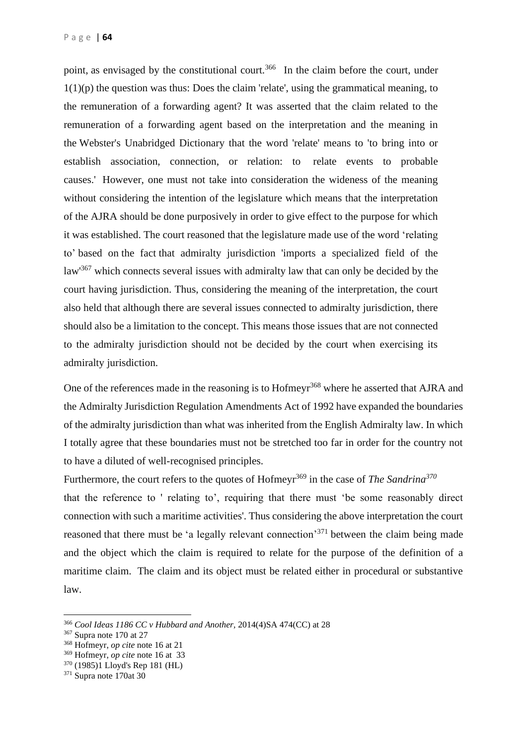point, as envisaged by the constitutional court.<sup>366</sup> In the claim before the court, under  $1(1)(p)$  the question was thus: Does the claim 'relate', using the grammatical meaning, to the remuneration of a forwarding agent? It was asserted that the claim related to the remuneration of a forwarding agent based on the interpretation and the meaning in the Webster's Unabridged Dictionary that the word 'relate' means to 'to bring into or establish association, connection, or relation: to relate events to probable causes.' However, one must not take into consideration the wideness of the meaning without considering the intention of the legislature which means that the interpretation of the AJRA should be done purposively in order to give effect to the purpose for which it was established. The court reasoned that the legislature made use of the word 'relating to' based on the fact that admiralty jurisdiction 'imports a specialized field of the law<sup>367</sup> which connects several issues with admiralty law that can only be decided by the court having jurisdiction. Thus, considering the meaning of the interpretation, the court also held that although there are several issues connected to admiralty jurisdiction, there should also be a limitation to the concept. This means those issues that are not connected to the admiralty jurisdiction should not be decided by the court when exercising its admiralty jurisdiction.

One of the references made in the reasoning is to Hofmeyr<sup>368</sup> where he asserted that AJRA and the Admiralty Jurisdiction Regulation Amendments Act of 1992 have expanded the boundaries of the admiralty jurisdiction than what was inherited from the English Admiralty law. In which I totally agree that these boundaries must not be stretched too far in order for the country not to have a diluted of well-recognised principles.

Furthermore, the court refers to the quotes of Hofmeyr<sup>369</sup> in the case of *The Sandrina*<sup>370</sup> that the reference to ' relating to', requiring that there must 'be some reasonably direct connection with such a maritime activities'. Thus considering the above interpretation the court reasoned that there must be 'a legally relevant connection'<sup>371</sup> between the claim being made and the object which the claim is required to relate for the purpose of the definition of a maritime claim. The claim and its object must be related either in procedural or substantive law.

<sup>366</sup> *Cool Ideas 1186 CC v Hubbard and Another,* 2014(4)SA 474(CC) at 28

<sup>367</sup> Supra note 170 at 27

<sup>368</sup> Hofmeyr, *op cite* note 16 at 21

<sup>369</sup> Hofmeyr, *op cite* note 16 at 33

<sup>370</sup> (1985)1 Lloyd's Rep 181 (HL)

<sup>371</sup> Supra note 170at 30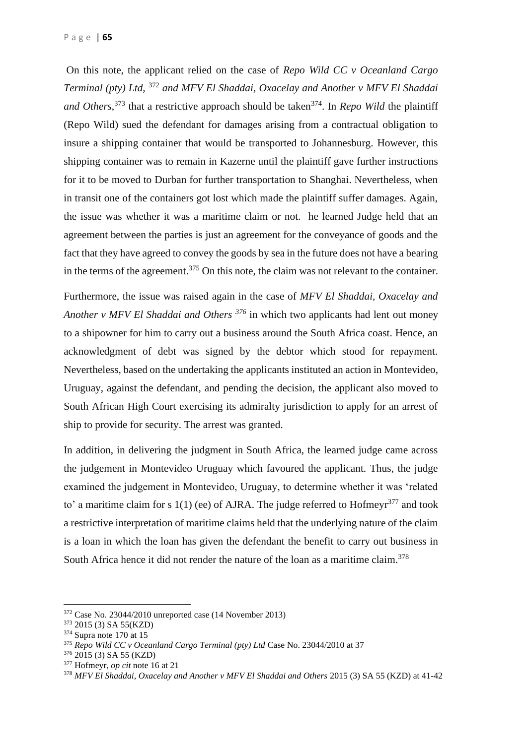On this note, the applicant relied on the case of *Repo Wild CC v Oceanland Cargo Terminal (pty) Ltd,* <sup>372</sup> *and MFV El Shaddai, Oxacelay and Another v MFV El Shaddai*  and Others,<sup>373</sup> that a restrictive approach should be taken<sup>374</sup>. In *Repo Wild* the plaintiff (Repo Wild) sued the defendant for damages arising from a contractual obligation to insure a shipping container that would be transported to Johannesburg. However, this shipping container was to remain in Kazerne until the plaintiff gave further instructions for it to be moved to Durban for further transportation to Shanghai. Nevertheless, when in transit one of the containers got lost which made the plaintiff suffer damages. Again, the issue was whether it was a maritime claim or not. he learned Judge held that an agreement between the parties is just an agreement for the conveyance of goods and the fact that they have agreed to convey the goods by sea in the future does not have a bearing in the terms of the agreement.<sup>375</sup> On this note, the claim was not relevant to the container.

Furthermore, the issue was raised again in the case of *MFV El Shaddai, Oxacelay and Another v MFV El Shaddai and Others <sup>376</sup>* in which two applicants had lent out money to a shipowner for him to carry out a business around the South Africa coast. Hence, an acknowledgment of debt was signed by the debtor which stood for repayment. Nevertheless, based on the undertaking the applicants instituted an action in Montevideo, Uruguay, against the defendant, and pending the decision, the applicant also moved to South African High Court exercising its admiralty jurisdiction to apply for an arrest of ship to provide for security. The arrest was granted.

In addition, in delivering the judgment in South Africa, the learned judge came across the judgement in Montevideo Uruguay which favoured the applicant. Thus, the judge examined the judgement in Montevideo, Uruguay, to determine whether it was 'related to' a maritime claim for s  $1(1)$  (ee) of AJRA. The judge referred to Hofmeyr<sup>377</sup> and took a restrictive interpretation of maritime claims held that the underlying nature of the claim is a loan in which the loan has given the defendant the benefit to carry out business in South Africa hence it did not render the nature of the loan as a maritime claim.<sup>378</sup>

<sup>372</sup> Case No. 23044/2010 unreported case (14 November 2013)

<sup>373</sup> 2015 (3) SA 55(KZD)

<sup>374</sup> Supra note 170 at 15

<sup>375</sup> *Repo Wild CC v Oceanland Cargo Terminal (pty) Ltd* Case No. 23044/2010 at 37

<sup>376</sup> 2015 (3) SA 55 (KZD)

<sup>377</sup> Hofmeyr, *op cit* note 16 at 21

<sup>378</sup> *MFV El Shaddai, Oxacelay and Another v MFV El Shaddai and Others* 2015 (3) SA 55 (KZD) at 41-42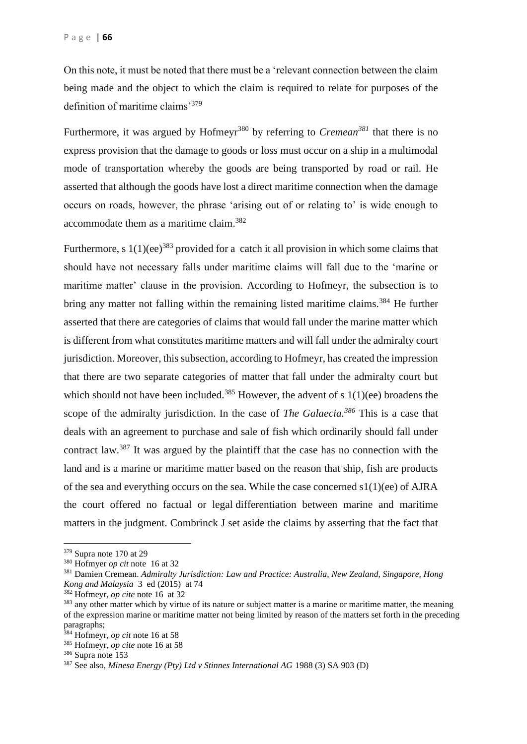On this note, it must be noted that there must be a 'relevant connection between the claim being made and the object to which the claim is required to relate for purposes of the definition of maritime claims'<sup>379</sup>

Furthermore, it was argued by Hofmeyr<sup>380</sup> by referring to *Cremean*<sup>381</sup> that there is no express provision that the damage to goods or loss must occur on a ship in a multimodal mode of transportation whereby the goods are being transported by road or rail. He asserted that although the goods have lost a direct maritime connection when the damage occurs on roads, however, the phrase 'arising out of or relating to' is wide enough to accommodate them as a maritime claim. 382

Furthermore, s  $1(1)(ee)^{383}$  provided for a catch it all provision in which some claims that should have not necessary falls under maritime claims will fall due to the 'marine or maritime matter' clause in the provision. According to Hofmeyr, the subsection is to bring any matter not falling within the remaining listed maritime claims.<sup>384</sup> He further asserted that there are categories of claims that would fall under the marine matter which is different from what constitutes maritime matters and will fall under the admiralty court jurisdiction. Moreover, this subsection, according to Hofmeyr, has created the impression that there are two separate categories of matter that fall under the admiralty court but which should not have been included.<sup>385</sup> However, the advent of s  $1(1)(ee)$  broadens the scope of the admiralty jurisdiction. In the case of *The Galaecia.<sup>386</sup>* This is a case that deals with an agreement to purchase and sale of fish which ordinarily should fall under contract law.<sup>387</sup> It was argued by the plaintiff that the case has no connection with the land and is a marine or maritime matter based on the reason that ship, fish are products of the sea and everything occurs on the sea. While the case concerned  $s1(1)(ee)$  of AJRA the court offered no factual or legal differentiation between marine and maritime matters in the judgment. Combrinck J set aside the claims by asserting that the fact that

<sup>379</sup> Supra note 170 at 29

<sup>380</sup> Hofmyer *op cit* note 16 at 32

<sup>381</sup> Damien Cremean. *Admiralty Jurisdiction: Law and Practice: Australia, New Zealand, Singapore, Hong Kong and Malaysia* 3 ed (2015) at 74

<sup>382</sup> Hofmeyr, *op cite* note 16 at 32

<sup>&</sup>lt;sup>383</sup> any other matter which by virtue of its nature or subject matter is a marine or maritime matter, the meaning of the expression marine or maritime matter not being limited by reason of the matters set forth in the preceding paragraphs;

<sup>384</sup> Hofmeyr, *op cit* note 16 at 58

<sup>385</sup> Hofmeyr, *op cite* note 16 at 58

<sup>386</sup> Supra note 153

<sup>387</sup> See also, *Minesa Energy (Pty) Ltd v Stinnes International AG* 1988 (3) SA 903 (D)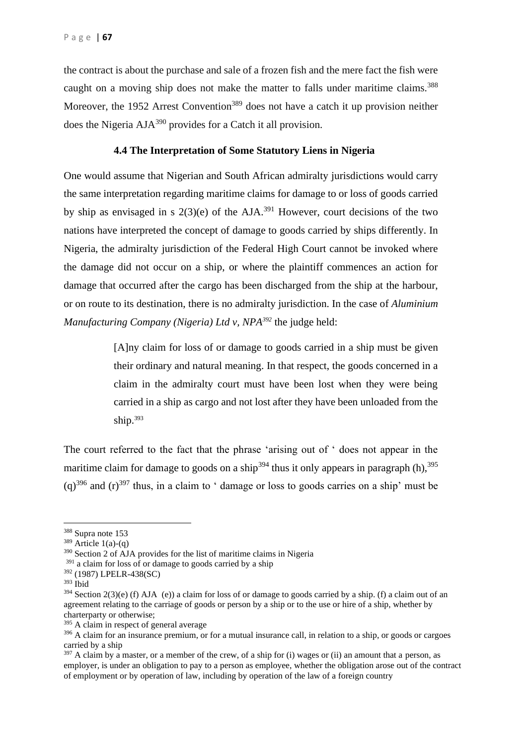the contract is about the purchase and sale of a frozen fish and the mere fact the fish were caught on a moving ship does not make the matter to falls under maritime claims.<sup>388</sup> Moreover, the 1952 Arrest Convention<sup>389</sup> does not have a catch it up provision neither does the Nigeria AJA<sup>390</sup> provides for a Catch it all provision.

# **4.4 The Interpretation of Some Statutory Liens in Nigeria**

One would assume that Nigerian and South African admiralty jurisdictions would carry the same interpretation regarding maritime claims for damage to or loss of goods carried by ship as envisaged in s  $2(3)(e)$  of the AJA.<sup>391</sup> However, court decisions of the two nations have interpreted the concept of damage to goods carried by ships differently. In Nigeria, the admiralty jurisdiction of the Federal High Court cannot be invoked where the damage did not occur on a ship, or where the plaintiff commences an action for damage that occurred after the cargo has been discharged from the ship at the harbour, or on route to its destination, there is no admiralty jurisdiction. In the case of *Aluminium Manufacturing Company (Nigeria) Ltd v, NPA<sup>392</sup>* the judge held:

> [A]ny claim for loss of or damage to goods carried in a ship must be given their ordinary and natural meaning. In that respect, the goods concerned in a claim in the admiralty court must have been lost when they were being carried in a ship as cargo and not lost after they have been unloaded from the ship.<sup>393</sup>

The court referred to the fact that the phrase 'arising out of ' does not appear in the maritime claim for damage to goods on a ship<sup>394</sup> thus it only appears in paragraph  $(h)$ ,<sup>395</sup> (q)<sup>396</sup> and (r)<sup>397</sup> thus, in a claim to ' damage or loss to goods carries on a ship' must be

<sup>388</sup> Supra note 153

 $389$  Article 1(a)-(q)

<sup>390</sup> Section 2 of AJA provides for the list of maritime claims in Nigeria

 $391$  a claim for loss of or damage to goods carried by a ship

<sup>392</sup> (1987) LPELR-438(SC)

<sup>393</sup> Ibid

 $394$  Section 2(3)(e) (f) AJA (e)) a claim for loss of or damage to goods carried by a ship. (f) a claim out of an agreement relating to the carriage of goods or person by a ship or to the use or hire of a ship, whether by charterparty or otherwise;

<sup>&</sup>lt;sup>395</sup> A claim in respect of general average

<sup>&</sup>lt;sup>396</sup> A claim for an insurance premium, or for a mutual insurance call, in relation to a ship, or goods or cargoes carried by a ship

 $397$  A claim by a master, or a member of the crew, of a ship for (i) wages or (ii) an amount that a person, as employer, is under an obligation to pay to a person as employee, whether the obligation arose out of the contract of employment or by operation of law, including by operation of the law of a foreign country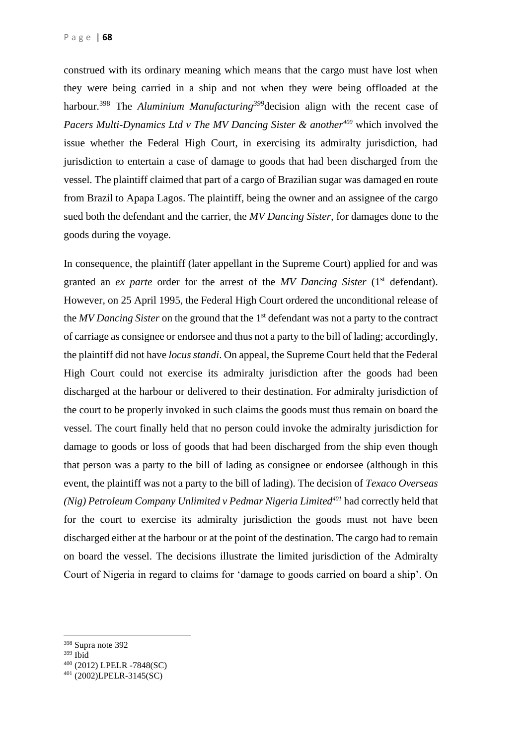construed with its ordinary meaning which means that the cargo must have lost when they were being carried in a ship and not when they were being offloaded at the harbour.<sup>398</sup> The *Aluminium Manufacturing*<sup>399</sup>decision align with the recent case of *Pacers Multi-Dynamics Ltd v The MV Dancing Sister & another<sup>400</sup>* which involved the issue whether the Federal High Court, in exercising its admiralty jurisdiction, had jurisdiction to entertain a case of damage to goods that had been discharged from the vessel. The plaintiff claimed that part of a cargo of Brazilian sugar was damaged en route from Brazil to Apapa Lagos. The plaintiff, being the owner and an assignee of the cargo sued both the defendant and the carrier, the *MV Dancing Sister*, for damages done to the goods during the voyage.

In consequence, the plaintiff (later appellant in the Supreme Court) applied for and was granted an *ex parte* order for the arrest of the *MV Dancing Sister* (1<sup>st</sup> defendant). However, on 25 April 1995, the Federal High Court ordered the unconditional release of the *MV Dancing Sister* on the ground that the 1<sup>st</sup> defendant was not a party to the contract of carriage as consignee or endorsee and thus not a party to the bill of lading; accordingly, the plaintiff did not have *locus standi*. On appeal, the Supreme Court held that the Federal High Court could not exercise its admiralty jurisdiction after the goods had been discharged at the harbour or delivered to their destination. For admiralty jurisdiction of the court to be properly invoked in such claims the goods must thus remain on board the vessel. The court finally held that no person could invoke the admiralty jurisdiction for damage to goods or loss of goods that had been discharged from the ship even though that person was a party to the bill of lading as consignee or endorsee (although in this event, the plaintiff was not a party to the bill of lading). The decision of *Texaco Overseas (Nig) Petroleum Company Unlimited v Pedmar Nigeria Limited<sup>401</sup>* had correctly held that for the court to exercise its admiralty jurisdiction the goods must not have been discharged either at the harbour or at the point of the destination. The cargo had to remain on board the vessel. The decisions illustrate the limited jurisdiction of the Admiralty Court of Nigeria in regard to claims for 'damage to goods carried on board a ship'. On

<sup>398</sup> Supra note 392

<sup>399</sup> Ibid

<sup>400</sup> (2012) LPELR -7848(SC)

<sup>401</sup> (2002)LPELR-3145(SC)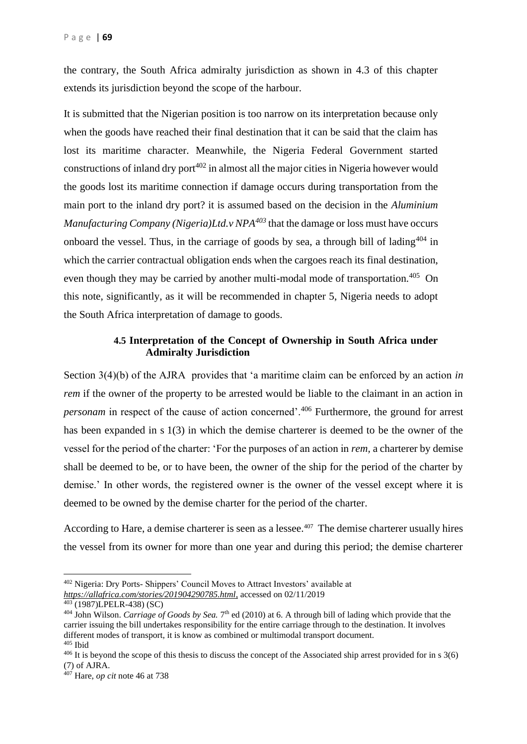the contrary, the South Africa admiralty jurisdiction as shown in 4.3 of this chapter extends its jurisdiction beyond the scope of the harbour.

It is submitted that the Nigerian position is too narrow on its interpretation because only when the goods have reached their final destination that it can be said that the claim has lost its maritime character. Meanwhile, the Nigeria Federal Government started constructions of inland dry port $402$  in almost all the major cities in Nigeria however would the goods lost its maritime connection if damage occurs during transportation from the main port to the inland dry port? it is assumed based on the decision in the *Aluminium Manufacturing Company (Nigeria)Ltd.v NPA<sup>403</sup>* that the damage or loss must have occurs onboard the vessel. Thus, in the carriage of goods by sea, a through bill of lading<sup>404</sup> in which the carrier contractual obligation ends when the cargoes reach its final destination, even though they may be carried by another multi-modal mode of transportation.<sup>405</sup> On this note, significantly, as it will be recommended in chapter 5, Nigeria needs to adopt the South Africa interpretation of damage to goods.

# **4.5 Interpretation of the Concept of Ownership in South Africa under Admiralty Jurisdiction**

Section 3(4)(b) of the AJRA provides that 'a maritime claim can be enforced by an action *in rem* if the owner of the property to be arrested would be liable to the claimant in an action in *personam* in respect of the cause of action concerned'.<sup>406</sup> Furthermore, the ground for arrest has been expanded in s 1(3) in which the demise charterer is deemed to be the owner of the vessel for the period of the charter: 'For the purposes of an action in *rem,* a charterer by demise shall be deemed to be, or to have been, the owner of the ship for the period of the charter by demise.' In other words, the registered owner is the owner of the vessel except where it is deemed to be owned by the demise charter for the period of the charter.

According to Hare, a demise charterer is seen as a lessee.<sup>407</sup> The demise charterer usually hires the vessel from its owner for more than one year and during this period; the demise charterer

<sup>402</sup> Nigeria: Dry Ports- Shippers' Council Moves to Attract Investors' available at *[https://allafrica.com/stories/201904290785.html,](https://allafrica.com/stories/201904290785.html)* accessed on 02/11/2019

 $403$  (1987)LPELR-438) (SC)

<sup>404</sup> John Wilson. *Carriage of Goods by Sea.* 7 th ed (2010) at 6*.* A through bill of lading which provide that the carrier issuing the bill undertakes responsibility for the entire carriage through to the destination. It involves different modes of transport, it is know as combined or multimodal transport document. <sup>405</sup> Ibid

 $406$  It is beyond the scope of this thesis to discuss the concept of the Associated ship arrest provided for in s  $3(6)$ (7) of AJRA.

<sup>407</sup> Hare, *op cit* note 46 at 738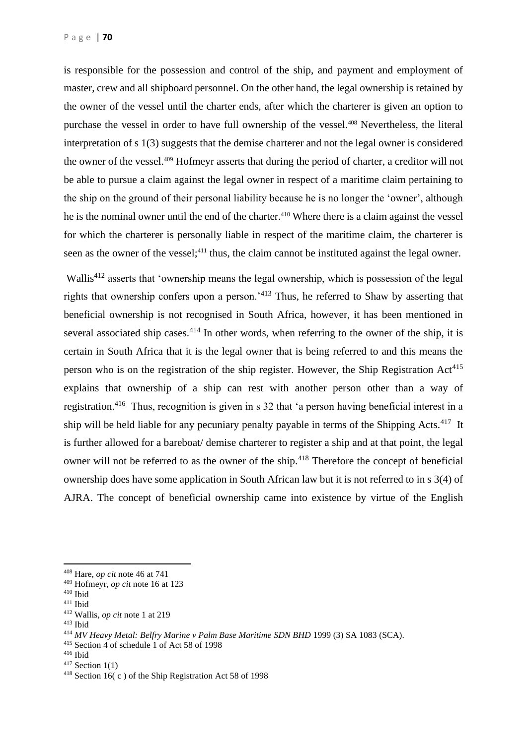is responsible for the possession and control of the ship, and payment and employment of master, crew and all shipboard personnel. On the other hand, the legal ownership is retained by the owner of the vessel until the charter ends, after which the charterer is given an option to purchase the vessel in order to have full ownership of the vessel.<sup>408</sup> Nevertheless, the literal interpretation of s 1(3) suggests that the demise charterer and not the legal owner is considered the owner of the vessel.<sup>409</sup> Hofmeyr asserts that during the period of charter, a creditor will not be able to pursue a claim against the legal owner in respect of a maritime claim pertaining to the ship on the ground of their personal liability because he is no longer the 'owner', although he is the nominal owner until the end of the charter.<sup>410</sup> Where there is a claim against the vessel for which the charterer is personally liable in respect of the maritime claim, the charterer is seen as the owner of the vessel;<sup>411</sup> thus, the claim cannot be instituted against the legal owner.

Wallis<sup>412</sup> asserts that 'ownership means the legal ownership, which is possession of the legal rights that ownership confers upon a person.'<sup>413</sup> Thus, he referred to Shaw by asserting that beneficial ownership is not recognised in South Africa, however, it has been mentioned in several associated ship cases.<sup>414</sup> In other words, when referring to the owner of the ship, it is certain in South Africa that it is the legal owner that is being referred to and this means the person who is on the registration of the ship register. However, the Ship Registration  $Act^{415}$ explains that ownership of a ship can rest with another person other than a way of registration.<sup>416</sup> Thus, recognition is given in s 32 that 'a person having beneficial interest in a ship will be held liable for any pecuniary penalty payable in terms of the Shipping Acts. $417$  It is further allowed for a bareboat/ demise charterer to register a ship and at that point, the legal owner will not be referred to as the owner of the ship.<sup>418</sup> Therefore the concept of beneficial ownership does have some application in South African law but it is not referred to in s 3(4) of AJRA. The concept of beneficial ownership came into existence by virtue of the English

<sup>413</sup> Ibid

<sup>408</sup> Hare, *op cit* note 46 at 741

<sup>409</sup> Hofmeyr, *op cit* note 16 at 123

<sup>410</sup> Ibid

 $^{\rm 411}$  Ibid

<sup>412</sup> Wallis, *op cit* note 1 at 219

<sup>414</sup> *MV Heavy Metal: Belfry Marine v Palm Base Maritime SDN BHD* 1999 (3) SA 1083 (SCA).

<sup>415</sup> Section 4 of schedule 1 of Act 58 of 1998

<sup>416</sup> Ibid

 $417$  Section 1(1)

<sup>418</sup> Section 16( c ) of the Ship Registration Act 58 of 1998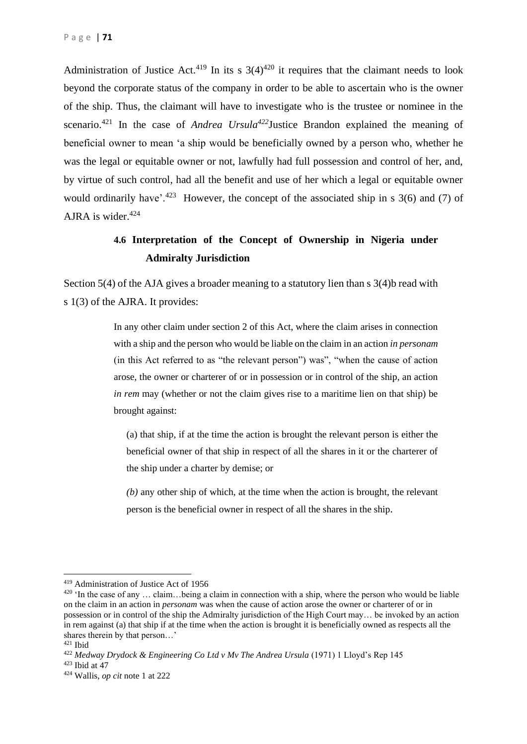Administration of Justice Act.<sup>419</sup> In its s  $3(4)^{420}$  it requires that the claimant needs to look beyond the corporate status of the company in order to be able to ascertain who is the owner of the ship. Thus, the claimant will have to investigate who is the trustee or nominee in the scenario.<sup>421</sup> In the case of *Andrea Ursula<sup>422</sup>*Justice Brandon explained the meaning of beneficial owner to mean 'a ship would be beneficially owned by a person who, whether he was the legal or equitable owner or not, lawfully had full possession and control of her, and, by virtue of such control, had all the benefit and use of her which a legal or equitable owner would ordinarily have'.<sup>423</sup> However, the concept of the associated ship in s  $3(6)$  and (7) of AJRA is wider. $424$ 

# **4.6 Interpretation of the Concept of Ownership in Nigeria under Admiralty Jurisdiction**

Section 5(4) of the AJA gives a broader meaning to a statutory lien than s 3(4)b read with s 1(3) of the AJRA. It provides:

> In any other claim under section 2 of this Act, where the claim arises in connection with a ship and the person who would be liable on the claim in an action *in personam*  (in this Act referred to as "the relevant person") was", "when the cause of action arose, the owner or charterer of or in possession or in control of the ship, an action *in rem* may (whether or not the claim gives rise to a maritime lien on that ship) be brought against:

(a) that ship, if at the time the action is brought the relevant person is either the beneficial owner of that ship in respect of all the shares in it or the charterer of the ship under a charter by demise; or

*(b)* any other ship of which, at the time when the action is brought, the relevant person is the beneficial owner in respect of all the shares in the ship.

<sup>419</sup> Administration of Justice Act of 1956

<sup>420</sup> 'In the case of any … claim…being a claim in connection with a ship, where the person who would be liable on the claim in an action in *personam* was when the cause of action arose the owner or charterer of or in possession or in control of the ship the Admiralty jurisdiction of the High Court may… be invoked by an action in rem against (a) that ship if at the time when the action is brought it is beneficially owned as respects all the shares therein by that person…'

<sup>421</sup> Ibid

<sup>422</sup> *Medway Drydock & Engineering Co Ltd v Mv The Andrea Ursula* (1971) 1 Lloyd's Rep 145

 $423$  Ibid at  $47$ 

<sup>424</sup> Wallis, *op cit* note 1 at 222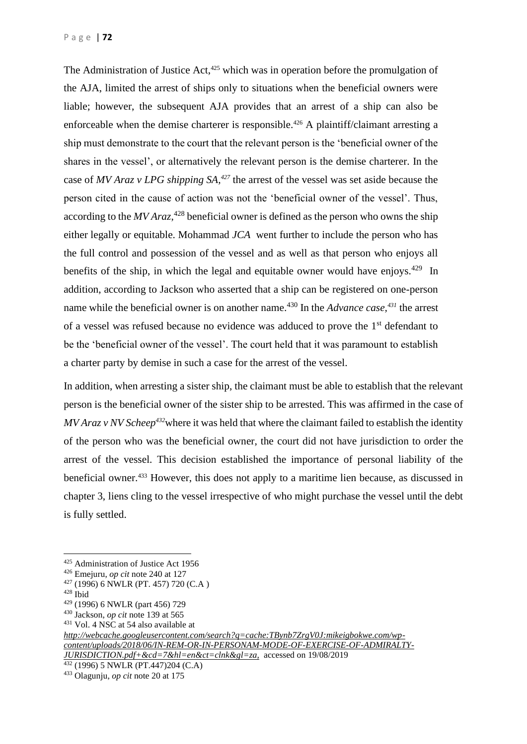The Administration of Justice Act, $425$  which was in operation before the promulgation of the AJA, limited the arrest of ships only to situations when the beneficial owners were liable; however, the subsequent AJA provides that an arrest of a ship can also be enforceable when the demise charterer is responsible.<sup>426</sup> A plaintiff/claimant arresting a ship must demonstrate to the court that the relevant person is the 'beneficial owner of the shares in the vessel', or alternatively the relevant person is the demise charterer. In the case of *MV Araz v LPG shipping SA,<sup>427</sup>* the arrest of the vessel was set aside because the person cited in the cause of action was not the 'beneficial owner of the vessel'. Thus, according to the *MV Araz*, <sup>428</sup> beneficial owner is defined as the person who owns the ship either legally or equitable. Mohammad *JCA* went further to include the person who has the full control and possession of the vessel and as well as that person who enjoys all benefits of the ship, in which the legal and equitable owner would have enjoys.  $429$  In addition, according to Jackson who asserted that a ship can be registered on one-person name while the beneficial owner is on another name.<sup>430</sup> In the *Advance case,<sup>431</sup>* the arrest of a vessel was refused because no evidence was adduced to prove the 1st defendant to be the 'beneficial owner of the vessel'. The court held that it was paramount to establish a charter party by demise in such a case for the arrest of the vessel.

In addition, when arresting a sister ship, the claimant must be able to establish that the relevant person is the beneficial owner of the sister ship to be arrested. This was affirmed in the case of *MV Araz v NV Scheep<sup>432</sup>*where it was held that where the claimant failed to establish the identity of the person who was the beneficial owner, the court did not have jurisdiction to order the arrest of the vessel. This decision established the importance of personal liability of the beneficial owner.<sup>433</sup> However, this does not apply to a maritime lien because, as discussed in chapter 3, liens cling to the vessel irrespective of who might purchase the vessel until the debt is fully settled.

<sup>425</sup> Administration of Justice Act 1956

<sup>426</sup> Emejuru, *op cit* note 240 at 127

<sup>427</sup> (1996) 6 NWLR (PT. 457) 720 (C.A )

<sup>428</sup> Ibid

<sup>429</sup> (1996) 6 NWLR (part 456) 729

<sup>430</sup> Jackson, *op cit* note 139 at 565

<sup>431</sup> Vol. 4 NSC at 54 also available at

*[http://webcache.googleusercontent.com/search?q=cache:TBynb7ZrgV0J:mikeigbokwe.com/wp](http://webcache.googleusercontent.com/search?q=cache:TBynb7ZrgV0J:mikeigbokwe.com/wp-content/uploads/2018/06/IN-REM-OR-IN-PERSONAM-MODE-OF-EXERCISE-OF-ADMIRALTY-JURISDICTION.pdf+&cd=7&hl=en&ct=clnk&gl=za)[content/uploads/2018/06/IN-REM-OR-IN-PERSONAM-MODE-OF-EXERCISE-OF-ADMIRALTY-](http://webcache.googleusercontent.com/search?q=cache:TBynb7ZrgV0J:mikeigbokwe.com/wp-content/uploads/2018/06/IN-REM-OR-IN-PERSONAM-MODE-OF-EXERCISE-OF-ADMIRALTY-JURISDICTION.pdf+&cd=7&hl=en&ct=clnk&gl=za)[JURISDICTION.pdf+&cd=7&hl=en&ct=clnk&gl=za](http://webcache.googleusercontent.com/search?q=cache:TBynb7ZrgV0J:mikeigbokwe.com/wp-content/uploads/2018/06/IN-REM-OR-IN-PERSONAM-MODE-OF-EXERCISE-OF-ADMIRALTY-JURISDICTION.pdf+&cd=7&hl=en&ct=clnk&gl=za)*, accessed on 19/08/2019

<sup>432</sup> (1996) 5 NWLR (PT.447)204 (C.A)

<sup>433</sup> Olagunju, *op cit* note 20 at 175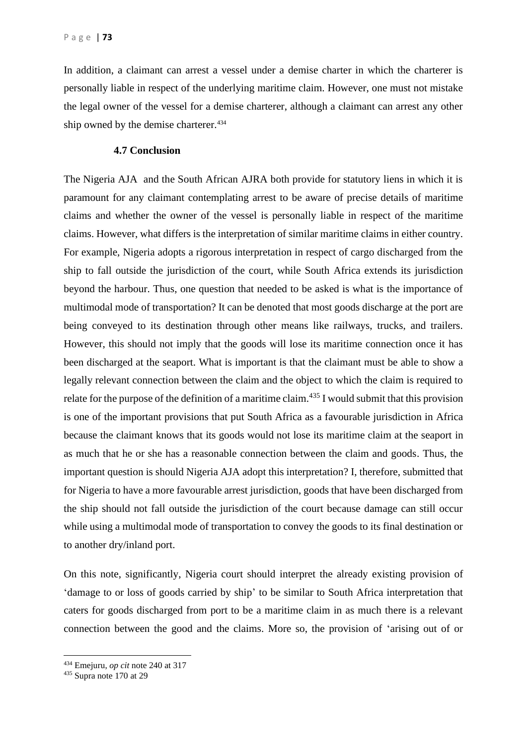In addition, a claimant can arrest a vessel under a demise charter in which the charterer is personally liable in respect of the underlying maritime claim. However, one must not mistake the legal owner of the vessel for a demise charterer, although a claimant can arrest any other ship owned by the demise charterer.<sup>434</sup>

# **4.7 Conclusion**

The Nigeria AJA and the South African AJRA both provide for statutory liens in which it is paramount for any claimant contemplating arrest to be aware of precise details of maritime claims and whether the owner of the vessel is personally liable in respect of the maritime claims. However, what differs is the interpretation of similar maritime claims in either country. For example, Nigeria adopts a rigorous interpretation in respect of cargo discharged from the ship to fall outside the jurisdiction of the court, while South Africa extends its jurisdiction beyond the harbour. Thus, one question that needed to be asked is what is the importance of multimodal mode of transportation? It can be denoted that most goods discharge at the port are being conveyed to its destination through other means like railways, trucks, and trailers. However, this should not imply that the goods will lose its maritime connection once it has been discharged at the seaport. What is important is that the claimant must be able to show a legally relevant connection between the claim and the object to which the claim is required to relate for the purpose of the definition of a maritime claim.<sup>435</sup> I would submit that this provision is one of the important provisions that put South Africa as a favourable jurisdiction in Africa because the claimant knows that its goods would not lose its maritime claim at the seaport in as much that he or she has a reasonable connection between the claim and goods. Thus, the important question is should Nigeria AJA adopt this interpretation? I, therefore, submitted that for Nigeria to have a more favourable arrest jurisdiction, goods that have been discharged from the ship should not fall outside the jurisdiction of the court because damage can still occur while using a multimodal mode of transportation to convey the goods to its final destination or to another dry/inland port.

On this note, significantly, Nigeria court should interpret the already existing provision of 'damage to or loss of goods carried by ship' to be similar to South Africa interpretation that caters for goods discharged from port to be a maritime claim in as much there is a relevant connection between the good and the claims. More so, the provision of 'arising out of or

<sup>434</sup> Emejuru, *op cit* note 240 at 317

 $435$  Supra note 170 at 29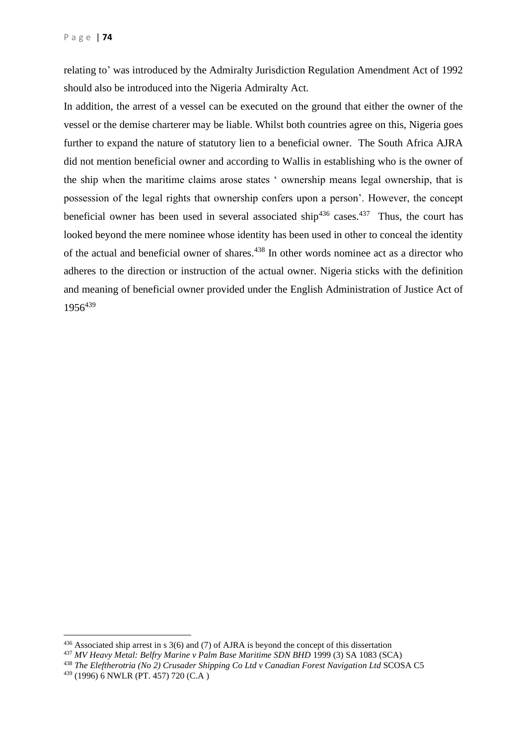relating to' was introduced by the Admiralty Jurisdiction Regulation Amendment Act of 1992 should also be introduced into the Nigeria Admiralty Act.

In addition, the arrest of a vessel can be executed on the ground that either the owner of the vessel or the demise charterer may be liable. Whilst both countries agree on this, Nigeria goes further to expand the nature of statutory lien to a beneficial owner. The South Africa AJRA did not mention beneficial owner and according to Wallis in establishing who is the owner of the ship when the maritime claims arose states ' ownership means legal ownership, that is possession of the legal rights that ownership confers upon a person'. However, the concept beneficial owner has been used in several associated  $\sin^{436}$  cases.<sup>437</sup> Thus, the court has looked beyond the mere nominee whose identity has been used in other to conceal the identity of the actual and beneficial owner of shares.<sup>438</sup> In other words nominee act as a director who adheres to the direction or instruction of the actual owner. Nigeria sticks with the definition and meaning of beneficial owner provided under the English Administration of Justice Act of 1956439

<sup>436</sup> Associated ship arrest in s 3(6) and (7) of AJRA is beyond the concept of this dissertation

<sup>437</sup> *MV Heavy Metal: Belfry Marine v Palm Base Maritime SDN BHD* 1999 (3) SA 1083 (SCA)

<sup>438</sup> *The Eleftherotria (No 2) Crusader Shipping Co Ltd v Canadian Forest Navigation Ltd* SCOSA C5

<sup>439</sup> (1996) 6 NWLR (PT. 457) 720 (C.A )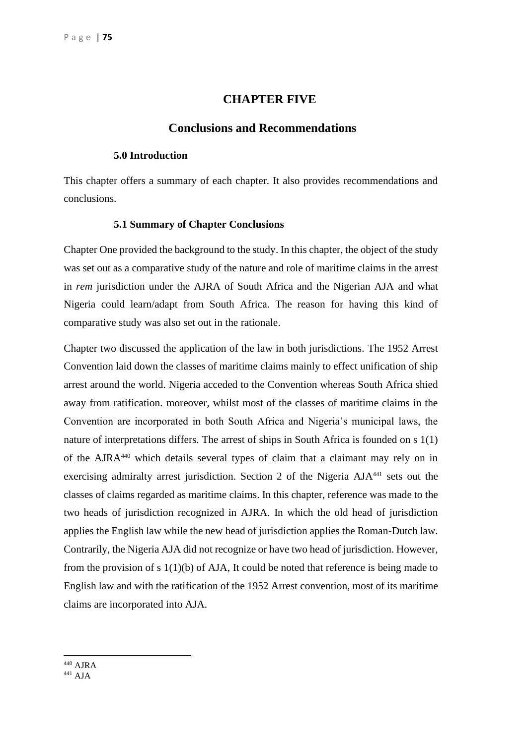# **CHAPTER FIVE**

# **Conclusions and Recommendations**

#### **5.0 Introduction**

This chapter offers a summary of each chapter. It also provides recommendations and conclusions.

#### **5.1 Summary of Chapter Conclusions**

Chapter One provided the background to the study. In this chapter, the object of the study was set out as a comparative study of the nature and role of maritime claims in the arrest in *rem* jurisdiction under the AJRA of South Africa and the Nigerian AJA and what Nigeria could learn/adapt from South Africa. The reason for having this kind of comparative study was also set out in the rationale.

Chapter two discussed the application of the law in both jurisdictions. The 1952 Arrest Convention laid down the classes of maritime claims mainly to effect unification of ship arrest around the world. Nigeria acceded to the Convention whereas South Africa shied away from ratification. moreover, whilst most of the classes of maritime claims in the Convention are incorporated in both South Africa and Nigeria's municipal laws, the nature of interpretations differs. The arrest of ships in South Africa is founded on s 1(1) of the AJRA<sup>440</sup> which details several types of claim that a claimant may rely on in exercising admiralty arrest jurisdiction. Section 2 of the Nigeria AJA<sup>441</sup> sets out the classes of claims regarded as maritime claims. In this chapter, reference was made to the two heads of jurisdiction recognized in AJRA. In which the old head of jurisdiction applies the English law while the new head of jurisdiction applies the Roman-Dutch law. Contrarily, the Nigeria AJA did not recognize or have two head of jurisdiction. However, from the provision of s 1(1)(b) of AJA, It could be noted that reference is being made to English law and with the ratification of the 1952 Arrest convention, most of its maritime claims are incorporated into AJA.

 $440$  AJRA

 $441$  AJA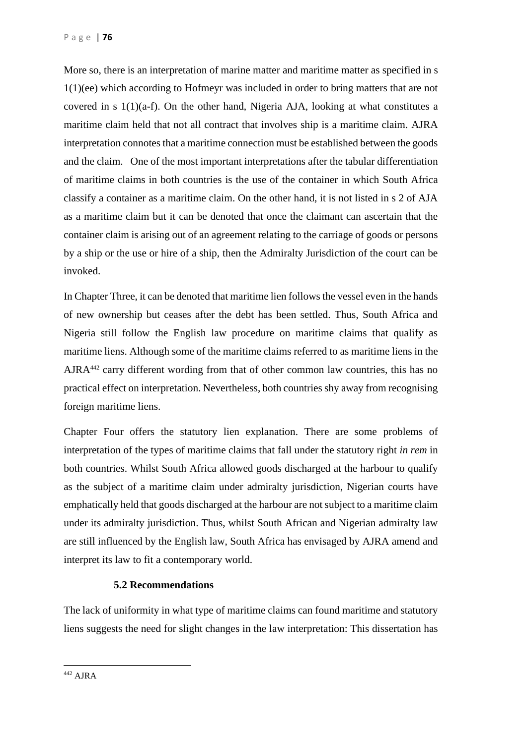More so, there is an interpretation of marine matter and maritime matter as specified in s 1(1)(ee) which according to Hofmeyr was included in order to bring matters that are not covered in s 1(1)(a-f). On the other hand, Nigeria AJA, looking at what constitutes a maritime claim held that not all contract that involves ship is a maritime claim. AJRA interpretation connotes that a maritime connection must be established between the goods and the claim. One of the most important interpretations after the tabular differentiation of maritime claims in both countries is the use of the container in which South Africa classify a container as a maritime claim. On the other hand, it is not listed in s 2 of AJA as a maritime claim but it can be denoted that once the claimant can ascertain that the container claim is arising out of an agreement relating to the carriage of goods or persons by a ship or the use or hire of a ship, then the Admiralty Jurisdiction of the court can be invoked.

In Chapter Three, it can be denoted that maritime lien follows the vessel even in the hands of new ownership but ceases after the debt has been settled. Thus, South Africa and Nigeria still follow the English law procedure on maritime claims that qualify as maritime liens. Although some of the maritime claims referred to as maritime liens in the AJRA<sup>442</sup> carry different wording from that of other common law countries, this has no practical effect on interpretation. Nevertheless, both countries shy away from recognising foreign maritime liens.

Chapter Four offers the statutory lien explanation. There are some problems of interpretation of the types of maritime claims that fall under the statutory right *in rem* in both countries. Whilst South Africa allowed goods discharged at the harbour to qualify as the subject of a maritime claim under admiralty jurisdiction, Nigerian courts have emphatically held that goods discharged at the harbour are not subject to a maritime claim under its admiralty jurisdiction. Thus, whilst South African and Nigerian admiralty law are still influenced by the English law, South Africa has envisaged by AJRA amend and interpret its law to fit a contemporary world.

# **5.2 Recommendations**

The lack of uniformity in what type of maritime claims can found maritime and statutory liens suggests the need for slight changes in the law interpretation: This dissertation has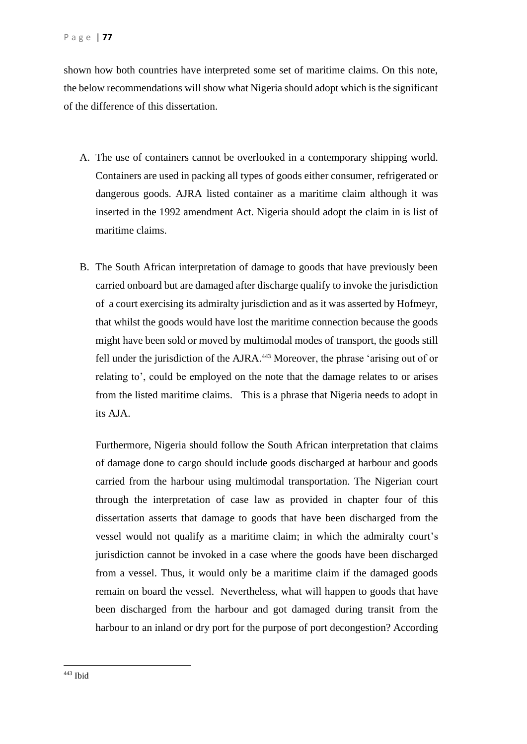shown how both countries have interpreted some set of maritime claims. On this note, the below recommendations will show what Nigeria should adopt which is the significant of the difference of this dissertation.

- A. The use of containers cannot be overlooked in a contemporary shipping world. Containers are used in packing all types of goods either consumer, refrigerated or dangerous goods. AJRA listed container as a maritime claim although it was inserted in the 1992 amendment Act. Nigeria should adopt the claim in is list of maritime claims.
- B. The South African interpretation of damage to goods that have previously been carried onboard but are damaged after discharge qualify to invoke the jurisdiction of a court exercising its admiralty jurisdiction and as it was asserted by Hofmeyr, that whilst the goods would have lost the maritime connection because the goods might have been sold or moved by multimodal modes of transport, the goods still fell under the jurisdiction of the AJRA.<sup>443</sup> Moreover, the phrase 'arising out of or relating to', could be employed on the note that the damage relates to or arises from the listed maritime claims. This is a phrase that Nigeria needs to adopt in its AJA.

Furthermore, Nigeria should follow the South African interpretation that claims of damage done to cargo should include goods discharged at harbour and goods carried from the harbour using multimodal transportation. The Nigerian court through the interpretation of case law as provided in chapter four of this dissertation asserts that damage to goods that have been discharged from the vessel would not qualify as a maritime claim; in which the admiralty court's jurisdiction cannot be invoked in a case where the goods have been discharged from a vessel. Thus, it would only be a maritime claim if the damaged goods remain on board the vessel. Nevertheless, what will happen to goods that have been discharged from the harbour and got damaged during transit from the harbour to an inland or dry port for the purpose of port decongestion? According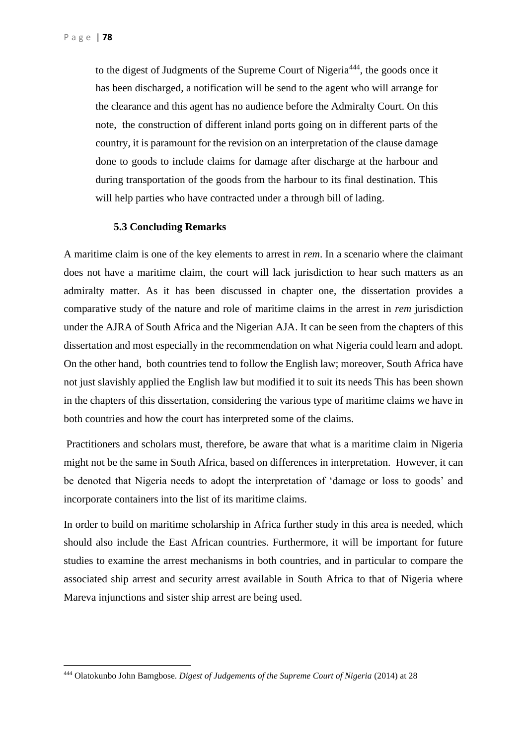to the digest of Judgments of the Supreme Court of Nigeria<sup>444</sup>, the goods once it has been discharged, a notification will be send to the agent who will arrange for the clearance and this agent has no audience before the Admiralty Court. On this note, the construction of different inland ports going on in different parts of the country, it is paramount for the revision on an interpretation of the clause damage done to goods to include claims for damage after discharge at the harbour and during transportation of the goods from the harbour to its final destination. This will help parties who have contracted under a through bill of lading.

# **5.3 Concluding Remarks**

A maritime claim is one of the key elements to arrest in *rem*. In a scenario where the claimant does not have a maritime claim, the court will lack jurisdiction to hear such matters as an admiralty matter. As it has been discussed in chapter one, the dissertation provides a comparative study of the nature and role of maritime claims in the arrest in *rem* jurisdiction under the AJRA of South Africa and the Nigerian AJA. It can be seen from the chapters of this dissertation and most especially in the recommendation on what Nigeria could learn and adopt. On the other hand, both countries tend to follow the English law; moreover, South Africa have not just slavishly applied the English law but modified it to suit its needs This has been shown in the chapters of this dissertation, considering the various type of maritime claims we have in both countries and how the court has interpreted some of the claims.

Practitioners and scholars must, therefore, be aware that what is a maritime claim in Nigeria might not be the same in South Africa, based on differences in interpretation. However, it can be denoted that Nigeria needs to adopt the interpretation of 'damage or loss to goods' and incorporate containers into the list of its maritime claims.

In order to build on maritime scholarship in Africa further study in this area is needed, which should also include the East African countries. Furthermore, it will be important for future studies to examine the arrest mechanisms in both countries, and in particular to compare the associated ship arrest and security arrest available in South Africa to that of Nigeria where Mareva injunctions and sister ship arrest are being used.

<sup>444</sup> Olatokunbo John Bamgbose. *Digest of Judgements of the Supreme Court of Nigeria* (2014) at 28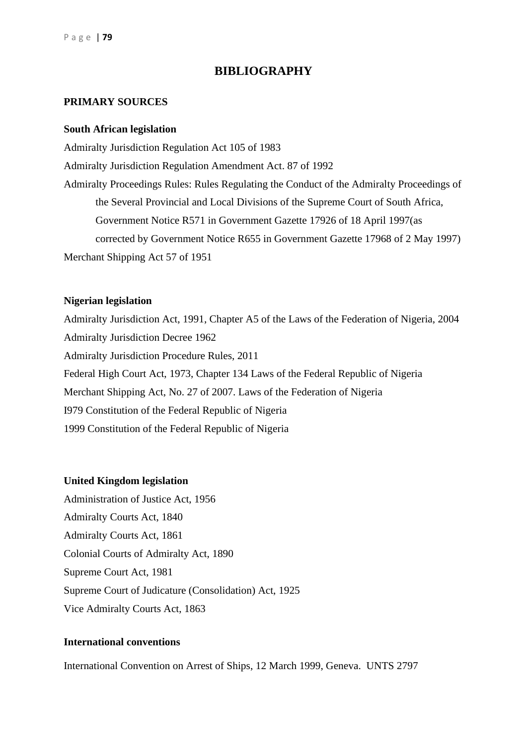# **BIBLIOGRAPHY**

### **PRIMARY SOURCES**

#### **South African legislation**

Admiralty Jurisdiction Regulation Act 105 of 1983 Admiralty Jurisdiction Regulation Amendment Act. 87 of 1992 Admiralty Proceedings Rules: Rules Regulating the Conduct of the Admiralty Proceedings of the Several Provincial and Local Divisions of the Supreme Court of South Africa, Government Notice R571 in Government Gazette 17926 of 18 April 1997(as corrected by Government Notice R655 in Government Gazette 17968 of 2 May 1997) Merchant Shipping Act 57 of 1951

### **Nigerian legislation**

Admiralty Jurisdiction Act, 1991, Chapter A5 of the Laws of the Federation of Nigeria, 2004 Admiralty Jurisdiction Decree 1962 Admiralty Jurisdiction Procedure Rules, 2011 Federal High Court Act, 1973, Chapter 134 Laws of the Federal Republic of Nigeria Merchant Shipping Act, No. 27 of 2007. Laws of the Federation of Nigeria I979 Constitution of the Federal Republic of Nigeria 1999 Constitution of the Federal Republic of Nigeria

#### **United Kingdom legislation**

Administration of Justice Act, 1956 Admiralty Courts Act, 1840 Admiralty Courts Act, 1861 Colonial Courts of Admiralty Act, 1890 Supreme Court Act, 1981 Supreme Court of Judicature (Consolidation) Act, 1925 Vice Admiralty Courts Act, 1863

# **International conventions**

International Convention on Arrest of Ships, 12 March 1999, Geneva. UNTS 2797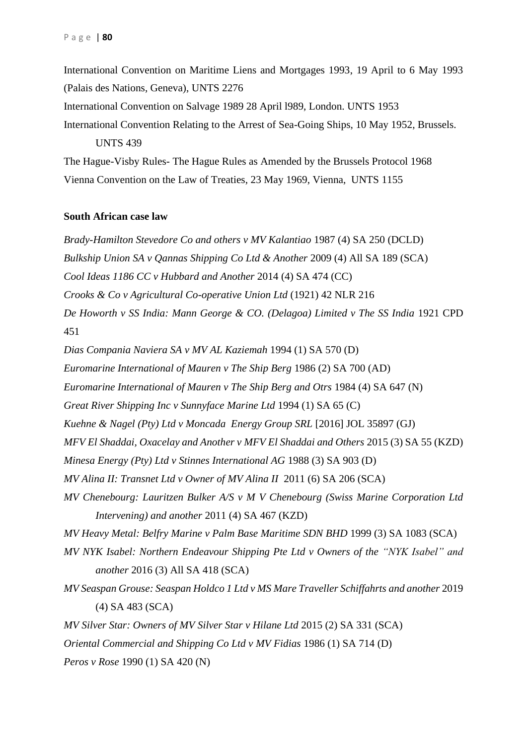International Convention on Maritime Liens and Mortgages 1993, 19 April to 6 May 1993 (Palais des Nations, Geneva), UNTS 2276

International Convention on Salvage 1989 28 April l989, London. UNTS 1953

International Convention Relating to the Arrest of Sea-Going Ships, 10 May 1952, Brussels. UNTS 439

The Hague-Visby Rules- The Hague Rules as Amended by the Brussels Protocol 1968 Vienna Convention on the Law of Treaties, 23 May 1969, Vienna, UNTS 1155

### **South African case law**

*Brady-Hamilton Stevedore Co and others v MV Kalantiao* 1987 (4) SA 250 (DCLD) *Bulkship Union SA v Qannas Shipping Co Ltd & Another* 2009 (4) All SA 189 (SCA) *Cool Ideas 1186 CC v Hubbard and Another* 2014 (4) SA 474 (CC) *Crooks & Co v Agricultural Co-operative Union Ltd* (1921) 42 NLR 216 *De Howorth v SS India: Mann George & CO. (Delagoa) Limited v The SS India* 1921 CPD 451 *Dias Compania Naviera SA v MV AL Kaziemah* 1994 (1) SA 570 (D) *Euromarine International of Mauren v The Ship Berg* 1986 (2) SA 700 (AD) *Euromarine International of Mauren v The Ship Berg and Otrs* 1984 (4) SA 647 (N) *Great River Shipping Inc v Sunnyface Marine Ltd* 1994 (1) SA 65 (C) *Kuehne & Nagel (Pty) Ltd v Moncada Energy Group SRL* [2016] JOL 35897 (GJ) *MFV El Shaddai, Oxacelay and Another v MFV El Shaddai and Others* 2015 (3) SA 55 (KZD) *Minesa Energy (Pty) Ltd v Stinnes International AG* 1988 (3) SA 903 (D) *MV Alina II: Transnet Ltd v Owner of MV Alina II* 2011 (6) SA 206 (SCA) *MV Chenebourg: Lauritzen Bulker A/S v M V Chenebourg (Swiss Marine Corporation Ltd Intervening) and another* 2011 (4) SA 467 (KZD) *MV Heavy Metal: Belfry Marine v Palm Base Maritime SDN BHD* 1999 (3) SA 1083 (SCA) *MV NYK Isabel: Northern Endeavour Shipping Pte Ltd v Owners of the "NYK Isabel" and another* 2016 (3) All SA 418 (SCA) *MV Seaspan Grouse: Seaspan Holdco 1 Ltd v MS Mare Traveller Schiffahrts and another* 2019 (4) SA 483 (SCA) *MV Silver Star: Owners of MV Silver Star v Hilane Ltd* 2015 (2) SA 331 (SCA) *Oriental Commercial and Shipping Co Ltd v MV Fidias* 1986 (1) SA 714 (D) *Peros v Rose* 1990 (1) SA 420 (N)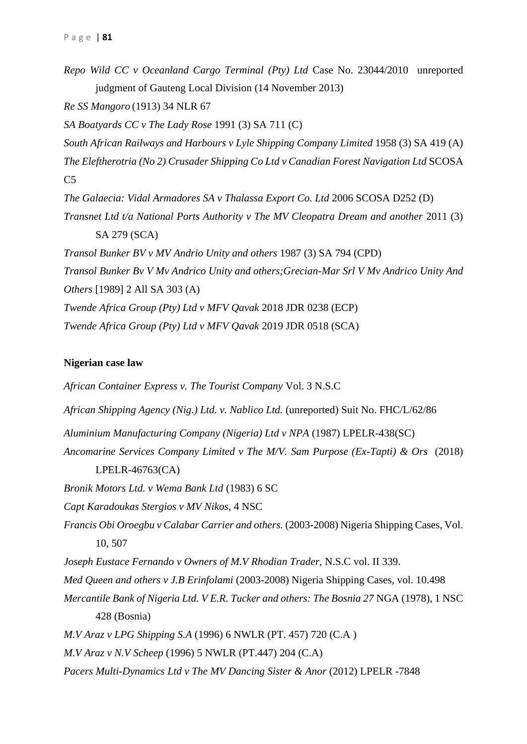*Repo Wild CC v Oceanland Cargo Terminal (Pty) Ltd* Case No. 23044/2010 unreported judgment of Gauteng Local Division (14 November 2013)

*Re SS Mangoro* (1913) 34 NLR 67

*SA Boatyards CC v The Lady Rose* 1991 (3) SA 711 (C)

*South African Railways and Harbours v Lyle Shipping Company Limited* 1958 (3) SA 419 (A) *The Eleftherotria (No 2) Crusader Shipping Co Ltd v Canadian Forest Navigation Ltd* SCOSA  $C<sub>5</sub>$ 

*The Galaecia: Vidal Armadores SA v Thalassa Export Co. Ltd* 2006 SCOSA D252 (D)

*Transnet Ltd t/a National Ports Authority v The MV Cleopatra Dream and another 2011 (3)* SA 279 (SCA)

*Transol Bunker BV v MV Andrio Unity and others* 1987 (3) SA 794 (CPD)

*Transol Bunker Bv V Mv Andrico Unity and others;Grecian-Mar Srl V Mv Andrico Unity And Others* [1989] 2 All SA 303 (A)

*Twende Africa Group (Pty) Ltd v MFV Qavak* 2018 JDR 0238 (ECP)

*Twende Africa Group (Pty) Ltd v MFV Qavak* 2019 JDR 0518 (SCA)

### **Nigerian case law**

*African Container Express v. The Tourist Company* Vol. 3 N.S.C *African Shipping Agency (Nig.) Ltd. v. Nablico Ltd.* (unreported) Suit No. FHC/L/62/86 *Aluminium Manufacturing Company (Nigeria) Ltd v NPA* (1987) LPELR-438(SC) *Ancomarine Services Company Limited v The M/V. Sam Purpose (Ex-Tapti) & Ors* (2018) LPELR-46763(CA) *Bronik Motors Ltd. v Wema Bank Ltd* (1983) 6 SC *Capt Karadoukas Stergios v MV Nikos,* 4 NSC *Francis Obi Oroegbu v Calabar Carrier and others.* (2003-2008) Nigeria Shipping Cases, Vol. 10, 507 *Joseph Eustace Fernando v Owners of M.V Rhodian Trader,* N.S.C vol. II 339. *Med Queen and others v J.B Erinfolami* (2003-2008) Nigeria Shipping Cases, vol. 10.498 *Mercantile Bank of Nigeria Ltd. V E.R. Tucker and others: The Bosnia 27* NGA (1978), 1 NSC 428 (Bosnia) *M.V Araz v LPG Shipping S.A* (1996) 6 NWLR (PT. 457) 720 (C.A ) *M.V Araz v N.V Scheep* (1996) 5 NWLR (PT.447) 204 (C.A)

*Pacers Multi-Dynamics Ltd v The MV Dancing Sister & Anor* (2012) LPELR -7848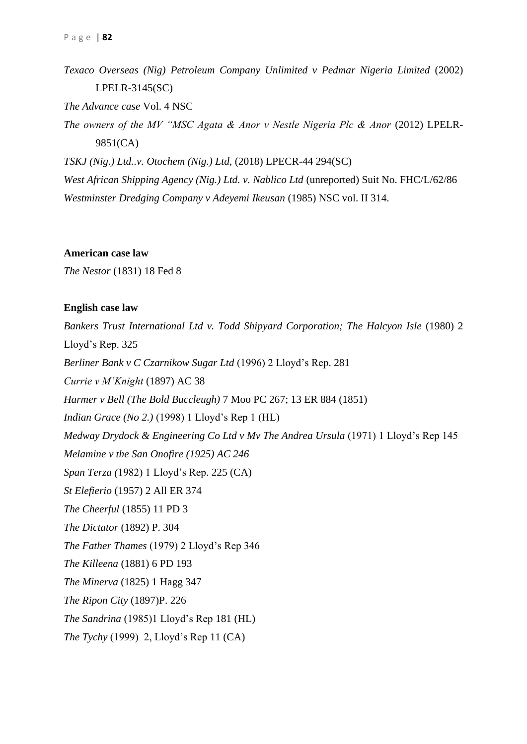*Texaco Overseas (Nig) Petroleum Company Unlimited v Pedmar Nigeria Limited* (2002) LPELR-3145(SC)

*The Advance case* Vol. 4 NSC

*The owners of the MV "MSC Agata & Anor v Nestle Nigeria Plc & Anor (2012) LPELR-*9851(CA)

*TSKJ (Nig.) Ltd..v. Otochem (Nig.) Ltd,* (2018) LPECR-44 294(SC)

*West African Shipping Agency (Nig.) Ltd. v. Nablico Ltd* (unreported) Suit No. FHC/L/62/86 *Westminster Dredging Company v Adeyemi Ikeusan* (1985) NSC vol. II 314.

# **American case law**

*The Nestor* (1831) 18 Fed 8

### **English case law**

*Bankers Trust International Ltd v. Todd Shipyard Corporation; The Halcyon Isle* (1980) 2 Lloyd's Rep. 325 *Berliner Bank v C Czarnikow Sugar Ltd* (1996) 2 Lloyd's Rep. 281 *Currie v M'Knight* (1897) AC 38 *Harmer v Bell (The Bold Buccleugh)* 7 Moo PC 267; 13 ER 884 (1851) *Indian Grace (No 2.)* (1998) 1 Lloyd's Rep 1 (HL) *Medway Drydock & Engineering Co Ltd v Mv The Andrea Ursula* (1971) 1 Lloyd's Rep 145 *Melamine v the San Onofire (1925) AC 246 Span Terza (*1982) 1 Lloyd's Rep. 225 (CA) *St Elefierio* (1957) 2 All ER 374 *The Cheerful* (1855) 11 PD 3 *The Dictator* (1892) P. 304 *The Father Thames* (1979) 2 Lloyd's Rep 346 *The Killeena* (1881) 6 PD 193 *The Minerva* (1825) 1 Hagg 347 *The Ripon City* (1897)P. 226 *The Sandrina* (1985)1 Lloyd's Rep 181 (HL) *The Tychy* (1999) 2, Lloyd's Rep 11 (CA)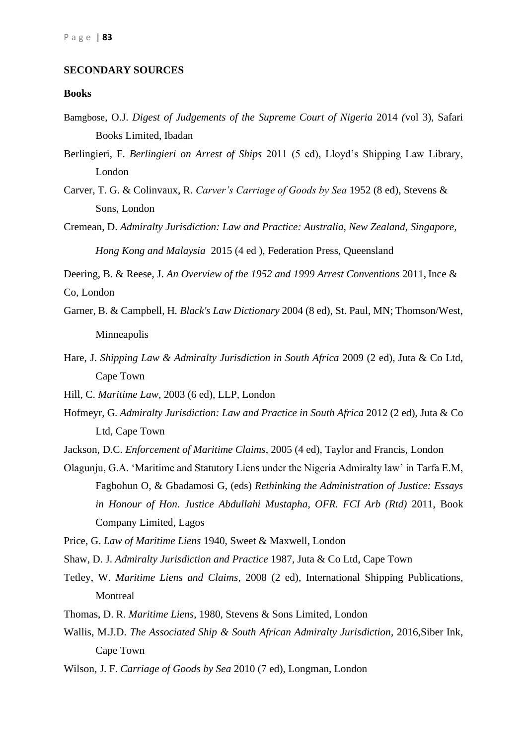#### **SECONDARY SOURCES**

# **Books**

- Bamgbose, O.J. *Digest of Judgements of the Supreme Court of Nigeria* 2014 *(*vol 3), Safari Books Limited, Ibadan
- Berlingieri, F. *Berlingieri on Arrest of Ships* 2011 (5 ed), Lloyd's Shipping Law Library, London
- Carver, T. G. & Colinvaux, R. *Carver's Carriage of Goods by Sea* 1952 (8 ed), Stevens & Sons, London
- Cremean, D. *Admiralty Jurisdiction: Law and Practice: Australia, New Zealand, Singapore, Hong Kong and Malaysia* 2015 (4 ed ), Federation Press, Queensland

Deering, B. & Reese, J. *An Overview of the 1952 and 1999 Arrest Conventions* 2011, Ince & Co, London

- Garner, B. & Campbell, H*. Black's Law Dictionary* 2004 (8 ed), St. Paul, MN; Thomson/West, Minneapolis
- Hare, J. *Shipping Law & Admiralty Jurisdiction in South Africa* 2009 (2 ed), Juta & Co Ltd, Cape Town
- Hill, C. *Maritime Law*, 2003 (6 ed), LLP, London
- Hofmeyr, G. *Admiralty Jurisdiction: Law and Practice in South Africa* 2012 (2 ed), Juta & Co Ltd, Cape Town
- Jackson, D.C. *Enforcement of Maritime Claims*, 2005 (4 ed), Taylor and Francis, London
- Olagunju, G.A. 'Maritime and Statutory Liens under the Nigeria Admiralty law' in Tarfa E.M, Fagbohun O, & Gbadamosi G, (eds) *Rethinking the Administration of Justice: Essays in Honour of Hon. Justice Abdullahi Mustapha*, *OFR. FCI Arb (Rtd)* 2011, Book Company Limited, Lagos

Price, G. *Law of Maritime Liens* 1940, Sweet & Maxwell, London

- Shaw, D. J. *Admiralty Jurisdiction and Practice* 1987, Juta & Co Ltd, Cape Town
- Tetley, W. *Maritime Liens and Claims*, 2008 (2 ed), International Shipping Publications, **Montreal**
- Thomas, D. R. *Maritime Liens*, 1980, Stevens & Sons Limited, London
- Wallis, M.J.D. *The Associated Ship & South African Admiralty Jurisdiction*, 2016,Siber Ink, Cape Town
- Wilson, J. F. *Carriage of Goods by Sea* 2010 (7 ed), Longman, London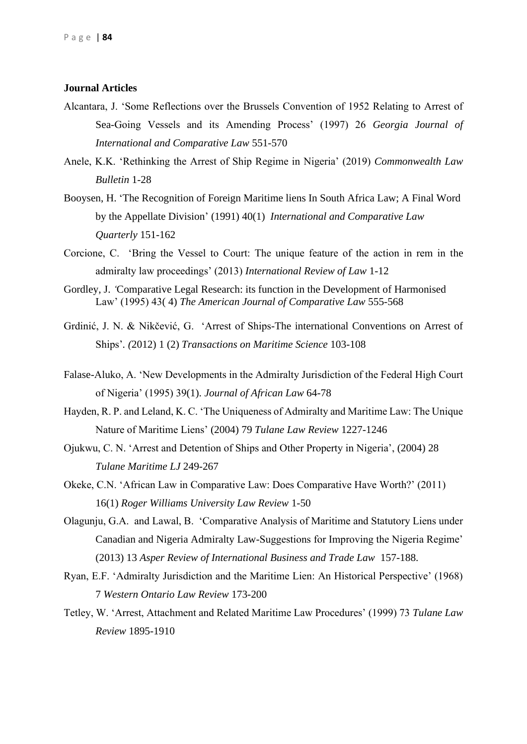#### **Journal Articles**

- Alcantara, J. 'Some Reflections over the Brussels Convention of 1952 Relating to Arrest of Sea-Going Vessels and its Amending Process' (1997) 26 *Georgia Journal of International and Comparative Law* 551-570
- Anele, K.K. 'Rethinking the Arrest of Ship Regime in Nigeria' (2019) *Commonwealth Law Bulletin* 1-28
- Booysen, H. 'The Recognition of Foreign Maritime liens In South Africa Law; A Final Word by the Appellate Division' (1991) 40(1) *International and Comparative Law Quarterly* 151-162
- Corcione, C. 'Bring the Vessel to Court: The unique feature of the action in rem in the admiralty law proceedings' (2013) *International Review of Law* 1-12
- Gordley, J. *'*Comparative Legal Research: its function in the Development of Harmonised Law' (1995) 43( 4) *The American Journal of Comparative Law* 555-568
- Grdinić, J. N. & Nikčević, G. 'Arrest of Ships-The international Conventions on Arrest of Ships'*. (*2012) 1 (2) *Transactions on Maritime Science* 103-108
- Falase-Aluko, A. 'New Developments in the Admiralty Jurisdiction of the Federal High Court of Nigeria' (1995) 39(1). *Journal of African Law* 64-78
- Hayden, R. P. and Leland, K. C. 'The Uniqueness of Admiralty and Maritime Law: The Unique Nature of Maritime Liens' (2004) 79 *Tulane Law Review* 1227-1246
- Ojukwu, C. N. 'Arrest and Detention of Ships and Other Property in Nigeria', (2004) 28 *Tulane Maritime LJ* 249-267
- Okeke, C.N. 'African Law in Comparative Law: Does Comparative Have Worth?' (2011) 16(1) *Roger Williams University Law Review* 1-50
- Olagunju, G.A. and Lawal, B. 'Comparative Analysis of Maritime and Statutory Liens under Canadian and Nigeria Admiralty Law-Suggestions for Improving the Nigeria Regime' (2013) 13 *Asper Review of International Business and Trade Law* 157-188.
- Ryan, E.F. 'Admiralty Jurisdiction and the Maritime Lien: An Historical Perspective' (1968) 7 *Western Ontario Law Review* 173-200
- Tetley, W. 'Arrest, Attachment and Related Maritime Law Procedures' (1999) 73 *Tulane Law Review* 1895-1910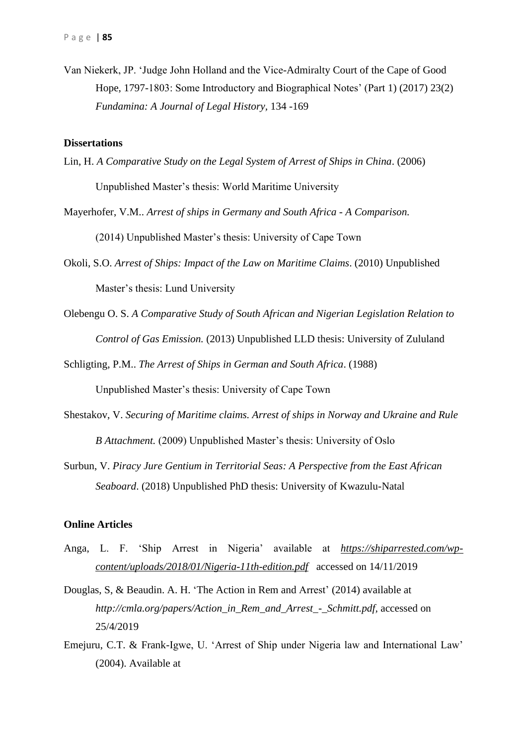Van Niekerk, JP. 'Judge John Holland and the Vice-Admiralty Court of the Cape of Good Hope, 1797-1803: Some Introductory and Biographical Notes' (Part 1) (2017) 23(2) *[Fundamina: A Journal of Legal History,](https://journals.co.za/content/journal/funda)* 134 -169

# **Dissertations**

- Lin, H. *A Comparative Study on the Legal System of Arrest of Ships in China*. (2006) Unpublished Master's thesis: World Maritime University
- Mayerhofer, V.M.. *Arrest of ships in Germany and South Africa - A Comparison.* (2014) Unpublished Master's thesis: University of Cape Town
- Okoli, S.O. *Arrest of Ships: Impact of the Law on Maritime Claims*. (2010) Unpublished Master's thesis: Lund University
- Olebengu O. S. *A Comparative Study of South African and Nigerian Legislation Relation to Control of Gas Emission.* (2013) Unpublished LLD thesis: University of Zululand

Schligting, P.M.. *The Arrest of Ships in German and South Africa*. (1988)

Unpublished Master's thesis: University of Cape Town

- Shestakov, V. *Securing of Maritime claims. Arrest of ships in Norway and Ukraine and Rule B Attachment.* (2009) Unpublished Master's thesis: University of Oslo
- Surbun, V. *Piracy Jure Gentium in Territorial Seas: A Perspective from the East African Seaboard*. (2018) Unpublished PhD thesis: University of Kwazulu-Natal

### **Online Articles**

- Anga, L. F. 'Ship Arrest in Nigeria' available at *[https://shiparrested.com/wp](https://shiparrested.com/wp-content/uploads/2018/01/Nigeria-11th-edition.pdf)[content/uploads/2018/01/Nigeria-11th-edition.pdf](https://shiparrested.com/wp-content/uploads/2018/01/Nigeria-11th-edition.pdf)* accessed on 14/11/2019
- Douglas, S, & Beaudin. A. H. 'The Action in Rem and Arrest' (2014) available at *[http://cmla.org/papers/Action\\_in\\_Rem\\_and\\_Arrest\\_-\\_Schmitt.pdf,](http://cmla.org/papers/Action_in_Rem_and_Arrest_-_Schmitt.pdf)* accessed on 25/4/2019
- Emejuru, C.T. & Frank-Igwe, U. 'Arrest of Ship under Nigeria law and International Law' (2004). Available at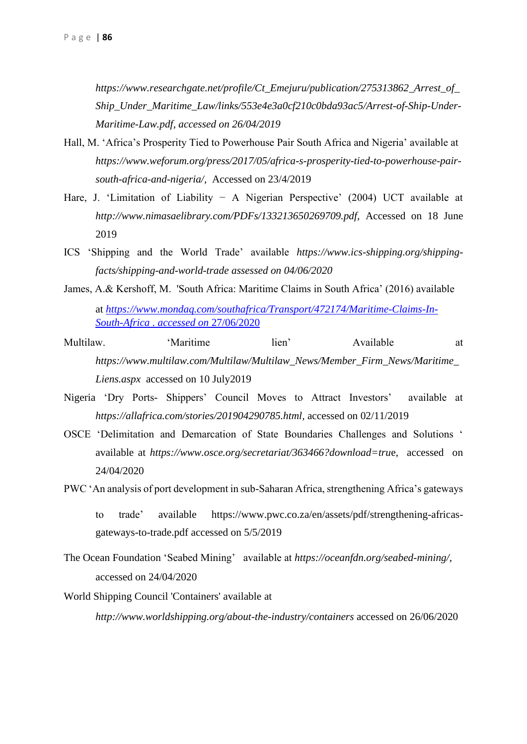*[https://www.researchgate.net/profile/Ct\\_Emejuru/publication/275313862\\_Arrest\\_of\\_](https://www.researchgate.net/profile/Ct_Emejuru/publication/275313862_Arrest_of_Ship_Under_Maritime_Law/links/553e4e3a0cf210c0bda93ac5/Arrest-of-Ship-Under-Maritime-Law.pdf) [Ship\\_Under\\_Maritime\\_Law/links/553e4e3a0cf210c0bda93ac5/Arrest-of-Ship-Under-](https://www.researchgate.net/profile/Ct_Emejuru/publication/275313862_Arrest_of_Ship_Under_Maritime_Law/links/553e4e3a0cf210c0bda93ac5/Arrest-of-Ship-Under-Maritime-Law.pdf)[Maritime-Law.pdf,](https://www.researchgate.net/profile/Ct_Emejuru/publication/275313862_Arrest_of_Ship_Under_Maritime_Law/links/553e4e3a0cf210c0bda93ac5/Arrest-of-Ship-Under-Maritime-Law.pdf) accessed on 26/04/2019*

- Hall, M. 'Africa's Prosperity Tied to Powerhouse Pair South Africa and Nigeria' available at *[https://www.weforum.org/press/2017/05/africa-s-prosperity-tied-to-powerhouse-pair](https://www.weforum.org/press/2017/05/africa-s-prosperity-tied-to-powerhouse-pair-south-africa-and-nigeria/)[south-africa-and-nigeria/,](https://www.weforum.org/press/2017/05/africa-s-prosperity-tied-to-powerhouse-pair-south-africa-and-nigeria/)* Accessed on 23/4/2019
- Hare, J. 'Limitation of Liability − A Nigerian Perspective' (2004) UCT available at *[http://www.nimasaelibrary.com/PDFs/133213650269709.pdf,](http://www.nimasaelibrary.com/PDFs/133213650269709.pdf,%20Accessed%20on%2018%20June%202019)* Accessed on 18 June [2019](http://www.nimasaelibrary.com/PDFs/133213650269709.pdf,%20Accessed%20on%2018%20June%202019)
- ICS 'Shipping and the World Trade' available *[https://www.ics-shipping.org/shipping](https://www.ics-shipping.org/shipping-facts/shipping-and-world-trade)[facts/shipping-and-world-trade](https://www.ics-shipping.org/shipping-facts/shipping-and-world-trade) assessed on 04/06/2020*
- James, A.& Kershoff, M. 'South Africa: Maritime Claims in South Africa' (2016) available at *[https://www.mondaq.com/southafrica/Transport/472174/Maritime-Claims-In-](https://www.mondaq.com/southafrica/Transport/472174/Maritime-Claims-In-South-Africa%20.%20accessed%20on%2027/06/2020)[South-Africa . accessed on](https://www.mondaq.com/southafrica/Transport/472174/Maritime-Claims-In-South-Africa%20.%20accessed%20on%2027/06/2020)* 27/06/2020
- Multilaw. 'Maritime lien' Available at *[https://www.multilaw.com/Multilaw/Multilaw\\_News/Member\\_Firm\\_News/Maritime\\_](https://www.multilaw.com/Multilaw/Multilaw_News/Member_Firm_News/Maritime_Liens.aspx) [Liens.aspx](https://www.multilaw.com/Multilaw/Multilaw_News/Member_Firm_News/Maritime_Liens.aspx)* accessed on 10 July2019
- Nigeria 'Dry Ports- Shippers' Council Moves to Attract Investors' available at *[https://allafrica.com/stories/201904290785.html,](https://allafrica.com/stories/201904290785.html)* accessed on 02/11/2019
- OSCE 'Delimitation and Demarcation of State Boundaries Challenges and Solutions ' available at *[https://www.osce.org/secretariat/363466?download=tru](https://www.osce.org/secretariat/363466?download=true)*e, accessed on 24/04/2020
- PWC 'An analysis of port development in sub-Saharan Africa, strengthening Africa's gateways

to trade' available https://www.pwc.co.za/en/assets/pdf/strengthening-africasgateways-to-trade.pdf accessed on 5/5/2019

The Ocean Foundation 'Seabed Mining' available at *<https://oceanfdn.org/seabed-mining/>*, accessed on 24/04/2020

World Shipping Council 'Containers' available at

*http://www.worldshipping.org/about-the-industry/containers* accessed on 26/06/2020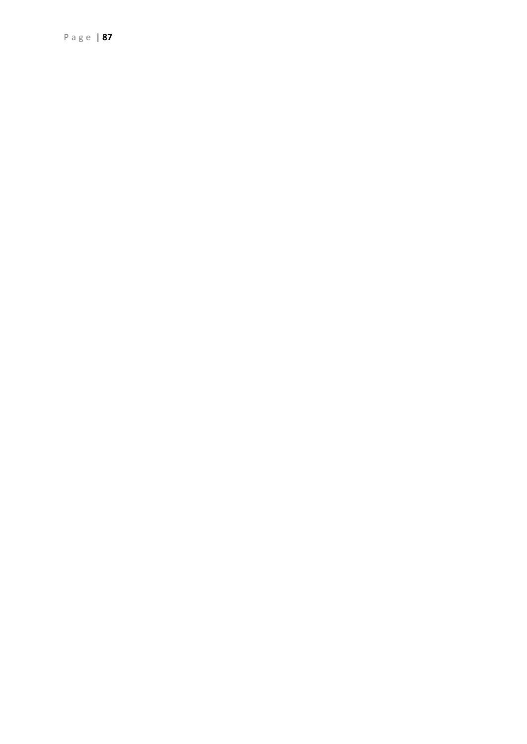P a g e | **87**